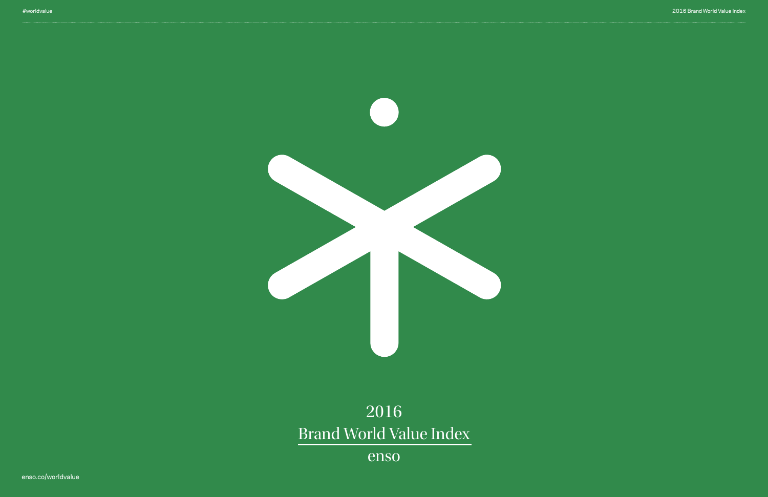#### 2016 Brand World Value Index

# 2016 Brand World Value Index

enso

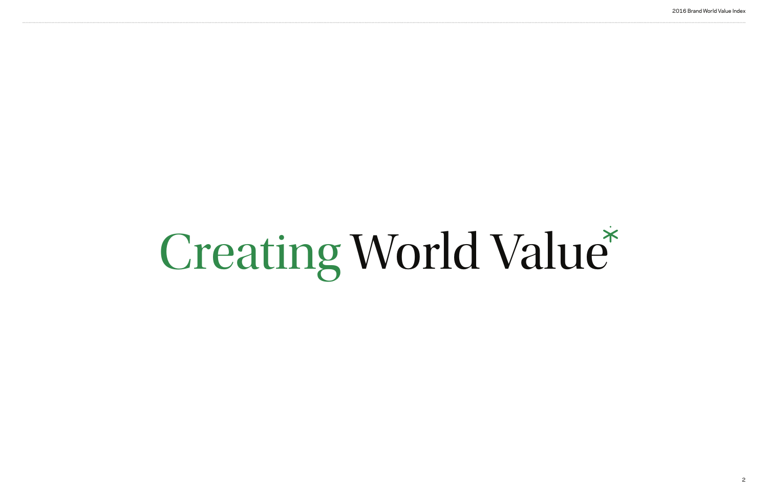

# Creating World Value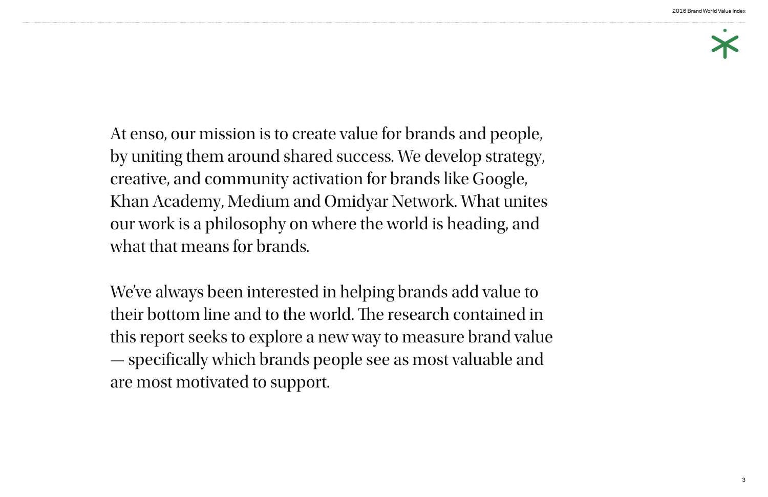At enso, our mission is to create value for brands and people, by uniting them around shared success. We develop strategy, creative, and community activation for brands like Google, Khan Academy, Medium and Omidyar Network. What unites our work is a philosophy on where the world is heading, and what that means for brands.

#### 2016 Brand World Value Index



We've always been interested in helping brands add value to their bottom line and to the world. The research contained in this report seeks to explore a new way to measure brand value — specifcally which brands people see as most valuable and are most motivated to support.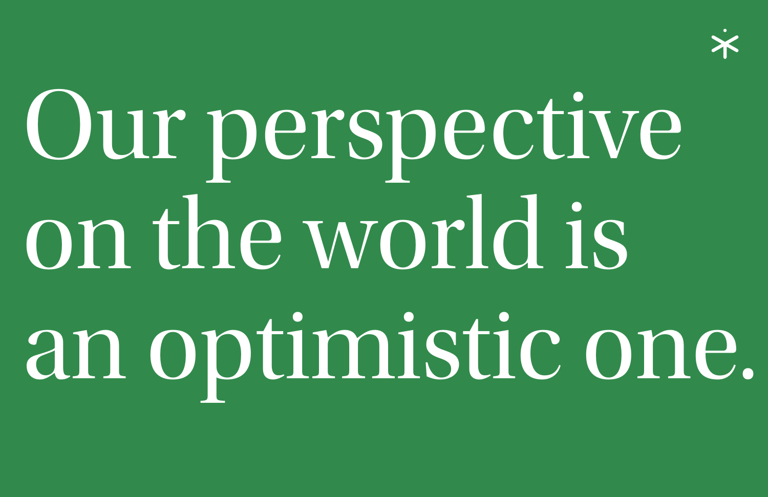# Our perspective on the world is an optimistic one.



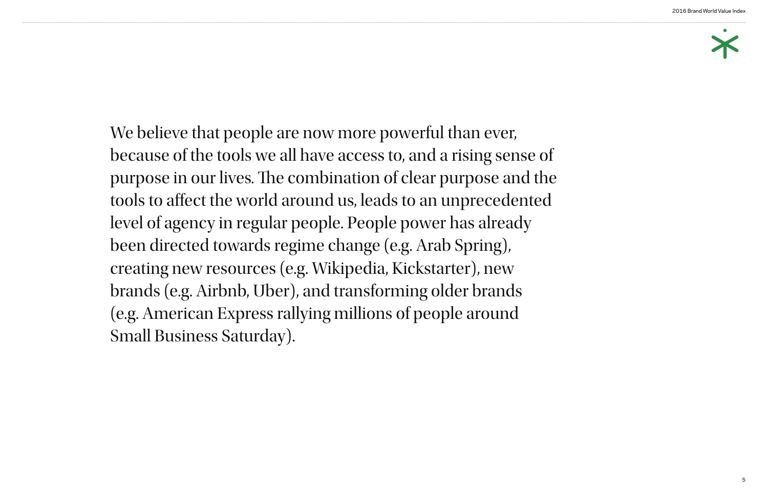#### 2016 Brand World Value Index



We believe that people are now more powerful than ever, because of the tools we all have access to, and a rising sense of purpose in our lives. The combination of clear purpose and the tools to afect the world around us, leads to an unprecedented level of agency in regular people. People power has already been directed towards regime change (e.g. Arab Spring), creating new resources (e.g. Wikipedia, Kickstarter), new brands (e.g. Airbnb, Uber), and transforming older brands (e.g. American Express rallying millions of people around Small Business Saturday).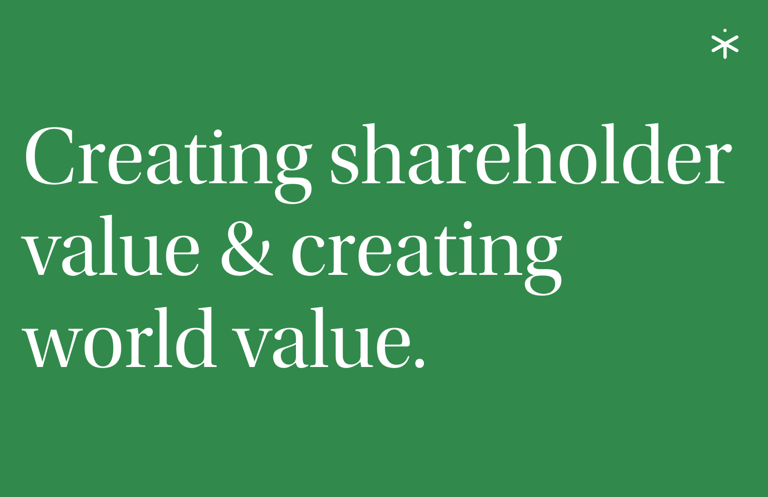# Creating shareholder value & creating world value.

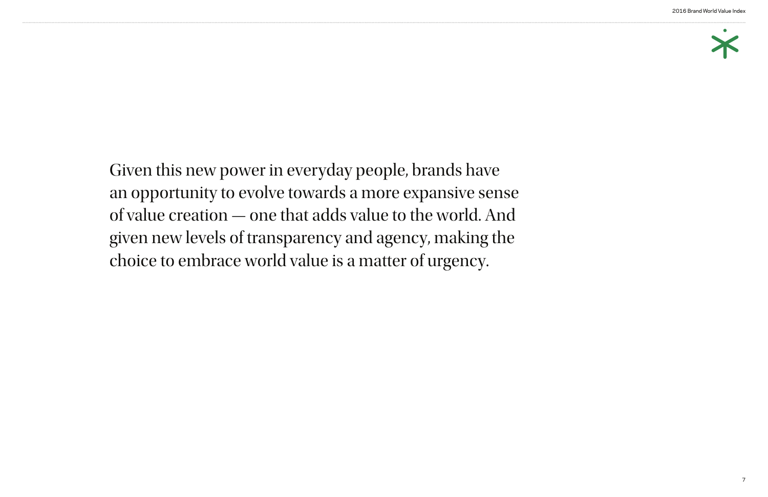#### 2016 Brand World Value Index



Given this new power in everyday people, brands have an opportunity to evolve towards a more expansive sense of value creation — one that adds value to the world. And given new levels of transparency and agency, making the choice to embrace world value is a matter of urgency.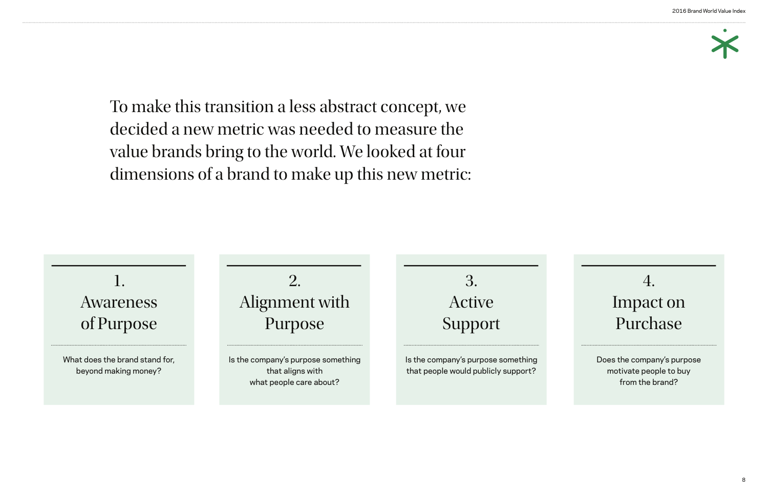#### 2016 Brand World Value Index

To make this transition a less abstract concept, we decided a new metric was needed to measure the value brands bring to the world. We looked at four dimensions of a brand to make up this new metric:



## 4. Impact on Purchase

Does the company's purpose motivate people to buy from the brand?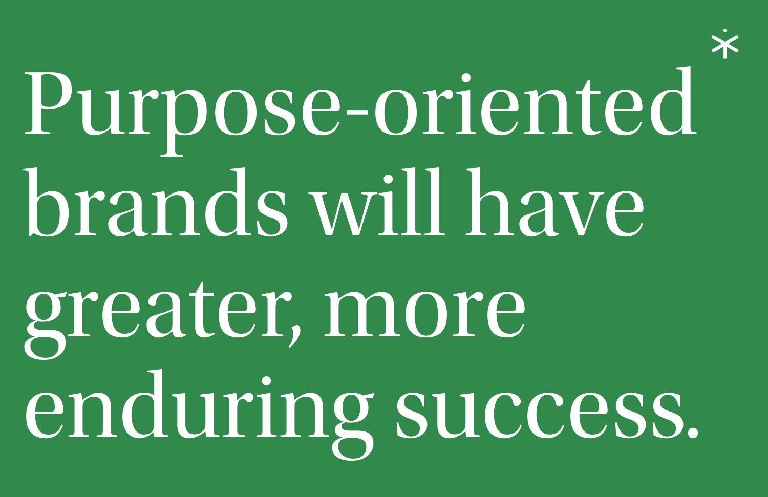# Purpose-oriented brands will have greater, more enduring success.





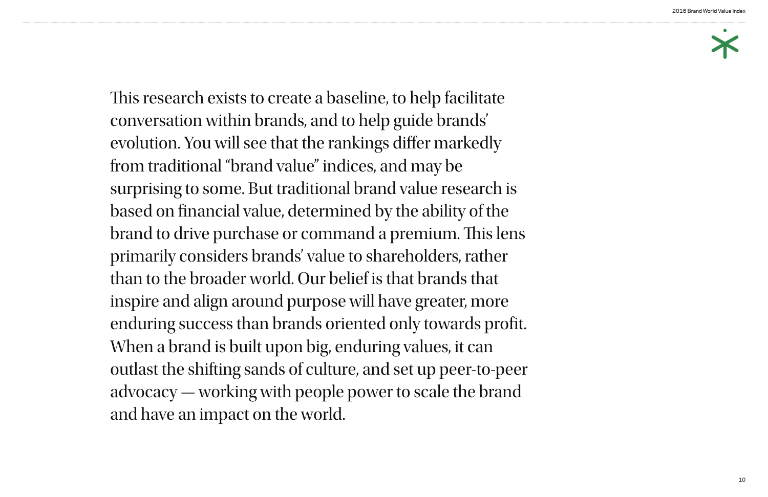#### 2016 Brand World Value Index



This research exists to create a baseline, to help facilitate conversation within brands, and to help guide brands' evolution. You will see that the rankings difer markedly from traditional "brand value" indices, and may be surprising to some. But traditional brand value research is based on fnancial value, determined by the ability of the brand to drive purchase or command a premium. This lens primarily considers brands' value to shareholders, rather than to the broader world. Our belief is that brands that inspire and align around purpose will have greater, more enduring success than brands oriented only towards profit. When a brand is built upon big, enduring values, it can outlast the shifting sands of culture, and set up peer-to-peer advocacy — working with people power to scale the brand and have an impact on the world.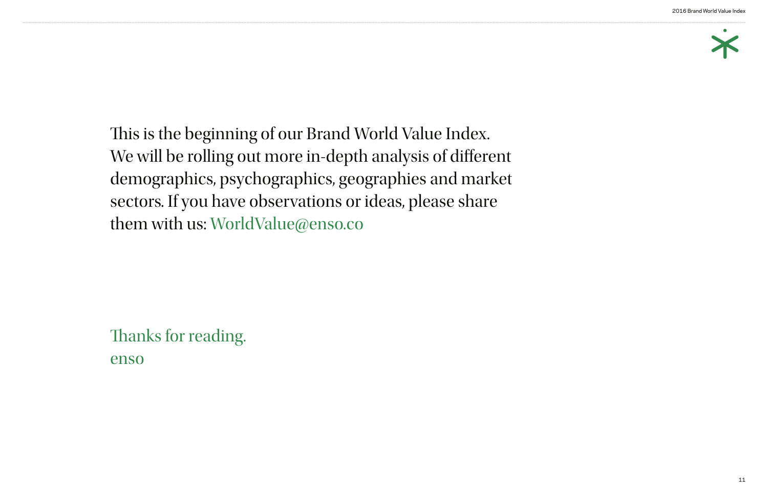#### 2016 Brand World Value Index



This is the beginning of our Brand World Value Index. We will be rolling out more in-depth analysis of diferent demographics, psychographics, geographies and market sectors. If you have observations or ideas, please share them with us: WorldValue@enso.co

Thanks for reading. enso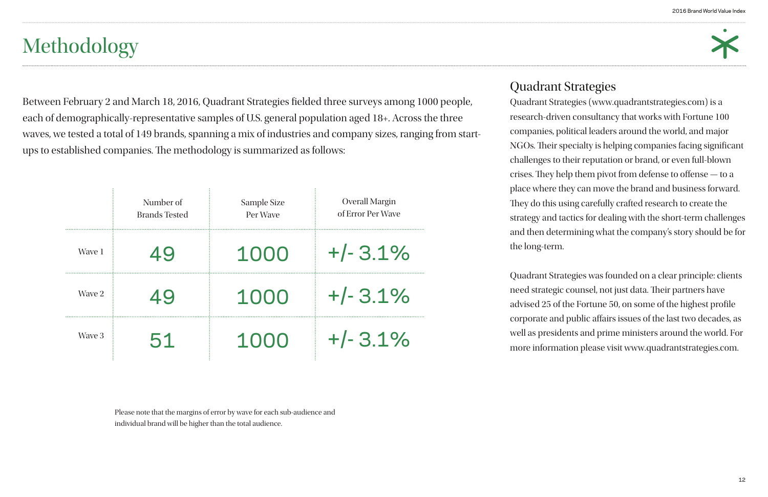

|        | Number of<br><b>Brands Tested</b> | Sample Size<br>Per Wave | <b>Overall Margin</b><br>of Error Per Wave |
|--------|-----------------------------------|-------------------------|--------------------------------------------|
| Wave 1 |                                   | 1000                    | $+/- 3.1\%$                                |
| Wave 2 | 49                                | 1000                    | $+/- 3.1\%$                                |
| Wave 3 | .51                               | 1000                    | $+/- 3.1\%$                                |

Please note that the margins of error by wave for each sub-audience and individual brand will be higher than the total audience.

# Methodology

#### Quadrant Strategies

Quadrant Strategies (www.quadrantstrategies.com) is a research-driven consultancy that works with Fortune 100 companies, political leaders around the world, and major NGOs. Their specialty is helping companies facing significant challenges to their reputation or brand, or even full-blown crises. They help them pivot from defense to offense - to a place where they can move the brand and business forward. They do this using carefully crafted research to create the strategy and tactics for dealing with the short-term challenges and then determining what the company's story should be for the long-term.

Between February 2 and March 18, 2016, Quadrant Strategies felded three surveys among 1000 people, each of demographically-representative samples of U.S. general population aged 18+. Across the three waves, we tested a total of 149 brands, spanning a mix of industries and company sizes, ranging from startups to established companies. The methodology is summarized as follows:

> Quadrant Strategies was founded on a clear principle: clients need strategic counsel, not just data. Their partners have advised 25 of the Fortune 50, on some of the highest profle corporate and public afairs issues of the last two decades, as well as presidents and prime ministers around the world. For more information please visit www.quadrantstrategies.com.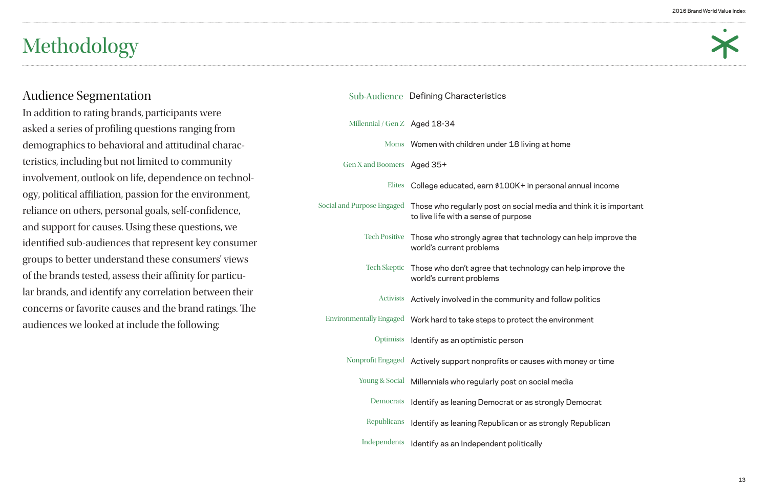

- 
- 
- 
- 
- 
- 
- 
- 
- 
- 

#### Audience Segmentation

In addition to rating brands, participants were asked a series of profling questions ranging from demographics to behavioral and attitudinal characteristics, including but not limited to community involvement, outlook on life, dependence on technology, political affiliation, passion for the environment, reliance on others, personal goals, self-confdence, and support for causes. Using these questions, we identifed sub-audiences that represent key consumer groups to better understand these consumers' views of the brands tested, assess their affinity for particular brands, and identify any correlation between their concerns or favorite causes and the brand ratings. The audiences we looked at include the following:

## Millennial / Gen Z Aged 18-34 Moms Women with children under 18 living at home Gen X and Boomers Aged 35+ Elites College educated, earn \$100K+ in personal annual income Social and Purpose Engaged Those who regularly post on social media and think it is important Tech Positive Those who strongly agree that technology can help improve the Tech Skeptic Those who don't agree that technology can help improve the Activists Actively involved in the community and follow politics Environmentally Engaged Work hard to take steps to protect the environment to live life with a sense of purpose world's current problems world's current problems Sub-Audience Defining Characteristics

Optimists Identify as an optimistic person

Nonprofit Engaged Actively support nonprofits or causes with money or time

Young & Social Millennials who regularly post on social media

Democrats Identify as leaning Democrat or as strongly Democrat

Republicans Identify as leaning Republican or as strongly Republican

Independents Identify as an Independent politically

# Methodology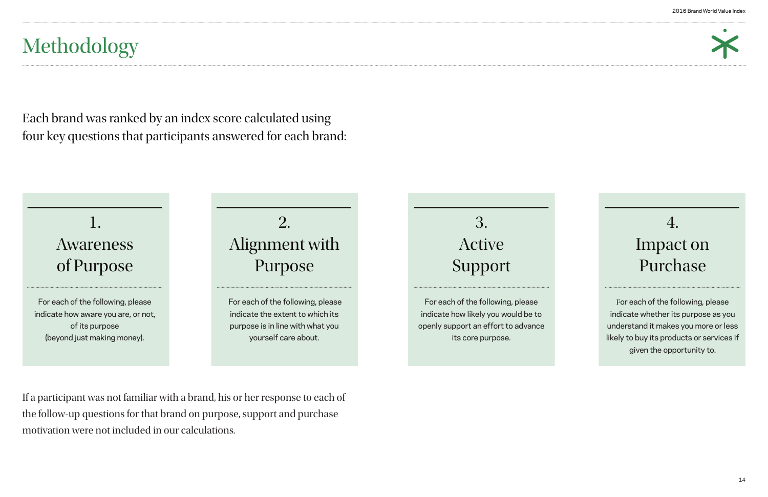



## 4. Impact on Purchase

For each of the following, please indicate whether its purpose as you understand it makes you more or less likely to buy its products or services if given the opportunity to.

If a participant was not familiar with a brand, his or her response to each of the follow-up questions for that brand on purpose, support and purchase motivation were not included in our calculations.

# Methodology

Each brand was ranked by an index score calculated using four key questions that participants answered for each brand: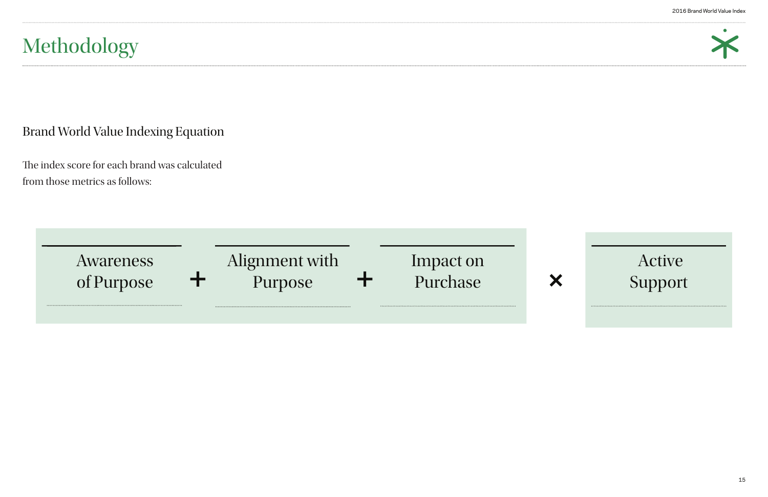

| <i>Awareness</i><br>of Purpose | Alignment with<br>Purpose | Impact on<br>Purchase |
|--------------------------------|---------------------------|-----------------------|
|                                |                           |                       |

## Active Support

 $\boldsymbol{\mathsf{X}}$ 

The index score for each brand was calculated from those metrics as follows:

#### Brand World Value Indexing Equation

# Methodology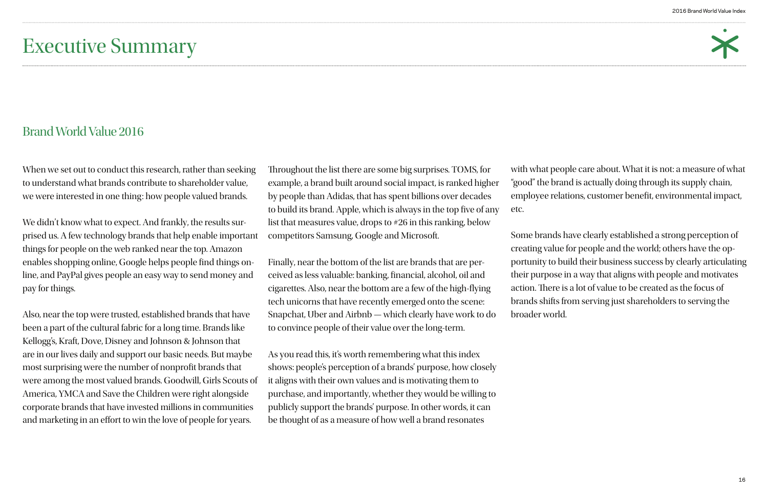

## Executive Summary

When we set out to conduct this research, rather than seeking to understand what brands contribute to shareholder value, we were interested in one thing: how people valued brands.

Also, near the top were trusted, established brands that have been a part of the cultural fabric for a long time. Brands like Kellogg's, Kraft, Dove, Disney and Johnson & Johnson that are in our lives daily and support our basic needs. But maybe most surprising were the number of nonproft brands that were among the most valued brands. Goodwill, Girls Scouts of America, YMCA and Save the Children were right alongside corporate brands that have invested millions in communities and marketing in an effort to win the love of people for years.

We didn't know what to expect. And frankly, the results surprised us. A few technology brands that help enable important things for people on the web ranked near the top. Amazon enables shopping online, Google helps people fnd things online, and PayPal gives people an easy way to send money and pay for things.

Throughout the list there are some big surprises. TOMS, for example, a brand built around social impact, is ranked higher by people than Adidas, that has spent billions over decades to build its brand. Apple, which is always in the top five of any list that measures value, drops to #26 in this ranking, below competitors Samsung, Google and Microsoft.

Finally, near the bottom of the list are brands that are perceived as less valuable: banking, fnancial, alcohol, oil and cigarettes. Also, near the bottom are a few of the high-fying tech unicorns that have recently emerged onto the scene: Snapchat, Uber and Airbnb — which clearly have work to do to convince people of their value over the long-term.

As you read this, it's worth remembering what this index shows: people's perception of a brands' purpose, how closely it aligns with their own values and is motivating them to purchase, and importantly, whether they would be willing to publicly support the brands' purpose. In other words, it can be thought of as a measure of how well a brand resonates

with what people care about. What it is not: a measure of what "good" the brand is actually doing through its supply chain, employee relations, customer beneft, environmental impact, etc.

Some brands have clearly established a strong perception of creating value for people and the world; others have the opportunity to build their business success by clearly articulating their purpose in a way that aligns with people and motivates action. There is a lot of value to be created as the focus of brands shifts from serving just shareholders to serving the broader world.

#### Brand World Value 2016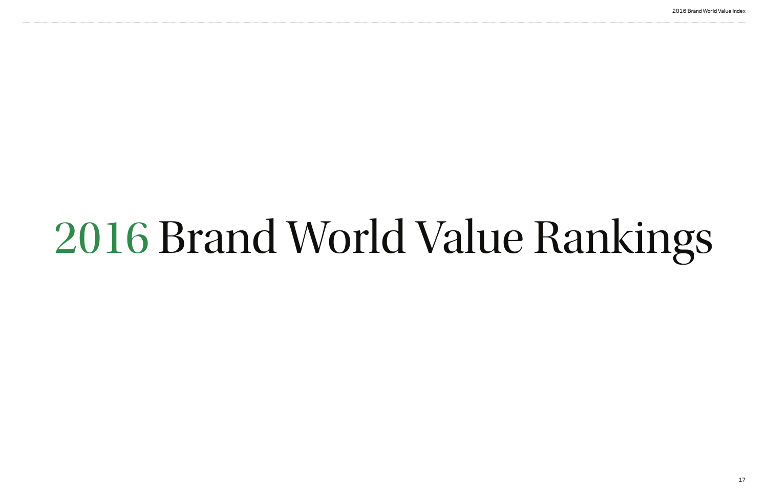# 2016 Brand World Value Rankings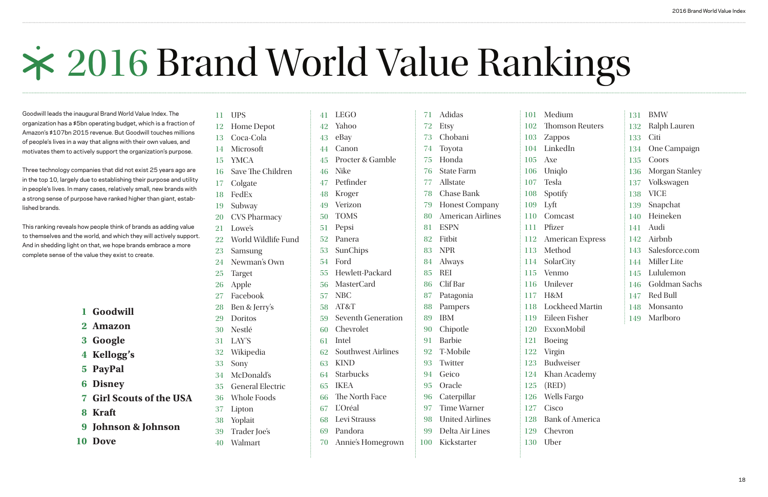

Goodwill leads the inaugural Brand World Value Index. The organization has a \$5bn operating budget, which is a fraction of Amazon's \$107bn 2015 revenue. But Goodwill touches millions of people's lives in a way that aligns with their own values, and motivates them to actively support the organization's purpose.

Three technology companies that did not exist 25 years ago are in the top 10, largely due to establishing their purpose and utility in people's lives. In many cases, relatively small, new brands with a strong sense of purpose have ranked higher than giant, established brands.

This ranking reveals how people think of brands as adding value to themselves and the world, and which they will actively support. And in shedding light on that, we hope brands embrace a more complete sense of the value they exist to create.

- **Goodwill 1**
- **Amazon 2**
- **Google 3**
- **Kellogg's 4**
- **PayPal 5**
- **Disney 6**
- **Girl Scouts of the USA 7**
- **Kraft 8**
- **Johnson & Johnson 9**
- 10 Dove
- 12 Home Depot
- 13 Coca-Cola
- Microsoft 14
- YMCA 15
- 16 Save The Children
- 17 Colgate
- FedEx 18
- 19 Subway
- CVS Pharmacy 20
- Lowe's 21
- World Wildlife Fund 22
- Samsung 23
- Newman's Own 24
- Target 25
- Apple 26
- Facebook 27
- Ben & Jerry's 28
- Doritos 29
- Nestlé 30
- LAY'S 31
- Wikipedia 32
- Sony 33
- McDonald's 34
- General Electric 35
- Whole Foods 36
- Lipton 37
- Yoplait 38
- Trader Joe's 39
- Walmart 40

| . .<br>v<br>w |
|---------------|

- LEGO 41
- Yahoo 42
- eBay 43
- Canon 44
- Procter & Gamble 45
- Nike 46
- Petfnder 47
- Kroger 48
- Verizon 49
- TOMS 50
- Pepsi 51
- Panera 52
- SunChips 53
- Ford 54
- Hewlett-Packard 55
- MasterCard 56
- NBC 57
- AT&T 58
- Seventh Generation 59
- Chevrolet 60
- Intel 61
- Southwest Airlines 62
- KIND 63
- Starbucks 64
- IKEA 65
- The North Face 66
- L'Oréal 67
- Levi Strauss 68
- Pandora 69
- Annie's Homegrown 70

United Airlines Delta Air Lines

Kickstarter

- Adidas 71
- Etsy 72
- Chobani 73
- Toyota 74
- Honda 75
- State Farm 76
- Allstate 77
- Chase Bank 78
- Honest Company 79
- American Airlines 80
- ESPN 81
- Fitbit 82
- NPR 83
- Always 84
- REI 85
- Clif Bar 86
- Patagonia 87
- Pampers 88
- IBM Chipotle 89 90
- Barbie 91
- T-Mobile 92
- 93
- Twitter Geico 94
- Oracle 95
- Caterpillar 96

Time Warner 97

98 99 100

112 113

115 116

| 101 | Medium                  | 131 |  |
|-----|-------------------------|-----|--|
| 102 | <b>Thomson Reuters</b>  | 132 |  |
| 103 | <b>Zappos</b>           | 133 |  |
| 104 | LinkedIn                | 134 |  |
| 105 | Axe                     | 135 |  |
| 106 | Uniqlo                  | 136 |  |
| 107 | <b>Tesla</b>            | 137 |  |
| 108 | Spotify                 | 138 |  |
| 109 | Lyft                    | 139 |  |
| 110 | Comcast                 | 140 |  |
| 111 | Pfizer                  | 141 |  |
| 112 | <b>American Express</b> | 142 |  |
| 113 | Method                  | 143 |  |
|     | 114 SolarCity           | 144 |  |
| 115 | Venmo                   | 145 |  |
| 116 | Unilever                | 146 |  |
| 117 | H&M                     | 147 |  |
| 118 | <b>Lockheed Martin</b>  | 148 |  |
| 119 | Eileen Fisher           | 149 |  |
| 120 | ExxonMobil              |     |  |
| 121 | <b>Boeing</b>           |     |  |
| 122 | Virgin                  |     |  |
| 123 | <b>Budweiser</b>        |     |  |
| 124 | Khan Academy            |     |  |
| 125 | (RED)                   |     |  |
| 126 | <b>Wells Fargo</b>      |     |  |
| 127 | Cisco                   |     |  |

Bank of America Chevron

Uber

| 131 BMW            |
|--------------------|
| 132 Ralph Lauren   |
| 133 Citi           |
| 134 One Campaign   |
| 135 Coors          |
| 136 Morgan Stanley |
| 137 Volkswagen     |
| 138 VICE           |
| 139 Snapchat       |
| 140 Heineken       |
| 141 Audi           |
| 142 Airbnb         |
| 143 Salesforce.com |
| 144 Miller Lite    |
| 145 Lululemon      |
| 146 Goldman Sachs  |
| 147 Red Bull       |
| 148 Monsanto       |
| 149 Marlboro       |

# 2016 Brand World Value Rankings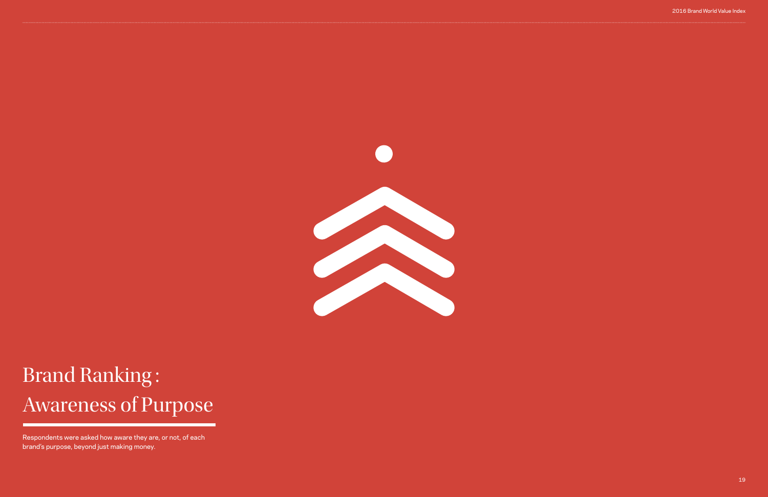#### 2016 Brand World Value Index



# Brand Ranking : Awareness of Purpose

Respondents were asked how aware they are, or not, of each brand's purpose, beyond just making money.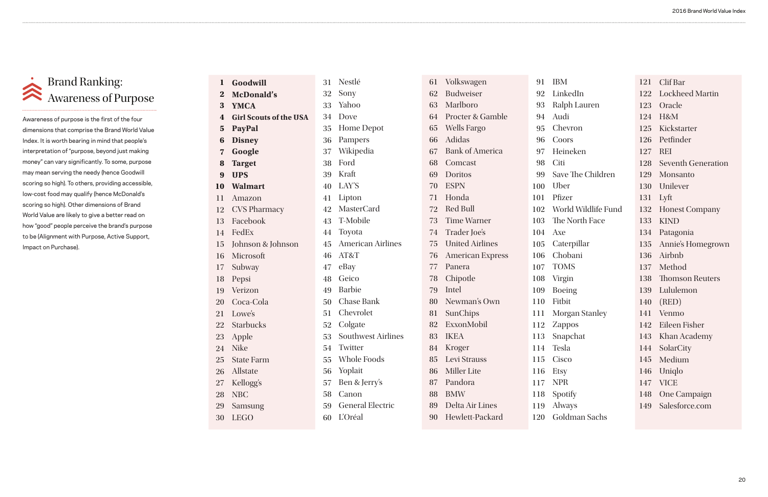#### Brand Ranking: Awareness of Purpose

Awareness of purpose is the first of the four dimensions that comprise the Brand World Value Index. It is worth bearing in mind that people's interpretation of "purpose, beyond just making money" can vary significantly. To some, purpose may mean serving the needy (hence Goodwill scoring so high). To others, providing accessible, low-cost food may qualify (hence McDonald's scoring so high). Other dimensions of Brand World Value are likely to give a better read on how "good" people perceive the brand's purpose to be (Alignment with Purpose, Active Support, Impact on Purchase).

| 91  | <b>IBM</b>              |     | 121 Clif Bar           |
|-----|-------------------------|-----|------------------------|
|     | 92 LinkedIn             |     | 122 Lockheed Martin    |
| 93  | Ralph Lauren            |     | 123 Oracle             |
| 94  | Audi                    |     | 124 H&M                |
| 95  | Chevron                 |     | 125 Kickstarter        |
| 96  | Coors                   |     | 126 Petfinder          |
|     | 97 Heineken             |     | 127 REI                |
|     | 98 Citi                 |     | 128 Seventh Generation |
|     | 99 Save The Children    |     | 129 Monsanto           |
|     | 100 Uber                |     | 130 Unilever           |
| 101 | Pfizer                  | 131 | Lyft                   |
|     | 102 World Wildlife Fund | 132 | <b>Honest Company</b>  |
|     | 103 The North Face      | 133 | <b>KIND</b>            |
| 104 | Axe                     | 134 | Patagonia              |
|     | 105 Caterpillar         | 135 | Annie's Homegrown      |
|     | 106 Chobani             |     | 136 Airbnb             |
|     | 107 TOMS                |     | 137 Method             |
| 108 | Virgin                  |     | 138 Thomson Reuters    |
| 109 | <b>Boeing</b>           | 139 | Lululemon              |
| 110 | Fitbit                  | 140 | (RED)                  |
| 111 | <b>Morgan Stanley</b>   |     | 141 Venmo              |
| 112 | Zappos                  |     | 142 Eileen Fisher      |
| 113 | Snapchat                |     | 143 Khan Academy       |
| 114 | Tesla                   | 144 | SolarCity              |
| 115 | Cisco                   | 145 | Medium                 |
| 116 | <b>Etsy</b>             | 146 | Uniqlo                 |
| 117 | <b>NPR</b>              | 147 | <b>VICE</b>            |
| 118 | Spotify                 | 148 | <b>One Campaign</b>    |
| 119 | Always                  | 149 | Salesforce.com         |
|     |                         |     |                        |

30 LEGO

| L                       | Nestlé        |
|-------------------------|---------------|
| $\overline{\mathbf{z}}$ | Sony          |
| }                       | Yahoo         |
| $\mathbf{1}$            | Dove          |
| 5                       | Home Dep      |
| $\mathbf{\hat{j}}$      | Pampers       |
| 7                       | Wikipedia     |
| 3                       | Ford          |
| J                       | Kraft         |
| $\bm{\mathsf{I}}$       | LAY'S         |
| L                       | Lipton        |
| $\overline{\mathbf{z}}$ | MasterCar     |
| }                       | T-Mobile      |
| $\mathbf{1}$            | Toyota        |
| 5                       | American      |
| $\mathbf{\hat{j}}$      | AT&T          |
| 7                       | eBay          |
| 3                       | Geico         |
| J                       | <b>Barbie</b> |
| $\mathbf{)}$            | Chase Bar     |
| Ĺ                       | Chevrolet     |

| 1                       | Goodwill                      | 31 | Nestlé                    |
|-------------------------|-------------------------------|----|---------------------------|
| $\mathbf{2}$            | <b>McDonald's</b>             | 32 | Sony                      |
| 3                       | <b>YMCA</b>                   |    | 33 Yahoo                  |
| $\overline{\mathbf{4}}$ | <b>Girl Scouts of the USA</b> |    | 34 Dove                   |
| $\overline{\mathbf{5}}$ | <b>PayPal</b>                 |    | 35 Home Depot             |
| 6                       | <b>Disney</b>                 | 36 | Pampers                   |
| $\overline{\mathbf{z}}$ | Google                        | 37 | Wikipedia                 |
| 8                       | <b>Target</b>                 | 38 | Ford                      |
| 9                       | <b>UPS</b>                    |    | 39 Kraft                  |
|                         | 10 Walmart                    |    | 40 LAY'S                  |
| 11                      | Amazon                        | 41 | Lipton                    |
|                         | 12 CVS Pharmacy               | 42 | <b>MasterCard</b>         |
|                         | 13 Facebook                   |    | 43 T-Mobile               |
|                         | 14 FedEx                      |    | 44 Toyota                 |
|                         | 15 Johnson & Johnson          | 45 | <b>American Airlines</b>  |
| 16                      | Microsoft                     | 46 | AT&T                      |
| 17                      | Subway                        | 47 | eBay                      |
| 18                      | Pepsi                         |    | 48 Geico                  |
|                         | 19 Verizon                    |    | 49 Barbie                 |
|                         | 20 Coca-Cola                  |    | 50 Chase Bank             |
|                         | 21 Lowe's                     |    | 51 Chevrolet              |
|                         | 22 Starbucks                  |    | 52 Colgate                |
| 23                      | Apple                         | 53 | <b>Southwest Airlines</b> |
| 24                      | <b>Nike</b>                   | 54 | Twitter                   |
| 25                      | <b>State Farm</b>             | 55 | <b>Whole Foods</b>        |
| 26                      | Allstate                      | 56 | Yoplait                   |
| 27                      | Kellogg's                     | 57 | Ben & Jerry's             |
| 28                      | <b>NBC</b>                    | 58 | Canon                     |
| 29                      | Samsung                       | 59 | <b>General Electric</b>   |

60 L'Oréal

| 61 | Volkswagen          |
|----|---------------------|
|    | 62 Budweiser        |
|    | 63 Marlboro         |
|    | 64 Procter & Gamble |
|    | 65 Wells Fargo      |
|    | 66 Adidas           |
|    | 67 Bank of America  |
|    | 68 Comcast          |
|    | 69 Doritos          |
|    | 70 ESPN             |
|    | 71 Honda            |
|    | 72 Red Bull         |
|    | 73 Time Warner      |
| 74 | Trader Joe's        |
|    | 75 United Airlines  |
|    | 76 American Express |
|    | 77 Panera           |
| 78 | Chipotle            |
| 79 | Intel               |
|    | 80 Newman's Own     |
| 81 | SunChips            |
| 82 | ExxonMobil          |
|    | 83 IKEA             |
| 84 | Kroger              |
| 85 | Levi Strauss        |
| 86 | <b>Miller</b> Lite  |
| 87 | Pandora             |
| 88 | <b>BMW</b>          |
| 89 | Delta Air Lines     |
| 90 | Hewlett-Packard     |
|    |                     |

120 Goldman Sachs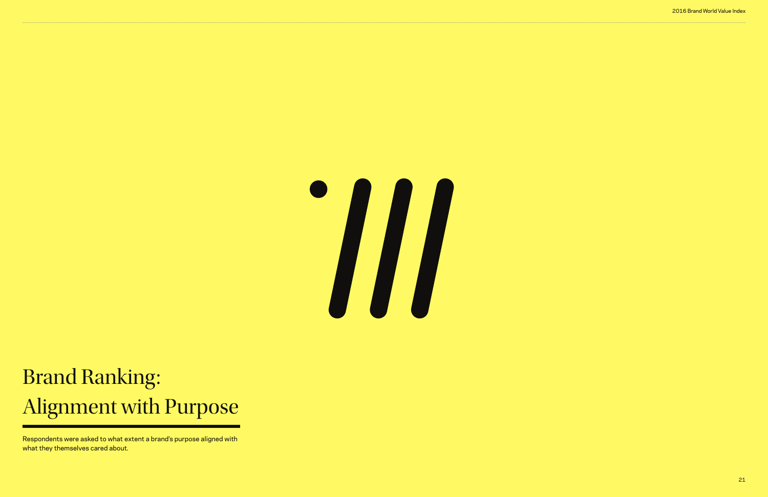#### 2016 Brand World Value Index



# Brand Ranking: Alignment with Purpose

Respondents were asked to what extent a brand's purpose aligned with what they themselves cared about.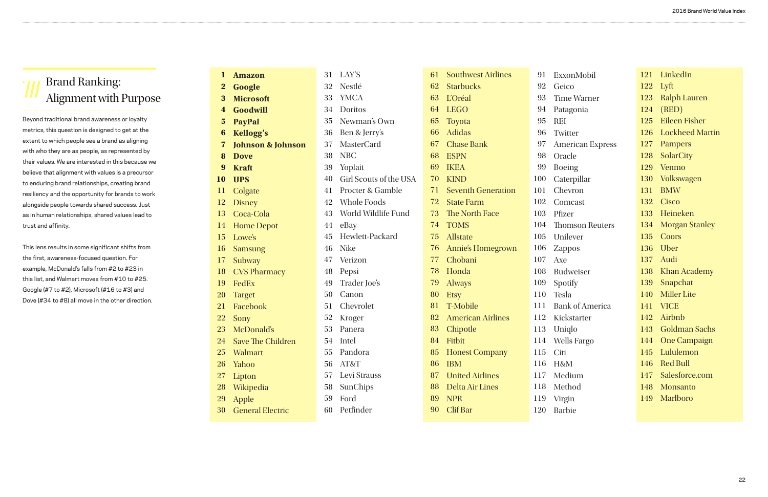121 LinkedIn

122 Lyft 123 Ralph Lauren 124 (RED) 125 Eileen Fisher 126 Lockheed Martin 127 128 SolarCity 129 130 Volkswagen 131 132 Cisco 133 Heineken 134 Morgan Stanley 135 136 Uber 137 Audi 138 139 140 Miller Lite 141 142 143 Goldman Sachs 144 One Campaign 145 Pampers Venmo BMW **Coors** Khan Academy Snapchat VICE Airbnb Lululemon

- 146 Red Bull
- 147 Salesforce.com
- 148 Monsanto
- 149 Marlboro

| $\bf{l}$         | <b>Amazon</b>                | 31 | LAY'S                  | 61 | <b>Southwest Airlines</b> | 91  | Ex             |
|------------------|------------------------------|----|------------------------|----|---------------------------|-----|----------------|
| $\bf{2}$         | Google                       | 32 | Nestlé                 | 62 | <b>Starbucks</b>          | 92  | $G\epsilon$    |
| 3                | <b>Microsoft</b>             | 33 | <b>YMCA</b>            | 63 | <b>L'Oréal</b>            | 93  | Tii            |
| $\boldsymbol{4}$ | <b>Goodwill</b>              | 34 | Doritos                | 64 | <b>LEGO</b>               | 94  | Pa             |
| 5                | <b>PayPal</b>                | 35 | Newman's Own           | 65 | <b>Toyota</b>             | 95  | <b>RE</b>      |
| 6                | <b>Kellogg's</b>             | 36 | Ben & Jerry's          | 66 | <b>Adidas</b>             | 96  | Tv             |
| $\bf{7}$         | <b>Johnson &amp; Johnson</b> | 37 | <b>MasterCard</b>      | 67 | <b>Chase Bank</b>         | 97  | Ar             |
| 8                | <b>Dove</b>                  | 38 | <b>NBC</b>             | 68 | <b>ESPN</b>               | 98  | <b>Or</b>      |
| 9                | <b>Kraft</b>                 | 39 | Yoplait                | 69 | <b>IKEA</b>               | 99  | <b>Bo</b>      |
| 10               | <b>UPS</b>                   | 40 | Girl Scouts of the USA | 70 | <b>KIND</b>               | 100 | Ca             |
| 11               | Colgate                      | 41 | Procter & Gamble       | 71 | <b>Seventh Generation</b> | 101 | C <sub>k</sub> |
| 12               | <b>Disney</b>                | 42 | <b>Whole Foods</b>     | 72 | <b>State Farm</b>         | 102 | C <sub>C</sub> |
| 13               | Coca-Cola                    | 43 | World Wildlife Fund    | 73 | The North Face            | 103 | Pfi            |
| 14               | <b>Home Depot</b>            | 44 | eBay                   | 74 | <b>TOMS</b>               | 104 | Th             |
| 15               | Lowe's                       | 45 | Hewlett-Packard        | 75 | <b>Allstate</b>           | 105 | Ur             |
| 16               | <b>Samsung</b>               | 46 | <b>Nike</b>            | 76 | <b>Annie's Homegrown</b>  | 106 | Za             |
| <b>17</b>        | Subway                       | 47 | Verizon                | 77 | Chobani                   | 107 | Ax             |
| 18               | <b>CVS Pharmacy</b>          | 48 | Pepsi                  | 78 | Honda                     | 108 | Bu             |
| 19               | FedEx                        | 49 | Trader Joe's           | 79 | <b>Always</b>             | 109 | Sp             |
| <b>20</b>        | <b>Target</b>                | 50 | Canon                  | 80 | <b>Etsy</b>               | 110 | Te             |
| 21               | Facebook                     | 51 | Chevrolet              | 81 | <b>T-Mobile</b>           | 111 | Ba             |
| <b>22</b>        | Sony                         | 52 | Kroger                 | 82 | <b>American Airlines</b>  | 112 | Ki             |
| 23               | McDonald's                   | 53 | Panera                 | 83 | Chipotle                  | 113 | Ur             |
| 24               | <b>Save The Children</b>     | 54 | Intel                  | 84 | Fitbit                    | 114 | <b>W</b>       |
| 25               | <b>Walmart</b>               | 55 | Pandora                | 85 | <b>Honest Company</b>     | 115 | Ci             |
| <b>26</b>        | Yahoo                        | 56 | AT&T                   | 86 | <b>IBM</b>                | 116 | $H\delta$      |
| <b>27</b>        | Lipton                       | 57 | Levi Strauss           | 87 | <b>United Airlines</b>    | 117 | M              |
| <b>28</b>        | Wikipedia                    | 58 | SunChips               | 88 | Delta Air Lines           | 118 | M              |
| <b>29</b>        | Apple                        | 59 | Ford                   | 89 | <b>NPR</b>                | 119 | Vii            |
| 30               | <b>General Electric</b>      | 60 | Petfinder              | 90 | Clif Bar                  | 120 | Ba             |

| xxonMobil |
|-----------|
|-----------|

eico

- me Warner
- atagonia
- $\mathbf{E}$
- witter
- merican Express
- racle
- eing
- terpillar
- hevron
- omcast
- izer
- nomson Reuters
- nilever
- appos
- $e$
- ıdweiser
- otify
- esla
- Bank of America
- ckstarter
- niqlo
- 
- Wells Fargo
- iti
- $8M$
- edium
- ethod
- rgin
- arbie

#### Brand Ranking: Alignment with Purpose

Beyond traditional brand awareness or loyalty metrics, this question is designed to get at the extent to which people see a brand as aligning with who they are as people, as represented by their values. We are interested in this because we believe that alignment with values is a precursor to enduring brand relationships, creating brand resiliency and the opportunity for brands to work alongside people towards shared success. Just as in human relationships, shared values lead to trust and affinity.

This lens results in some significant shifts from the first, awareness-focused question. For example, McDonald's falls from #2 to #23 in this list, and Walmart moves from #10 to #25. Google (#7 to #2), Microsoft (#16 to #3) and Dove (#34 to #8) all move in the other direction.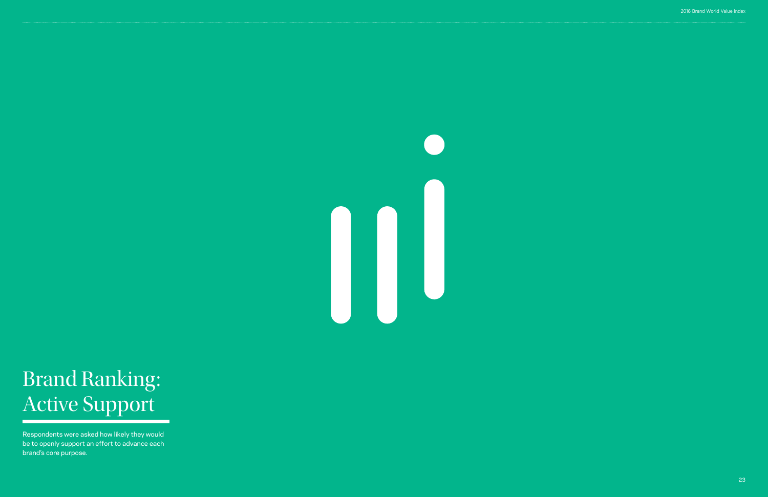

# Brand Ranking: Active Support

Respondents were asked how likely they would be to openly support an effort to advance each brand's core purpose.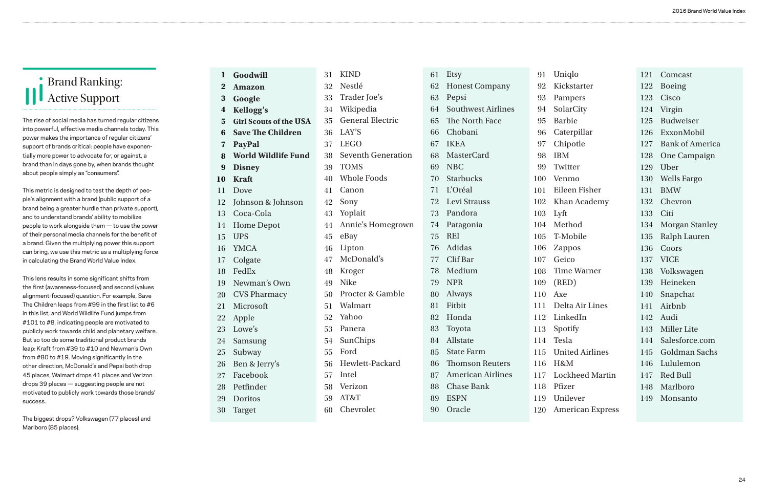122 Boeing

- 123 Cisco
- 124 Virgin
- 125 Budweiser
- 126 ExxonMobil

- 127 Bank of America
- 128 One Campaign
- 129 Uber
- 130 Wells Fargo
- 131 BMW
- 132 Chevron
- 133 Citi
- 134 Morgan Stanley
- 135 Ralph Lauren
- 136 Coors
- 137 VICE
- 138 Volkswagen
- 139 Heineken
- 140 Snapchat
- 141 Airbnb
- 142 Audi
- 143 Miller Lite
- 144 Salesforce.com
- 145 Goldman Sachs
- 146 Lululemon
- 147 Red Bull
- 148 Marlboro
- 149 Monsanto

92 93

95 96

107 108 109

111 112 113

115 116

119

Comcast

30 Target

60 Chevrolet

| Goodwill                      | 31 | <b>KIND</b>               | 61 | Etsy                      |
|-------------------------------|----|---------------------------|----|---------------------------|
| <b>Amazon</b>                 | 32 | Nestlé                    | 62 | <b>Honest Company</b>     |
| Google                        | 33 | Trader Joe's              | 63 | Pepsi                     |
| Kellogg's                     | 34 | Wikipedia                 | 64 | <b>Southwest Airlines</b> |
| <b>Girl Scouts of the USA</b> | 35 | <b>General Electric</b>   | 65 | The North Face            |
| <b>Save The Children</b>      | 36 | LAY'S                     | 66 | Chobani                   |
| <b>PayPal</b>                 | 37 | <b>LEGO</b>               | 67 | <b>IKEA</b>               |
| <b>World Wildlife Fund</b>    | 38 | <b>Seventh Generation</b> | 68 | <b>MasterCard</b>         |
| <b>Disney</b>                 | 39 | <b>TOMS</b>               | 69 | <b>NBC</b>                |
| <b>Kraft</b>                  | 40 | <b>Whole Foods</b>        | 70 | <b>Starbucks</b>          |
| Dove                          | 41 | Canon                     | 71 | L'Oréal                   |
| Johnson & Johnson             | 42 | Sony                      | 72 | Levi Strauss              |
| Coca-Cola                     | 43 | Yoplait                   | 73 | Pandora                   |
| <b>Home Depot</b>             | 44 | Annie's Homegrown         | 74 | Patagonia                 |
| <b>UPS</b>                    | 45 | eBay                      | 75 | <b>REI</b>                |
| <b>YMCA</b>                   | 46 | Lipton                    | 76 | Adidas                    |
| Colgate                       | 47 | McDonald's                | 77 | Clif Bar                  |
| FedEx                         | 48 | Kroger                    | 78 | Medium                    |
| Newman's Own                  | 49 | <b>Nike</b>               | 79 | <b>NPR</b>                |
| <b>CVS Pharmacy</b>           | 50 | Procter & Gamble          | 80 | Always                    |
| Microsoft                     | 51 | Walmart                   | 81 | Fitbit                    |
| Apple                         | 52 | Yahoo                     | 82 | Honda                     |
| Lowe's                        | 53 | Panera                    | 83 | Toyota                    |
| Samsung                       | 54 | SunChips                  | 84 | Allstate                  |
| Subway                        | 55 | Ford                      | 85 | <b>State Farm</b>         |
| Ben & Jerry's                 | 56 | Hewlett-Packard           | 86 | <b>Thomson Reuters</b>    |
| Facebook                      | 57 | Intel                     | 87 | <b>American Airlines</b>  |
| Petfinder                     | 58 | Verizon                   | 88 | <b>Chase Bank</b>         |
| Doritos                       | 59 | AT&T                      | 89 | <b>ESPN</b>               |
|                               |    |                           |    |                           |

90 Oracle

| Uniqlo<br>91 |  |
|--------------|--|
|--------------|--|

Kickstarter

- Pampers
- 94 SolarCity
	- Barbie
	- Caterpillar
- 97 Chipotle
	- IBM
	- Twitter
	- Venmo
	- Eileen Fisher
	- Khan Academy
	- Lyft
	- Method
	- T-Mobile
- 106 Zappos
	- Geico
	- Time Warner
	- (RED)
- 110 Axe
	- Delta Air Lines
	- LinkedIn
	- Spotify
- 114 Tesla
	-
	- United Airlines
	- H&M
- 117 Lockheed Martin
- 118 Pfizer
	- Unilever
- 120 American Express

#### Brand Ranking: Active Support

The rise of social media has turned regular citizens into powerful, effective media channels today. This power makes the importance of regular citizens' support of brands critical: people have exponentially more power to advocate for, or against, a brand than in days gone by, when brands thought about people simply as "consumers".

This metric is designed to test the depth of people's alignment with a brand (public support of a brand being a greater hurdle than private support), and to understand brands' ability to mobilize people to work alongside them — to use the power of their personal media channels for the benefit of a brand. Given the multiplying power this support can bring, we use this metric as a multiplying force in calculating the Brand World Value Index.

This lens results in some significant shifts from the first (awareness-focused) and second (values alignment-focused) question. For example, Save The Children leaps from #99 in the first list to #6 in this list, and World Wildlife Fund jumps from #101 to #8, indicating people are motivated to publicly work towards child and planetary welfare. But so too do some traditional product brands leap: Kraft from #39 to #10 and Newman's Own from #80 to #19. Moving significantly in the other direction, McDonald's and Pepsi both drop 45 places, Walmart drops 41 places and Verizon drops 39 places — suggesting people are not motivated to publicly work towards those brands' success.

The biggest drops? Volkswagen (77 places) and Marlboro (85 places).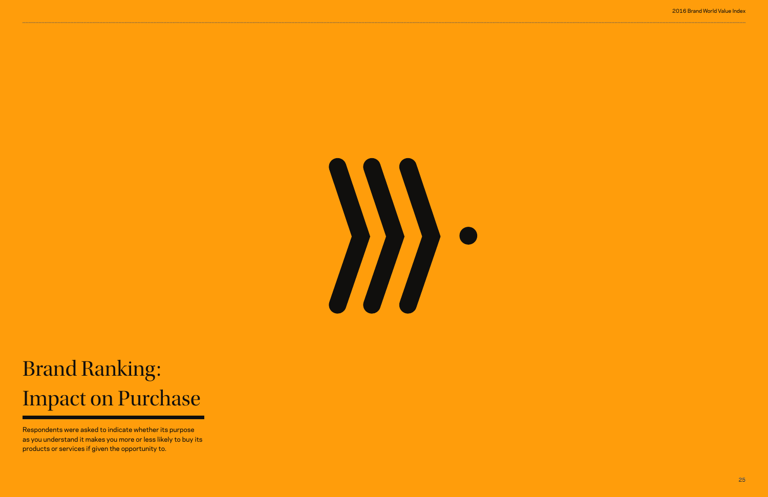#### 2016 Brand World Value Index



# Brand Ranking: Impact on Purchase

Respondents were asked to indicate whether its purpose as you understand it makes you more or less likely to buy its products or services if given the opportunity to.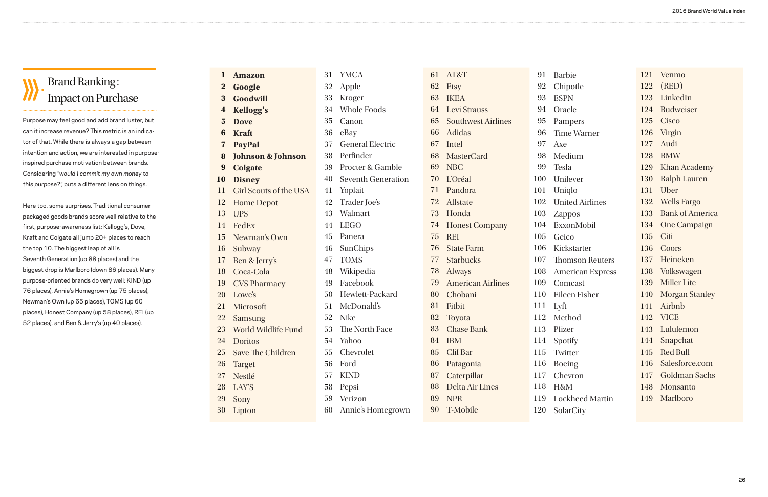| 1                | <b>Amazon</b>                 | 31 | <b>YMCA</b>               | 61 | AT&T               |
|------------------|-------------------------------|----|---------------------------|----|--------------------|
| $\bf{2}$         | Google                        | 32 | Apple                     | 62 | <b>Etsy</b>        |
| 3                | Goodwill                      | 33 | Kroger                    | 63 | <b>IKEA</b>        |
| $\boldsymbol{4}$ | <b>Kellogg's</b>              | 34 | Whole Foods               | 64 | Levi St            |
| $5\phantom{1}$   | <b>Dove</b>                   | 35 | Canon                     | 65 | Southy             |
| 6                | <b>Kraft</b>                  | 36 | eBay                      | 66 | Adidas             |
| 7                | <b>PayPal</b>                 | 37 | <b>General Electric</b>   | 67 | Intel              |
| 8                | <b>Johnson &amp; Johnson</b>  | 38 | Petfinder                 | 68 | <b>Master</b>      |
| 9                | <b>Colgate</b>                | 39 | Procter & Gamble          | 69 | <b>NBC</b>         |
| 10               | <b>Disney</b>                 | 40 | <b>Seventh Generation</b> | 70 | L'Oréal            |
| 11               | <b>Girl Scouts of the USA</b> | 41 | Yoplait                   | 71 | Pandon             |
| 12               | <b>Home Depot</b>             | 42 | Trader Joe's              | 72 | Allstate           |
| 13               | <b>UPS</b>                    | 43 | Walmart                   | 73 | Honda              |
| 14               | FedEx                         | 44 | <b>LEGO</b>               | 74 | Honest             |
| 15               | Newman's Own                  | 45 | Panera                    | 75 | <b>REI</b>         |
| 16               | Subway                        | 46 | SunChips                  | 76 | <b>State F</b>     |
| 17               | Ben & Jerry's                 | 47 | <b>TOMS</b>               | 77 | Starbu             |
| 18               | Coca-Cola                     | 48 | Wikipedia                 | 78 | Always             |
| 19               | <b>CVS Pharmacy</b>           | 49 | Facebook                  | 79 | Amerio             |
| 20               | Lowe's                        | 50 | Hewlett-Packard           | 80 | Choba              |
| 21               | Microsoft                     | 51 | McDonald's                | 81 | Fitbit             |
| 22               | <b>Samsung</b>                | 52 | <b>Nike</b>               | 82 | Toyota             |
| 23               | World Wildlife Fund           | 53 | The North Face            | 83 | Chase <sup>7</sup> |
| 24               | <b>Doritos</b>                | 54 | Yahoo                     | 84 | <b>IBM</b>         |
| 25               | <b>Save The Children</b>      | 55 | Chevrolet                 | 85 | Clif Ba            |
| 26               | <b>Target</b>                 | 56 | Ford                      | 86 | Patago             |
| 27               | Nestlé                        | 57 | <b>KIND</b>               | 87 | Caterp             |
| 28               | LAY'S                         | 58 | Pepsi                     | 88 | Delta A            |
| 29               | Sony                          | 59 | Verizon                   | 89 | <b>NPR</b>         |
| 30               | Lipton                        | 60 | Annie's Homegrown         | 90 | T-Mob              |

| 1                | AT&T                      | 91  | <b>Barbie</b>           | 121 | Venmo                  |
|------------------|---------------------------|-----|-------------------------|-----|------------------------|
| $\overline{2}$   | <b>Etsy</b>               | 92  | Chipotle                | 122 | (RED)                  |
| 3                | <b>IKEA</b>               | 93  | <b>ESPN</b>             | 123 | LinkedIn               |
| $\overline{4}$   | Levi Strauss              | 94  | Oracle                  | 124 | Budweiser              |
| 5                | <b>Southwest Airlines</b> | 95  | Pampers                 | 125 | Cisco                  |
| 6                | <b>Adidas</b>             | 96  | <b>Time Warner</b>      | 126 | Virgin                 |
| 7                | Intel                     | 97  | Axe                     | 127 | Audi                   |
| 8                | <b>MasterCard</b>         | 98  | Medium                  | 128 | <b>BMW</b>             |
| 9                | <b>NBC</b>                | 99  | Tesla                   | 129 | Khan Academy           |
| $\overline{0}$   | <b>L'Oréal</b>            | 100 | Unilever                | 130 | <b>Ralph Lauren</b>    |
| l                | Pandora                   | 101 | Uniqlo                  | 131 | Uber                   |
| $\overline{2}$   | Allstate                  | 102 | <b>United Airlines</b>  | 132 | <b>Wells Fargo</b>     |
| 3                | Honda                     | 103 | Zappos                  | 133 | <b>Bank of America</b> |
| $\overline{4}$   | <b>Honest Company</b>     | 104 | ExxonMobil              | 134 | <b>One Campaign</b>    |
| 5                | <b>REI</b>                | 105 | Geico                   | 135 | Citi                   |
| 6                | <b>State Farm</b>         | 106 | Kickstarter             | 136 | Coors                  |
| $\overline{7}$   | <b>Starbucks</b>          | 107 | <b>Thomson Reuters</b>  | 137 | Heineken               |
| 8                | <b>Always</b>             | 108 | <b>American Express</b> | 138 | Volkswagen             |
| 9                | <b>American Airlines</b>  | 109 | Comcast                 | 139 | <b>Miller Lite</b>     |
| $\boldsymbol{0}$ | Chobani                   | 110 | Eileen Fisher           | 140 | <b>Morgan Stanley</b>  |
| 1                | Fitbit                    | 111 | Lyft                    | 141 | Airbnb                 |
| $\overline{2}$   | Toyota                    | 112 | Method                  | 142 | <b>VICE</b>            |
| 3                | <b>Chase Bank</b>         | 113 | Pfizer                  | 143 | Lululemon              |
| $\overline{4}$   | <b>IBM</b>                | 114 | Spotify                 | 144 | Snapchat               |
| 5                | Clif Bar                  | 115 | Twitter                 | 145 | <b>Red Bull</b>        |
| 6                | Patagonia                 | 116 | <b>Boeing</b>           | 146 | Salesforce.com         |
| $\overline{7}$   | Caterpillar               | 117 | Chevron                 | 147 | <b>Goldman Sachs</b>   |
| 8                | Delta Air Lines           | 118 | H&M                     | 148 | Monsanto               |
| 9                | <b>NPR</b>                | 119 | <b>Lockheed Martin</b>  | 149 | Marlboro               |
| $\overline{0}$   | <b>T-Mobile</b>           | 120 | SolarCity               |     |                        |
|                  |                           |     |                         |     |                        |

#### Brand Ranking : Impact on Purchase

Purpose may feel good and add brand luster, but can it increase revenue? This metric is an indicator of that. While there is always a gap between intention and action, we are interested in purposeinspired purchase motivation between brands. Considering "would I commit my own money to this purpose?", puts a different lens on things.

Here too, some surprises. Traditional consumer packaged goods brands score well relative to the first, purpose-awareness list: Kellogg's, Dove, Kraft and Colgate all jump 20+ places to reach the top 10. The biggest leap of all is Seventh Generation (up 88 places) and the biggest drop is Marlboro (down 86 places). Many purpose-oriented brands do very well: KIND (up 76 places), Annie's Homegrown (up 75 places), Newman's Own (up 65 places), TOMS (up 60 places), Honest Company (up 58 places), REI (up 52 places), and Ben & Jerry's (up 40 places).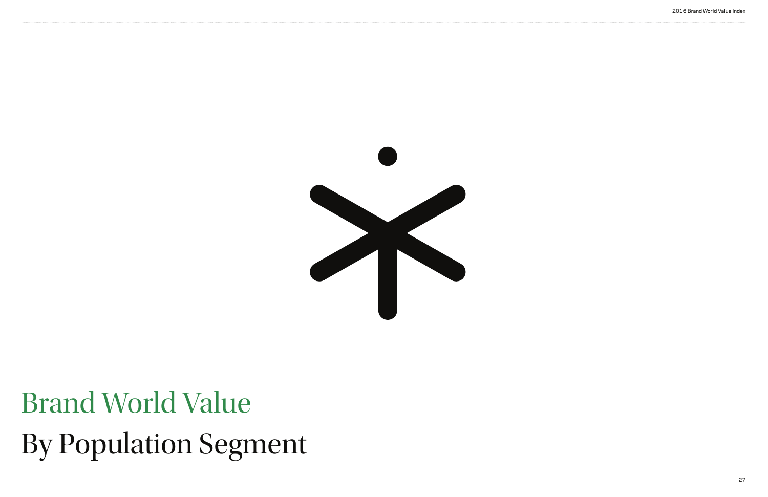# Brand World Value By Population Segment

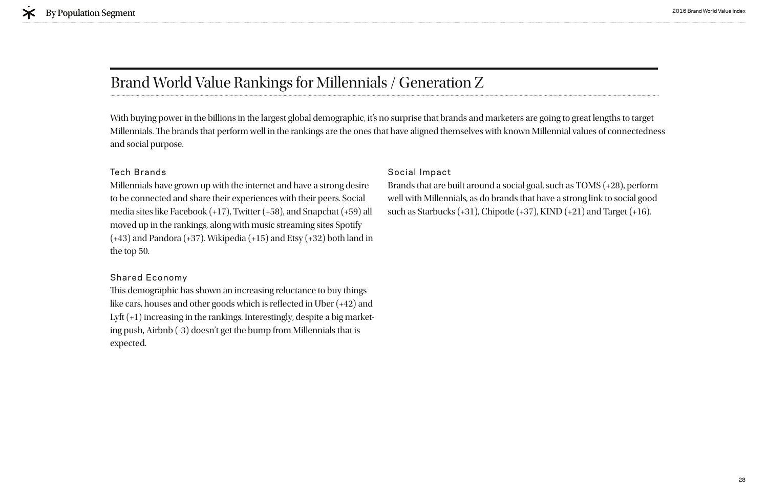#### Tech Brands

Millennials have grown up with the internet and have a strong desire to be connected and share their experiences with their peers. Social media sites like Facebook (+17), Twitter (+58), and Snapchat (+59) all moved up in the rankings, along with music streaming sites Spotify  $(+43)$  and Pandora  $(+37)$ . Wikipedia  $(+15)$  and Etsy  $(+32)$  both land in the top 50.

This demographic has shown an increasing reluctance to buy things like cars, houses and other goods which is refected in Uber (+42) and Lyft (+1) increasing in the rankings. Interestingly, despite a big marketing push, Airbnb (-3) doesn't get the bump from Millennials that is expected.

#### Shared Economy

### Brand World Value Rankings for Millennials / Generation Z

#### Social Impact

Brands that are built around a social goal, such as TOMS (+28), perform well with Millennials, as do brands that have a strong link to social good such as Starbucks (+31), Chipotle (+37), KIND (+21) and Target (+16).

With buying power in the billions in the largest global demographic, it's no surprise that brands and marketers are going to great lengths to target Millennials. The brands that perform well in the rankings are the ones that have aligned themselves with known Millennial values of connectedness and social purpose.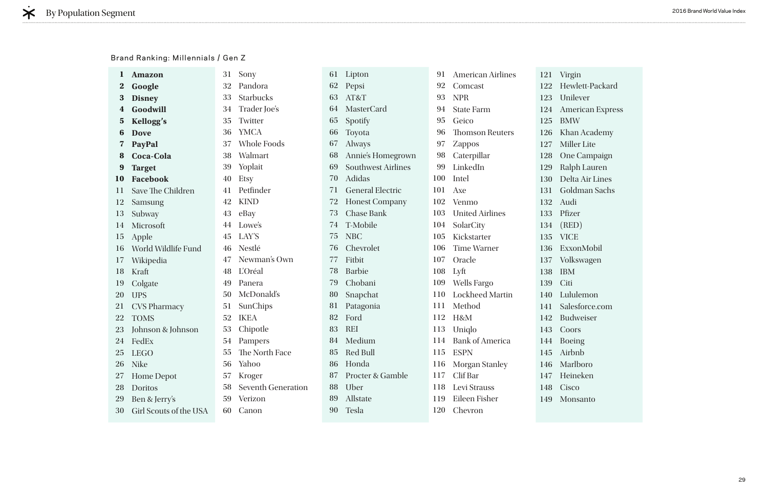irgin ewlett-Packard nilever merican Express BMW han Academy **Iiller Lite** ne Campaign alph Lauren elta Air Lines oldman Sachs udi ìzer (RED) CE ExxonMobil olkswagen  $M_{\odot}$ Lululemon lesforce.com Budweiser oors peing irbnb arlboro eineken isco onsanto

#### Brand Ranking: Millennials / Gen Z

|             | <b>Amazon</b>          | 31 | Sony                      | 61 | Lipton                    | 91  | <b>American Airlines</b> | 121 | Virg       |
|-------------|------------------------|----|---------------------------|----|---------------------------|-----|--------------------------|-----|------------|
| $\bf{2}$    | Google                 | 32 | Pandora                   | 62 | Pepsi                     | 92  | Comcast                  | 122 | Hey        |
| 3           | <b>Disney</b>          | 33 | <b>Starbucks</b>          | 63 | AT&T                      | 93  | <b>NPR</b>               | 123 | Uni        |
|             | Goodwill               | 34 | Trader Joe's              | 64 | <b>MasterCard</b>         | 94  | <b>State Farm</b>        | 124 | Am         |
| $5^{\circ}$ | <b>Kellogg's</b>       | 35 | Twitter                   | 65 | Spotify                   | 95  | Geico                    | 125 | <b>BM</b>  |
| 6           | <b>Dove</b>            | 36 | <b>YMCA</b>               | 66 | Toyota                    | 96  | <b>Thomson Reuters</b>   | 126 | Kha        |
| 7           | PayPal                 | 37 | <b>Whole Foods</b>        | 67 | <b>Always</b>             | 97  | <b>Zappos</b>            | 127 | Mil        |
| 8           | Coca-Cola              | 38 | Walmart                   | 68 | Annie's Homegrown         | 98  | Caterpillar              | 128 | One        |
| 9           | <b>Target</b>          | 39 | Yoplait                   | 69 | <b>Southwest Airlines</b> | 99  | LinkedIn                 | 129 | Ral        |
| <b>10</b>   | <b>Facebook</b>        | 40 | Etsy                      | 70 | Adidas                    | 100 | Intel                    | 130 | Del        |
| 11          | Save The Children      | 41 | Petfinder                 | 71 | <b>General Electric</b>   | 101 | Axe                      | 131 | Gol        |
| 12          | Samsung                | 42 | <b>KIND</b>               | 72 | <b>Honest Company</b>     | 102 | Venmo                    | 132 | Auc        |
| 13          | Subway                 | 43 | eBay                      | 73 | <b>Chase Bank</b>         | 103 | <b>United Airlines</b>   | 133 | Pfiz       |
| 14          | Microsoft              | 44 | Lowe's                    | 74 | T-Mobile                  | 104 | SolarCity                | 134 | (RE        |
| 15          | Apple                  | 45 | LAY'S                     | 75 | <b>NBC</b>                | 105 | Kickstarter              | 135 | <b>VIC</b> |
| 16          | World Wildlife Fund    | 46 | Nestlé                    | 76 | Chevrolet                 | 106 | <b>Time Warner</b>       | 136 | Exx        |
| 17          | Wikipedia              | 47 | Newman's Own              | 77 | Fitbit                    | 107 | Oracle                   | 137 | Vol        |
| 18          | Kraft                  | 48 | L'Oréal                   | 78 | <b>Barbie</b>             | 108 | Lyft                     | 138 | <b>IBN</b> |
| 19          | Colgate                | 49 | Panera                    | 79 | Chobani                   | 109 | <b>Wells Fargo</b>       | 139 | Citi       |
| 20          | <b>UPS</b>             | 50 | McDonald's                | 80 | Snapchat                  | 110 | <b>Lockheed Martin</b>   | 140 | Lul        |
| 21          | <b>CVS Pharmacy</b>    | 51 | SunChips                  | 81 | Patagonia                 | 111 | Method                   | 141 | Sale       |
| 22          | <b>TOMS</b>            | 52 | <b>IKEA</b>               | 82 | Ford                      | 112 | H&M                      | 142 | Buc        |
| 23          | Johnson & Johnson      | 53 | Chipotle                  | 83 | <b>REI</b>                | 113 | Uniqlo                   | 143 | Co(        |
|             | 24 FedEx               | 54 | Pampers                   | 84 | Medium                    | 114 | <b>Bank of America</b>   | 144 | <b>Boe</b> |
| 25          | <b>LEGO</b>            | 55 | The North Face            | 85 | Red Bull                  |     | 115 ESPN                 | 145 | Airl       |
| 26          | <b>Nike</b>            | 56 | Yahoo                     | 86 | Honda                     |     | 116 Morgan Stanley       | 146 | Ma         |
| 27          | <b>Home Depot</b>      | 57 | Kroger                    | 87 | Procter & Gamble          |     | 117 Clif Bar             | 147 | Hei        |
| 28          | Doritos                | 58 | <b>Seventh Generation</b> | 88 | Uber                      | 118 | Levi Strauss             | 148 | Cis        |
| 29          | Ben & Jerry's          | 59 | Verizon                   | 89 | Allstate                  | 119 | Eileen Fisher            | 149 | Mo         |
| 30          | Girl Scouts of the USA | 60 | Canon                     | 90 | Tesla                     |     | 120 Chevron              |     |            |
|             |                        |    |                           |    |                           |     |                          |     |            |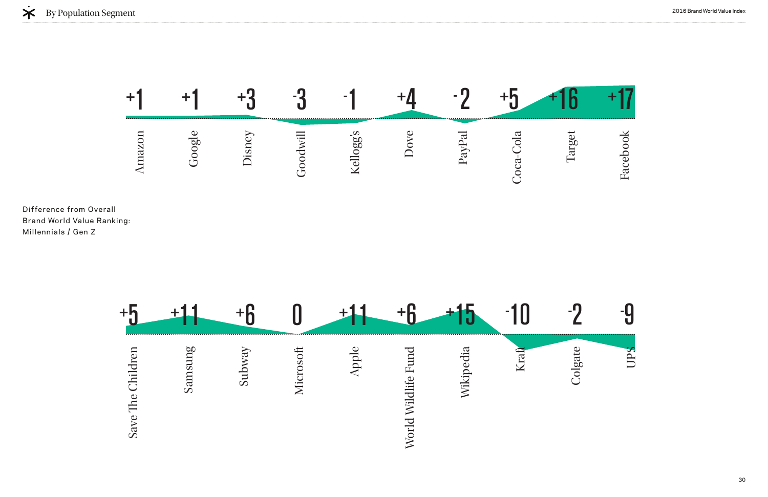





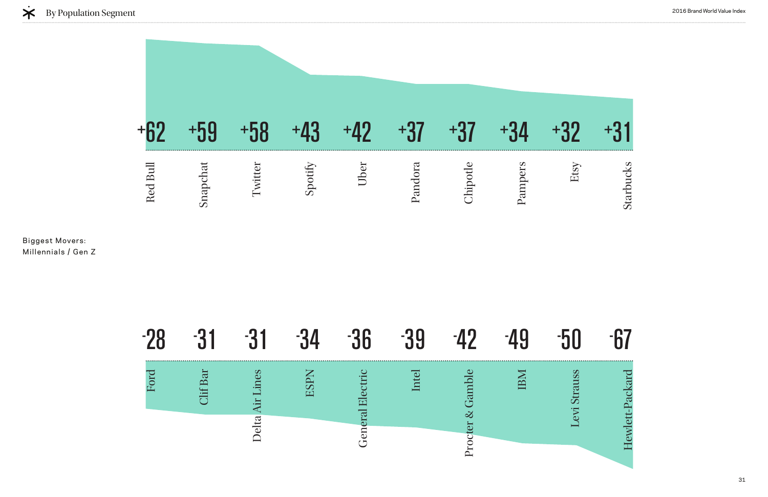# Hewlett-Packard Hewlett-Packard

|   | $\blacksquare$         |                                                      | ш                            |   |                           |  |
|---|------------------------|------------------------------------------------------|------------------------------|---|---------------------------|--|
| ă | R<br>$\mathbf{\Omega}$ | S<br>$\bullet$<br>Ē<br>ta<br>$\overline{\mathbf{e}}$ | $\overline{\mathbf{H}}$<br>C | ᆖ | $\sigma$<br>$\infty$<br>– |  |





Biggest Movers: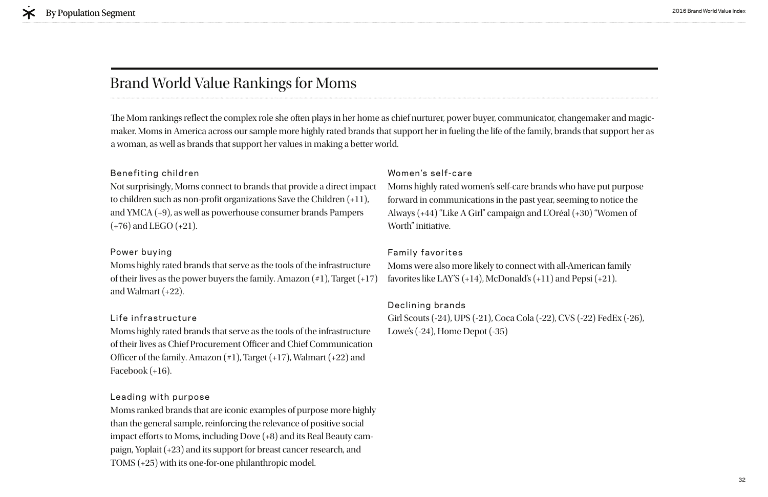#### Benefiting children

Not surprisingly, Moms connect to brands that provide a direct impact to children such as non-profit organizations Save the Children  $(+11)$ , and YMCA (+9), as well as powerhouse consumer brands Pampers (+76) and LEGO (+21).

#### Power buying

Moms highly rated brands that serve as the tools of the infrastructure of their lives as the power buyers the family. Amazon  $(\#1)$ , Target  $(+17)$ and Walmart (+22).

#### Life infrastructure

Moms highly rated brands that serve as the tools of the infrastructure of their lives as Chief Procurement Officer and Chief Communication Officer of the family. Amazon  $(*1)$ , Target  $(+17)$ , Walmart  $(+22)$  and Facebook (+16).

Moms were also more likely to connect with all-American family favorites like LAY'S  $(+14)$ , McDonald's  $(+11)$  and Pepsi  $(+21)$ .

#### Leading with purpose

Moms ranked brands that are iconic examples of purpose more highly than the general sample, reinforcing the relevance of positive social impact efforts to Moms, including Dove  $(+8)$  and its Real Beauty campaign, Yoplait (+23) and its support for breast cancer research, and TOMS (+25) with its one-for-one philanthropic model.

The Mom rankings reflect the complex role she often plays in her home as chief nurturer, power buyer, communicator, changemaker and magicmaker. Moms in America across our sample more highly rated brands that support her in fueling the life of the family, brands that support her as a woman, as well as brands that support her values in making a better world.

#### Women's self-care

Moms highly rated women's self-care brands who have put purpose forward in communications in the past year, seeming to notice the Always (+44) "Like A Girl" campaign and L'Oréal (+30) "Women of Worth" initiative.

#### Family favorites

#### Declining brands

Girl Scouts (-24), UPS (-21), Coca Cola (-22), CVS (-22) FedEx (-26), Lowe's (-24), Home Depot (-35)

#### Brand World Value Rankings for Moms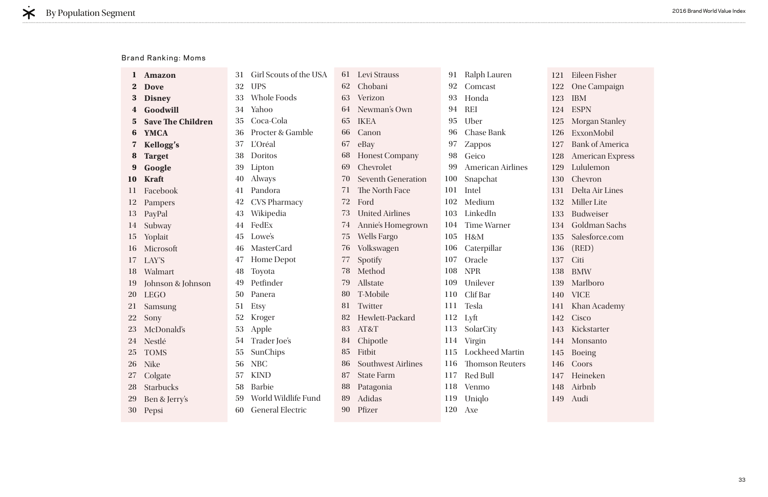|                         | <b>Amazon</b>            | 31 | Girl Scouts of the USA  | 61 | Levi Strauss              | 91  | Ralph Lauren             | 121 |
|-------------------------|--------------------------|----|-------------------------|----|---------------------------|-----|--------------------------|-----|
| $\bf{z}$                | <b>Dove</b>              | 32 | <b>UPS</b>              | 62 | Chobani                   | 92  | Comcast                  | 122 |
| 3                       | <b>Disney</b>            | 33 | <b>Whole Foods</b>      | 63 | Verizon                   | 93  | Honda                    | 123 |
| 4                       | Goodwill                 | 34 | Yahoo                   | 64 | Newman's Own              | 94  | <b>REI</b>               | 124 |
| $\overline{\mathbf{5}}$ | <b>Save The Children</b> | 35 | Coca-Cola               | 65 | <b>IKEA</b>               | 95  | Uber                     | 125 |
| 6                       | <b>YMCA</b>              | 36 | Procter & Gamble        | 66 | Canon                     | 96  | <b>Chase Bank</b>        | 126 |
| 7                       | <b>Kellogg's</b>         | 37 | L'Oréal                 | 67 | eBay                      | 97  | Zappos                   | 127 |
| 8                       | <b>Target</b>            | 38 | Doritos                 | 68 | <b>Honest Company</b>     | 98  | Geico                    | 128 |
| 9                       | Google                   | 39 | Lipton                  | 69 | Chevrolet                 | 99  | <b>American Airlines</b> | 129 |
| 10                      | <b>Kraft</b>             | 40 | <b>Always</b>           | 70 | <b>Seventh Generation</b> | 100 | Snapchat                 | 130 |
| 11                      | Facebook                 | 41 | Pandora                 | 71 | The North Face            | 101 | Intel                    | 131 |
| 12                      | Pampers                  | 42 | <b>CVS Pharmacy</b>     | 72 | Ford                      | 102 | Medium                   | 132 |
| 13                      | PayPal                   | 43 | Wikipedia               | 73 | <b>United Airlines</b>    | 103 | LinkedIn                 | 133 |
| 14                      | Subway                   | 44 | FedEx                   | 74 | Annie's Homegrown         | 104 | <b>Time Warner</b>       | 134 |
| 15                      | Yoplait                  | 45 | Lowe's                  | 75 | <b>Wells Fargo</b>        | 105 | H&M                      | 135 |
| 16                      | Microsoft                | 46 | <b>MasterCard</b>       | 76 | Volkswagen                | 106 | Caterpillar              | 136 |
| 17                      | LAY'S                    | 47 | Home Depot              | 77 | Spotify                   | 107 | Oracle                   | 137 |
| 18                      | Walmart                  | 48 | Toyota                  | 78 | Method                    | 108 | <b>NPR</b>               | 138 |
| 19                      | Johnson & Johnson        | 49 | Petfinder               | 79 | Allstate                  | 109 | Unilever                 | 139 |
| <b>20</b>               | <b>LEGO</b>              | 50 | Panera                  | 80 | T-Mobile                  | 110 | Clif Bar                 | 140 |
| 21                      | Samsung                  | 51 | Etsy                    | 81 | Twitter                   | 111 | Tesla                    | 141 |
| <b>22</b>               | Sony                     | 52 | Kroger                  | 82 | Hewlett-Packard           | 112 | Lyft                     | 142 |
| 23                      | McDonald's               | 53 | Apple                   | 83 | AT&T                      | 113 | SolarCity                | 143 |
| 24                      | Nestlé                   | 54 | Trader Joe's            | 84 | Chipotle                  | 114 | Virgin                   | 144 |
| <b>25</b>               | <b>TOMS</b>              | 55 | SunChips                | 85 | Fitbit                    | 115 | <b>Lockheed Martin</b>   | 145 |
| <b>26</b>               | <b>Nike</b>              | 56 | <b>NBC</b>              | 86 | <b>Southwest Airlines</b> | 116 | <b>Thomson Reuters</b>   | 146 |
| 27                      | Colgate                  | 57 | <b>KIND</b>             | 87 | <b>State Farm</b>         | 117 | Red Bull                 | 147 |
| 28                      | <b>Starbucks</b>         | 58 | <b>Barbie</b>           | 88 | Patagonia                 | 118 | Venmo                    | 148 |
| <b>29</b>               | Ben & Jerry's            | 59 | World Wildlife Fund     | 89 | Adidas                    | 119 | Uniqlo                   | 149 |
| 30                      | Pepsi                    | 60 | <b>General Electric</b> | 90 | Pfizer                    | 120 | Axe                      |     |

Eileen Fisher One Campaign IBM ESPN Morgan Stanley ExxonMobil Bank of America American Express Lululemon Chevron Delta Air Lines Miller Lite Budweiser Goldman Sachs Salesforce.com (RED) Citi BMW Marlboro VICE Khan Academy Cisco Kickstarter Monsanto Boeing Coors Heineken Airbnb Audi

#### Brand Ranking: Moms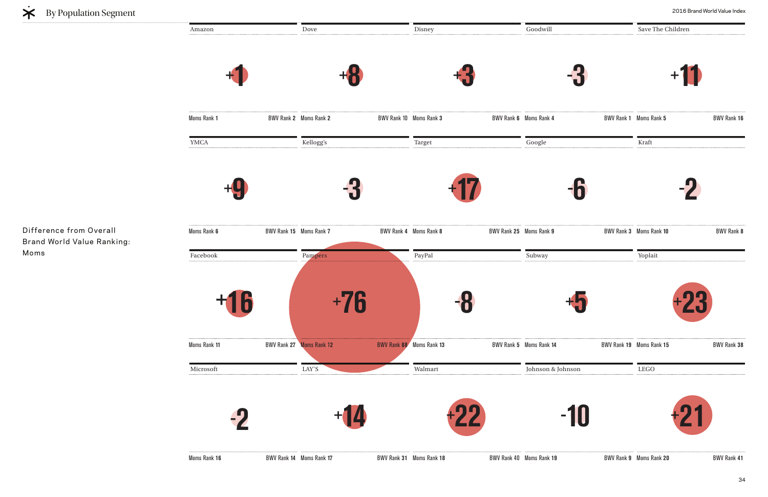Difference from Overall Brand World Value Ranking: Moms

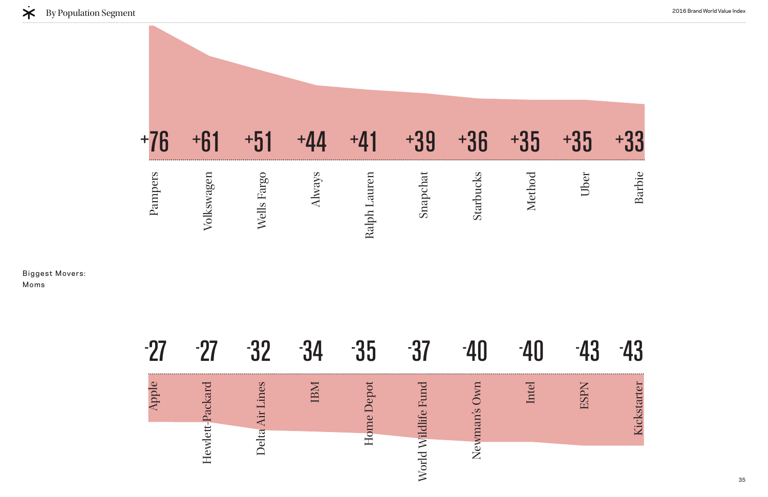Biggest Movers: Moms







| a ka | - 1                                           |            |                         |                                                 |                     |                 |      |  |
|------|-----------------------------------------------|------------|-------------------------|-------------------------------------------------|---------------------|-----------------|------|--|
|      | Packar<br>$\overline{\mathbb{C}}$<br>ewl<br>┯ | es<br>elta | $\overline{\mathbf{p}}$ | ep<br>$\mathbf{\Omega}$<br>0 <sub>II</sub><br>━ | $\overline{\Gamma}$ | $\infty$<br>nan | Inte |  |

## 43 -43 Kickstarter ESPN Kickstarter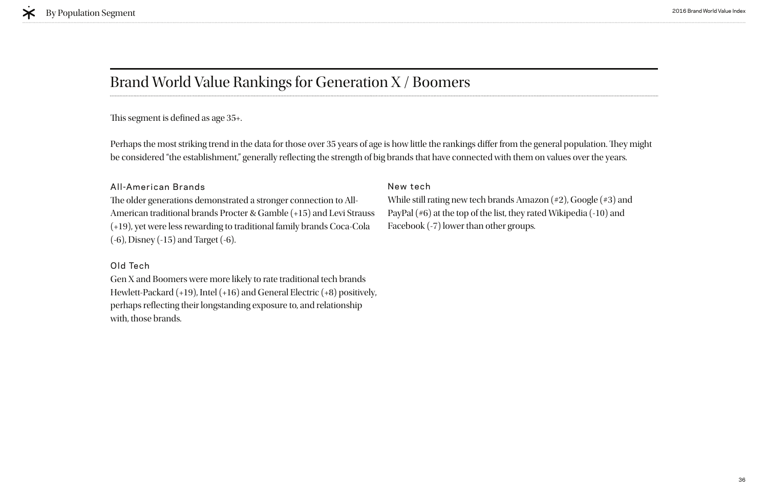### Brand World Value Rankings for Generation X / Boomers

This segment is defined as age 35+.

#### All-American Brands

The older generations demonstrated a stronger connection to All-American traditional brands Procter & Gamble (+15) and Levi Strauss (+19), yet were less rewarding to traditional family brands Coca-Cola (-6), Disney (-15) and Target (-6).

#### Old Tech

Perhaps the most striking trend in the data for those over 35 years of age is how little the rankings differ from the general population. They might be considered "the establishment," generally refecting the strength of big brands that have connected with them on values over the years.

Gen X and Boomers were more likely to rate traditional tech brands Hewlett-Packard (+19), Intel (+16) and General Electric (+8) positively, perhaps reflecting their longstanding exposure to, and relationship with, those brands.

#### New tech

While still rating new tech brands Amazon (#2), Google (#3) and PayPal (#6) at the top of the list, they rated Wikipedia (-10) and Facebook (-7) lower than other groups.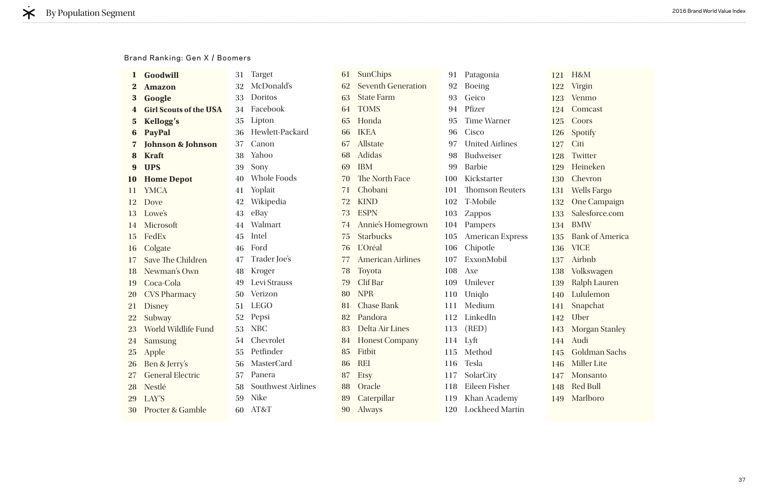| $\bf{l}$  | Goodwill                      | <b>Target</b><br>31             | 61 | SunChips                  | 91  | Patagonia               |
|-----------|-------------------------------|---------------------------------|----|---------------------------|-----|-------------------------|
| $\bf{2}$  | <b>Amazon</b>                 | McDonald's<br>32                | 62 | <b>Seventh Generation</b> | 92  | <b>Boeing</b>           |
| 3         | Google                        | Doritos<br>33                   | 63 | <b>State Farm</b>         | 93  | Geico                   |
| 4         | <b>Girl Scouts of the USA</b> | Facebook<br>34                  | 64 | <b>TOMS</b>               | 94  | Pfizer                  |
| 5         | <b>Kellogg's</b>              | Lipton<br>35                    | 65 | Honda                     | 95  | <b>Time Warner</b>      |
| 6         | <b>PayPal</b>                 | Hewlett-Packard<br>36           | 66 | <b>IKEA</b>               | 96  | Cisco                   |
| 7         | <b>Johnson &amp; Johnson</b>  | Canon<br>37                     | 67 | Allstate                  | 97  | <b>United Airlines</b>  |
| 8         | <b>Kraft</b>                  | Yahoo<br>38                     | 68 | Adidas                    | 98  | <b>Budweiser</b>        |
| 9         | <b>UPS</b>                    | Sony<br>39                      | 69 | <b>IBM</b>                | 99  | <b>Barbie</b>           |
| <b>10</b> | <b>Home Depot</b>             | <b>Whole Foods</b><br>40        | 70 | The North Face            | 100 | Kickstarter             |
| 11        | <b>YMCA</b>                   | Yoplait<br>41                   | 71 | Chobani                   | 101 | <b>Thomson Reuters</b>  |
| 12        | Dove                          | Wikipedia<br>42                 | 72 | <b>KIND</b>               | 102 | T-Mobile                |
| 13        | Lowe's                        | eBay<br>43                      | 73 | <b>ESPN</b>               | 103 | <b>Zappos</b>           |
| 14        | Microsoft                     | Walmart<br>44                   | 74 | Annie's Homegrown         | 104 | Pampers                 |
| 15        | FedEx                         | Intel<br>45                     | 75 | <b>Starbucks</b>          | 105 | <b>American Express</b> |
| 16        | Colgate                       | Ford<br>46                      | 76 | L'Oréal                   | 106 | Chipotle                |
| 17        | Save The Children             | Trader Joe's<br>47              | 77 | <b>American Airlines</b>  | 107 | ExxonMobil              |
| 18        | Newman's Own                  | Kroger<br>48                    | 78 | Toyota                    | 108 | Axe                     |
| 19        | Coca-Cola                     | Levi Strauss<br>49              | 79 | Clif Bar                  | 109 | Unilever                |
| 20        | <b>CVS Pharmacy</b>           | Verizon<br>50                   | 80 | <b>NPR</b>                | 110 | Uniqlo                  |
| 21        | <b>Disney</b>                 | <b>LEGO</b><br>51               | 81 | <b>Chase Bank</b>         | 111 | Medium                  |
| 22        | Subway                        | Pepsi<br>52                     | 82 | Pandora                   | 112 | LinkedIn                |
| 23        | World Wildlife Fund           | <b>NBC</b><br>53                | 83 | Delta Air Lines           | 113 | (RED)                   |
| 24        | <b>Samsung</b>                | Chevrolet<br>54                 | 84 | <b>Honest Company</b>     |     | $114$ Lyft              |
| <b>25</b> | Apple                         | Petfinder<br>55                 | 85 | Fitbit                    |     | 115 Method              |
| <b>26</b> | Ben & Jerry's                 | MasterCard<br>56                | 86 | <b>REI</b>                | 116 | Tesla                   |
| 27        | <b>General Electric</b>       | Panera<br>57                    | 87 | <b>Etsy</b>               | 117 | SolarCity               |
| 28        | Nestlé                        | <b>Southwest Airlines</b><br>58 | 88 | Oracle                    | 118 | Eileen Fisher           |
| 29        | LAY'S                         | <b>Nike</b><br>59               | 89 | Caterpillar               | 119 | Khan Academy            |
| 30        | <b>Procter &amp; Gamble</b>   | AT&T<br>60                      | 90 | Always                    | 120 | <b>Lockheed Martin</b>  |

121 H&M 122 Virgin 123 Venmo 124 Comcast 125 Coors 126 Spotify 127 Citi 128 Twitter 129 Heineken 130 Chevron 131 Wells Fargo 132 One Campaign 133 Salesforce.com 134 BMW 135 Bank of America 136 VICE 137 Airbnb 138 Volkswagen 139 Ralph Lauren 140 Lululemon 141 Snapchat 142 Uber 143 Morgan Stanley 144 Audi 145 Goldman Sachs 146 Miller Lite 147 Monsanto 148 Red Bull 149 Marlboro

#### Brand Ranking: Gen X / Boomers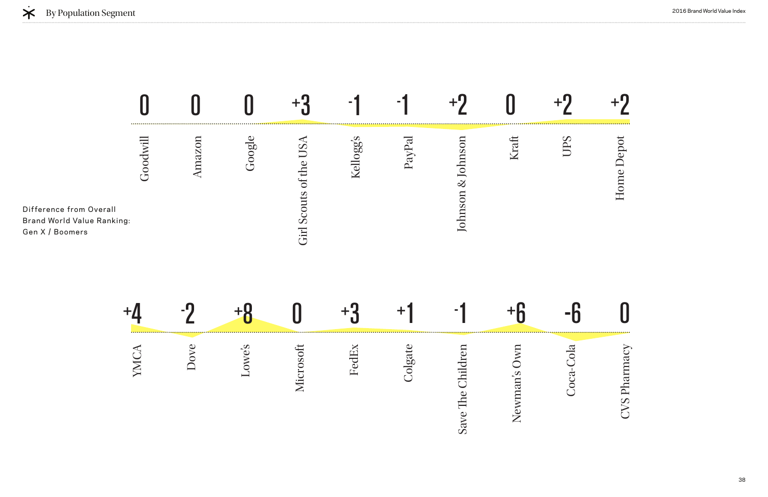| Difference from Overall<br><b>Brand World Value Ranking:</b><br>Gen X / Boomers | Goodwill              | Amazon | Google                                       | Girl Scouts of the US. | Kellogg's                                     | PayPal  | Johnson & Johnson                        | Kraft         |                 | Home Depot |
|---------------------------------------------------------------------------------|-----------------------|--------|----------------------------------------------|------------------------|-----------------------------------------------|---------|------------------------------------------|---------------|-----------------|------------|
|                                                                                 | ╅,                    |        |                                              |                        |                                               | т       |                                          |               |                 |            |
|                                                                                 | $\bar{\Xi}$<br>$\sum$ | Jove   | owe's<br>$\overline{\underline{\mathsf{L}}}$ | osoft<br>Micr          | $\overline{\mathbf{d}}$<br>O)<br>$\mathbf{L}$ | Colgate | $\overline{\mathsf{C}}$<br>Save The Chil | D<br>Newman's | Cola<br>$Coca-$ | CVS Phar   |

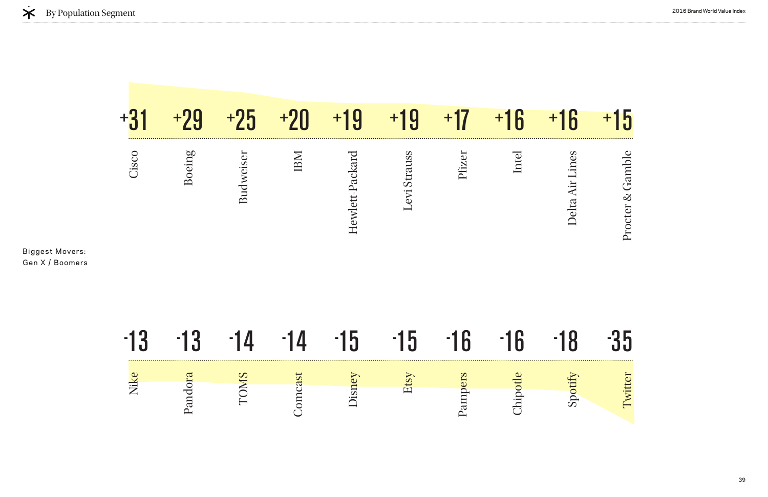# Delta Air Lines Delta Air Lines

Procter & Gamble Procter & Gamble

|       | +9      | $+25$       | $+20$   | $+19$           | $+19$                            | +17     | $+16$    | $+16$           | 15               |
|-------|---------|-------------|---------|-----------------|----------------------------------|---------|----------|-----------------|------------------|
| Cisco | Boeing  | Budweiser   | IBM     | Hewlett-Packard | Levi Strauss                     | Pfizer  | Intel    | Delta Air Lines | Procter & Gamble |
| -13   | -13     | -14         |         | -15             | <mark>h</mark><br>$\blacksquare$ | $-16$   | $-16$    | -18             | <b>}5</b>        |
| Nike  |         | <b>TOMS</b> |         | Disney          | Etsy                             |         |          | Spotify         | Twitter          |
|       | Pandora |             | Comcast |                 |                                  | Pampers | Chipotle |                 |                  |



Biggest Movers: Gen X / Boomers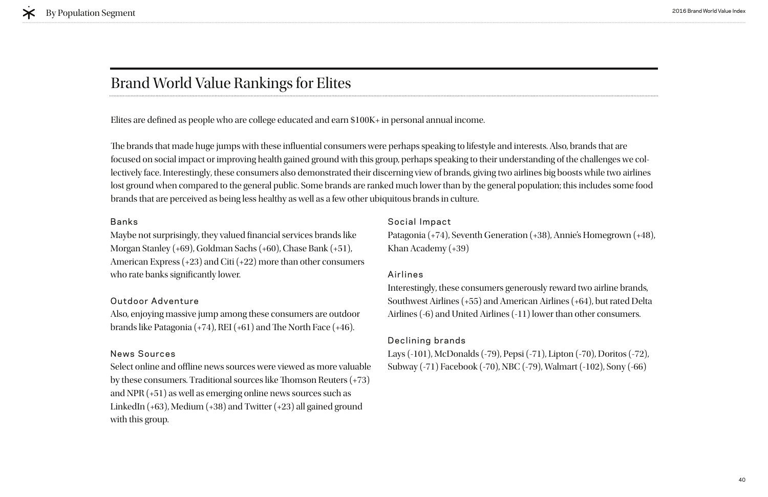Maybe not surprisingly, they valued fnancial services brands like Morgan Stanley (+69), Goldman Sachs (+60), Chase Bank (+51), American Express (+23) and Citi (+22) more than other consumers who rate banks significantly lower.

#### Banks

Also, enjoying massive jump among these consumers are outdoor brands like Patagonia  $(+74)$ , REI  $(+61)$  and The North Face  $(+46)$ .

#### Outdoor Adventure

Select online and offline news sources were viewed as more valuable by these consumers. Traditional sources like Thomson Reuters  $(+73)$ and NPR (+51) as well as emerging online news sources such as LinkedIn (+63), Medium (+38) and Twitter (+23) all gained ground with this group.

#### News Sources

#### Social Impact

Patagonia (+74), Seventh Generation (+38), Annie's Homegrown (+48), Khan Academy (+39)

#### Airlines

brands that are perceived as being less healthy as well as a few other ubiquitous brands in culture. The brands that made huge jumps with these influential consumers were perhaps speaking to lifestyle and interests. Also, brands that are focused on social impact or improving health gained ground with this group, perhaps speaking to their understanding of the challenges we collectively face. Interestingly, these consumers also demonstrated their discerning view of brands, giving two airlines big boosts while two airlines lost ground when compared to the general public. Some brands are ranked much lower than by the general population; this includes some food

> Interestingly, these consumers generously reward two airline brands, Southwest Airlines (+55) and American Airlines (+64), but rated Delta Airlines (-6) and United Airlines (-11) lower than other consumers.

### Declining brands

Lays (-101), McDonalds (-79), Pepsi (-71), Lipton (-70), Doritos (-72), Subway (-71) Facebook (-70), NBC (-79), Walmart (-102), Sony (-66)

Elites are defned as people who are college educated and earn \$100K+ in personal annual income.

# Brand World Value Rankings for Elites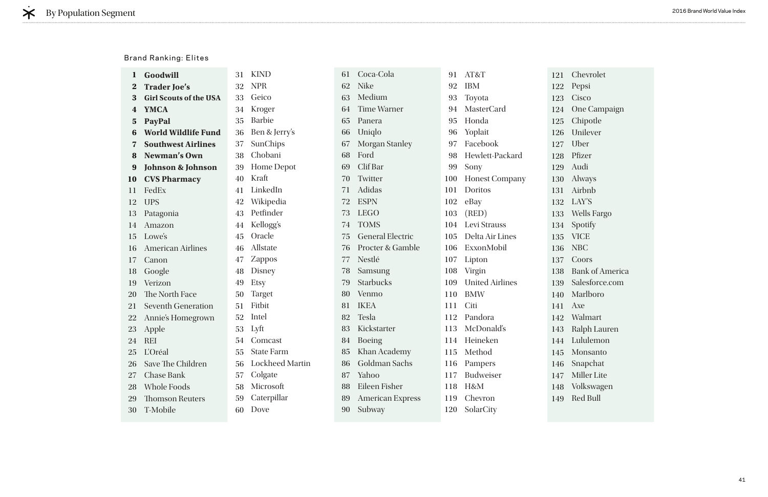| 1               | Goodwill                      | 31 | <b>KIND</b>            |
|-----------------|-------------------------------|----|------------------------|
| $\bf{2}$        | <b>Trader Joe's</b>           | 32 | <b>NPR</b>             |
| 3               | <b>Girl Scouts of the USA</b> |    | 33 Geico               |
| $\bf{4}$        | <b>YMCA</b>                   | 34 | Kroger                 |
| 5 <sup>5</sup>  | <b>PayPal</b>                 | 35 | <b>Barbie</b>          |
| 6               | <b>World Wildlife Fund</b>    | 36 | Ben & Jerry's          |
| $\overline{7}$  | <b>Southwest Airlines</b>     | 37 | SunChips               |
| 8               | <b>Newman's Own</b>           | 38 | Chobani                |
| 9               | <b>Johnson &amp; Johnson</b>  | 39 | <b>Home Depot</b>      |
| 10              | <b>CVS Pharmacy</b>           | 40 | Kraft                  |
| 11              | FedEx                         |    | 41 LinkedIn            |
| 12              | <b>UPS</b>                    |    | 42 Wikipedia           |
| 13              | Patagonia                     |    | 43 Petfinder           |
| 14              | Amazon                        | 44 | Kellogg's              |
| 15 <sup>7</sup> | Lowe's                        |    | 45 Oracle              |
| 16              | <b>American Airlines</b>      | 46 | Allstate               |
| 17              | Canon                         |    | 47 Zappos              |
| 18              | Google                        | 48 | Disney                 |
|                 | 19 Verizon                    | 49 | Etsy                   |
|                 | 20 The North Face             | 50 | <b>Target</b>          |
| 21              | <b>Seventh Generation</b>     | 51 | Fitbit                 |
| 22              | Annie's Homegrown             | 52 | Intel                  |
| 23              | Apple                         | 53 | Lyft                   |
| 24              | <b>REI</b>                    | 54 | Comcast                |
| 25              | L'Oréal                       | 55 | <b>State Farm</b>      |
| 26              | Save The Children             | 56 | <b>Lockheed Martin</b> |
| 27              | <b>Chase Bank</b>             | 57 | Colgate                |
| 28              | <b>Whole Foods</b>            | 58 | Microsoft              |
| 29              | <b>Thomson Reuters</b>        | 59 | Caterpillar            |
| 30              | T-Mobile                      | 60 | Dove                   |

| 61 | Coca-Cola                   | 91  | AT&T                   | 121 |
|----|-----------------------------|-----|------------------------|-----|
| 62 | <b>Nike</b>                 | 92  | <b>IBM</b>             | 122 |
| 63 | Medium                      | 93  | Toyota                 | 123 |
| 64 | <b>Time Warner</b>          | 94  | <b>MasterCard</b>      | 124 |
| 65 | Panera                      | 95  | Honda                  | 125 |
| 66 | Uniqlo                      | 96  | Yoplait                | 126 |
| 67 | <b>Morgan Stanley</b>       | 97  | Facebook               | 127 |
| 68 | Ford                        | 98  | Hewlett-Packard        | 128 |
| 69 | Clif Bar                    | 99  | Sony                   | 129 |
| 70 | Twitter                     | 100 | <b>Honest Company</b>  | 130 |
| 71 | Adidas                      | 101 | Doritos                | 131 |
| 72 | <b>ESPN</b>                 | 102 | eBay                   | 132 |
| 73 | <b>LEGO</b>                 | 103 | (RED)                  | 133 |
| 74 | <b>TOMS</b>                 | 104 | Levi Strauss           | 134 |
| 75 | <b>General Electric</b>     | 105 | Delta Air Lines        | 135 |
| 76 | <b>Procter &amp; Gamble</b> | 106 | ExxonMobil             | 136 |
| 77 | Nestlé                      | 107 | Lipton                 | 137 |
| 78 | Samsung                     |     | 108 Virgin             | 138 |
| 79 | <b>Starbucks</b>            | 109 | <b>United Airlines</b> | 139 |
| 80 | Venmo                       | 110 | <b>BMW</b>             | 140 |
| 81 | <b>IKEA</b>                 | 111 | Citi                   | 141 |
| 82 | <b>Tesla</b>                | 112 | Pandora                | 142 |
| 83 | Kickstarter                 |     | 113 McDonald's         | 143 |
| 84 | <b>Boeing</b>               | 114 | Heineken               | 144 |
|    | 85 Khan Academy             |     | 115 Method             | 145 |
| 86 | Goldman Sachs               | 116 | Pampers                | 146 |
| 87 | Yahoo                       | 117 | <b>Budweiser</b>       | 147 |
| 88 | Eileen Fisher               | 118 | H&M                    | 148 |
| 89 | <b>American Express</b>     | 119 | Chevron                | 149 |
| 90 | Subway                      | 120 | SolarCity              |     |

Chevrolet Pepsi Cisco One Campaign Chipotle Unilever Uber Pfizer Audi Always Airbnb LAY'S Wells Fargo Spotify VICE NBC Coors Bank of America Salesforce.com Marlboro Axe Walmart Ralph Lauren Lululemon Monsanto Snapchat Miller Lite Volkswagen Red Bull

#### Brand Ranking: Elites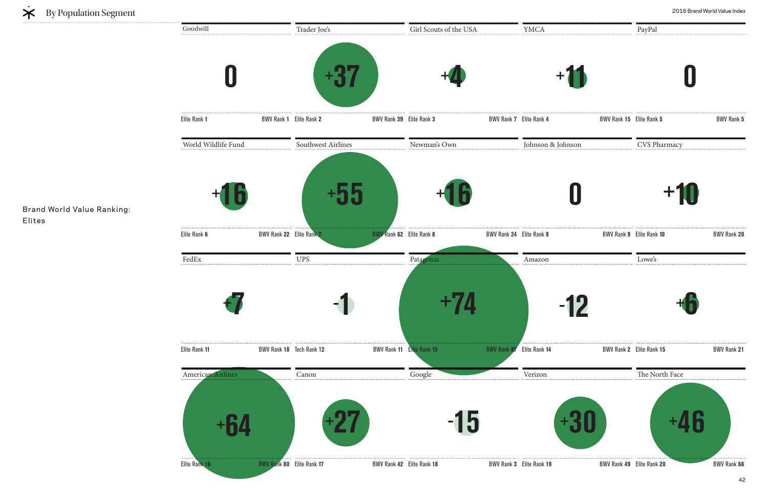**0**  Elite Rank 1 **BWV Rank 1** Elite Rank 2 Girl Scouts of the USA **+4**  Elite Rank **3** BWV Rank **7** Trader Joe's **+37**  Elite Rank **2** BWV Rank **39** YMCA FedEx **+7**  Elite Rank 11 **BWV Rank 18** Tech Rank 12 Patagonia **+74**  Elite Rank **13** BWV Rank **87** Tech Rank 1**2** BWV Rank **11** UPS **- 1**  Amazon **-** World Wildlife Fund **+16**  Elite Rank 6 BWV Rank 22 Elite Rank 7 Newman's Own **+16**  Elite Rank **8** BWV Rank **24** Elite Rank **9** BWV Rank **9** Southwest Airlines **+55 BWV Rank 62** Elite Rank 8 Johnson & Johnson American Airlines **+64 +27 -** Elite Rank 16 **BWV Rank 80** Elite Rank 17 Google Elite Rank **18** BWV Rank **3** Elite Rank **17** BWV Rank **42** Canon Verizon Goodwill



Brand World Value Ranking: Elites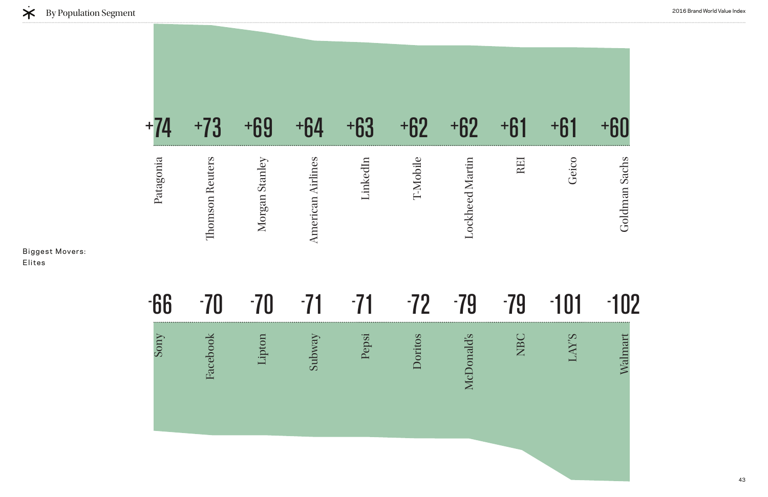43

 $-101$ 102

### +74 +73 +69 +64 +63 +62 +62 +61 +61 +60 REI Patagonia LinkedIn T-Mobile **Thomson Reuters** Morgan Stanley **American Airlines** Lockheed Martin Morgan Stanley Lockheed Martin Thomson Reuters American Airlines

Geico Goldman Sachs Goldman Sachs

#### 70 - 79 - 79 - - 66 - 70 -  $-71$  $-71$  $-72$ Doritos Lipton Subway Sony Pepsi NBC Facebook **McDonald's** Facebook McDonald's

LAY'S

Walmart

Biggest Movers: Elites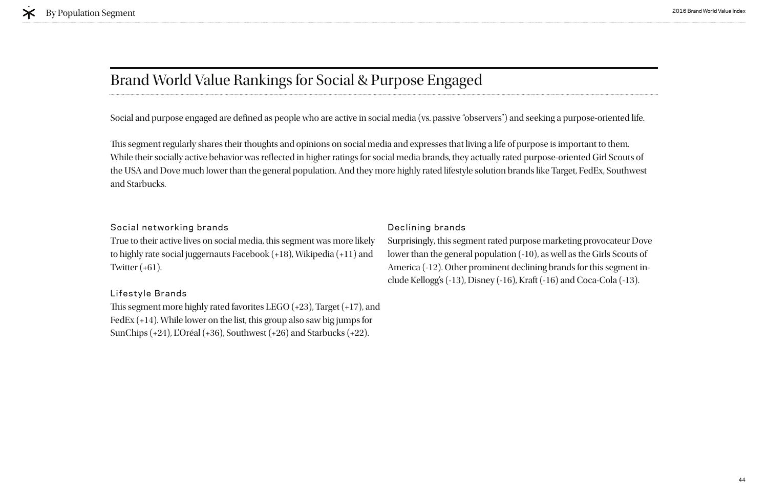True to their active lives on social media, this segment was more likely to highly rate social juggernauts Facebook (+18), Wikipedia (+11) and Twitter  $(+61)$ .

#### Social networking brands

This segment more highly rated favorites LEGO  $(+23)$ , Target  $(+17)$ , and FedEx (+14). While lower on the list, this group also saw big jumps for SunChips (+24), L'Oréal (+36), Southwest (+26) and Starbucks (+22).

#### Lifestyle Brands

# Brand World Value Rankings for Social & Purpose Engaged

#### Declining brands

Surprisingly, this segment rated purpose marketing provocateur Dove lower than the general population (-10), as well as the Girls Scouts of America (-12). Other prominent declining brands for this segment include Kellogg's (-13), Disney (-16), Kraft (-16) and Coca-Cola (-13).

This segment regularly shares their thoughts and opinions on social media and expresses that living a life of purpose is important to them. While their socially active behavior was refected in higher ratings for social media brands, they actually rated purpose-oriented Girl Scouts of the USA and Dove much lower than the general population. And they more highly rated lifestyle solution brands like Target, FedEx, Southwest and Starbucks.

Social and purpose engaged are defned as people who are active in social media (vs. passive "observers") and seeking a purpose-oriented life.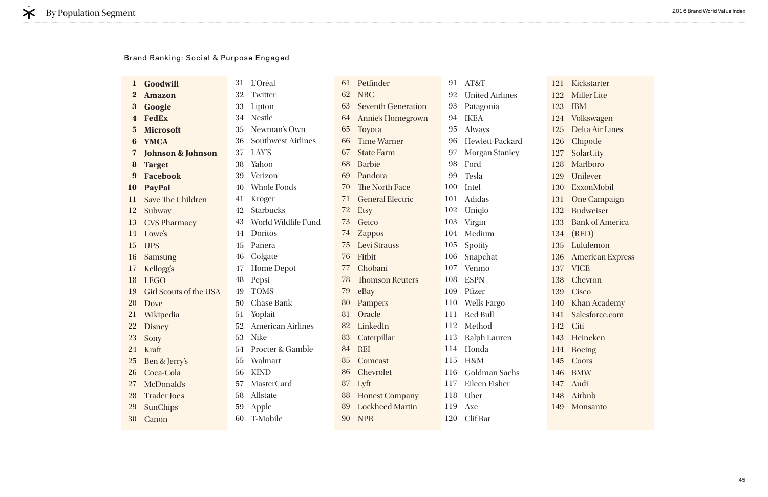| $\mathbf{1}$            | <b>Goodwill</b>               | 31 | <b>L'Oréal</b>           |
|-------------------------|-------------------------------|----|--------------------------|
| $\bf{2}$                | <b>Amazon</b>                 |    | 32 Twitter               |
| $\bf{3}$                | Google                        |    | 33 Lipton                |
| $\overline{\mathbf{4}}$ | <b>FedEx</b>                  |    | 34 Nestlé                |
| $5\phantom{.}$          | <b>Microsoft</b>              |    | 35 Newman's Own          |
| 6                       | <b>YMCA</b>                   |    | 36 Southwest Airlines    |
| $\overline{\mathbf{z}}$ | <b>Johnson &amp; Johnson</b>  |    | 37 LAY'S                 |
| 8                       | <b>Target</b>                 |    | 38 Yahoo                 |
| 9                       | <b>Facebook</b>               |    | 39 Verizon               |
| 10                      | <b>PayPal</b>                 |    | 40 Whole Foods           |
| 11                      | <b>Save The Children</b>      |    | 41 Kroger                |
| 12                      | Subway                        | 42 | <b>Starbucks</b>         |
| 13                      | <b>CVS Pharmacy</b>           |    | 43 World Wildlife Fund   |
| 14                      | Lowe's                        |    | 44 Doritos               |
| 15                      | <b>UPS</b>                    |    | 45 Panera                |
| 16                      | Samsung                       |    | 46 Colgate               |
| 17                      | Kellogg's                     | 47 | <b>Home Depot</b>        |
| 18                      | <b>LEGO</b>                   | 48 | Pepsi                    |
| 19                      | <b>Girl Scouts of the USA</b> | 49 | <b>TOMS</b>              |
| 20                      | Dove                          | 50 | <b>Chase Bank</b>        |
| 21                      | Wikipedia                     | 51 | Yoplait                  |
| 22                      | <b>Disney</b>                 | 52 | <b>American Airlines</b> |
| 23                      | Sony                          |    | 53 Nike                  |
| 24                      | Kraft                         | 54 | Procter & Gamble         |
| 25                      | Ben & Jerry's                 | 55 | Walmart                  |
| 26                      | Coca-Cola                     | 56 | <b>KIND</b>              |
| 27                      | McDonald's                    | 57 | <b>MasterCard</b>        |
| 28                      | <b>Trader Joe's</b>           | 58 | Allstate                 |
| 29                      | <b>SunChips</b>               | 59 | Apple                    |
| 30                      | Canon                         | 60 | T-Mobile                 |

| 61 | Petfinder                 | 91  | AT&T                   |  |
|----|---------------------------|-----|------------------------|--|
| 62 | <b>NBC</b>                | 92  | <b>United Airlines</b> |  |
| 63 | <b>Seventh Generation</b> | 93  | Patagonia              |  |
| 64 | Annie's Homegrown         | 94  | <b>IKEA</b>            |  |
| 65 | Toyota                    | 95  | Always                 |  |
| 66 | <b>Time Warner</b>        | 96  | Hewlett-Packard        |  |
|    | 67 State Farm             | 97  | <b>Morgan Stanley</b>  |  |
|    | 68 Barbie                 | 98  | Ford                   |  |
|    | 69 Pandora                | 99  | <b>Tesla</b>           |  |
|    | 70 The North Face         | 100 | Intel                  |  |
|    | 71 General Electric       | 101 | Adidas                 |  |
| 72 | <b>Etsy</b>               | 102 | Uniqlo                 |  |
| 73 | Geico                     | 103 | Virgin                 |  |
| 74 | <b>Zappos</b>             | 104 | Medium                 |  |
| 75 | <b>Levi Strauss</b>       | 105 | Spotify                |  |
| 76 | Fitbit                    | 106 | Snapchat               |  |
|    | 77 Chobani                | 107 | Venmo                  |  |
|    | <b>78</b> Thomson Reuters | 108 | <b>ESPN</b>            |  |
| 79 | eBay                      | 109 | Pfizer                 |  |
| 80 | Pampers                   | 110 | <b>Wells Fargo</b>     |  |
|    | 81 Oracle                 | 111 | <b>Red Bull</b>        |  |
|    | 82 LinkedIn               | 112 | Method                 |  |
| 83 | Caterpillar               | 113 | Ralph Lauren           |  |
| 84 | <b>REI</b>                | 114 | Honda                  |  |
| 85 | Comcast                   | 115 | H&M                    |  |
| 86 | Chevrolet                 | 116 | Goldman Sachs          |  |
| 87 | Lyft                      | 117 | Eileen Fisher          |  |
| 88 | <b>Honest Company</b>     | 118 | Uber                   |  |
| 89 | <b>Lockheed Martin</b>    | 119 | Axe                    |  |
| 90 | <b>NPR</b>                | 120 | Clif Bar               |  |

121 Kickstarter 122 Miller Lite 123 IBM 124 Volkswagen 125 Delta Air Lines 126 Chipotle 127 SolarCity 128 Marlboro 129 Unilever 130 ExxonMobil 131 One Campaign 132 Budweiser 133 Bank of America 134 (RED) 135 Lululemon 136 American Express 137 VICE 138 Chevron 139 Cisco 140 Khan Academy 141 Salesforce.com 142 Citi 143 Heineken 144 Boeing 145 Coors 146 BMW 147 Audi 148 Airbnb 149 Monsanto

#### Brand Ranking: Social & Purpose Engaged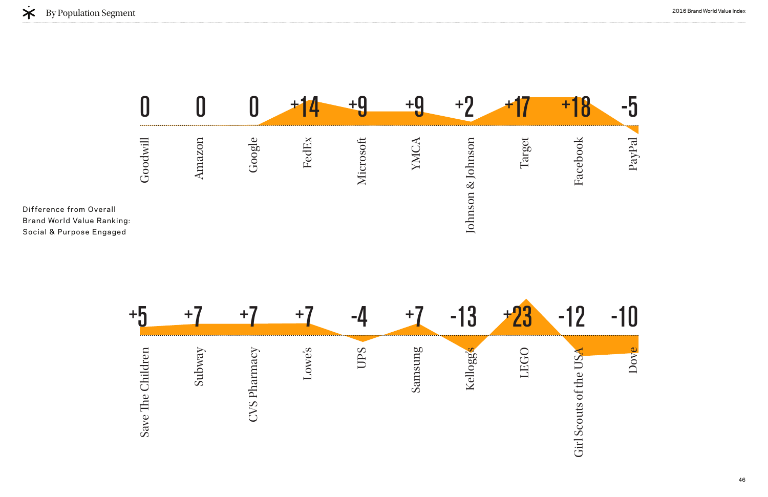



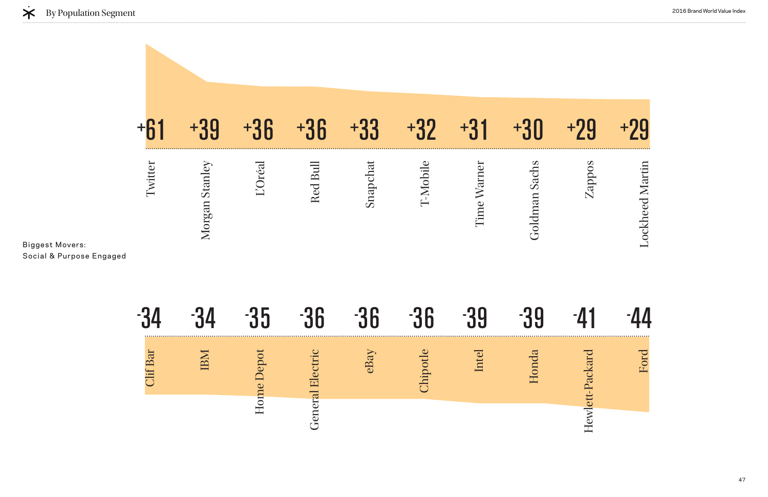|                                                    |        |               |         | <b>R</b> |          |         | $+3$        |                 |        |                |
|----------------------------------------------------|--------|---------------|---------|----------|----------|---------|-------------|-----------------|--------|----------------|
| <b>Biggest Movers:</b><br>Social & Purpose Engaged | witter | Morgan Stanle | L'Oréal | Red Bull | Snapchat | T-Mobil | Time Warner | Sach<br>Goldman | Zappos | ockheed Martin |
|                                                    |        |               |         |          |          |         |             |                 |        |                |

|                | $\mathcal{L}_{\mathcal{A}}$ | $\equiv$ | ш                   | $\equiv$ |              |                  |
|----------------|-----------------------------|----------|---------------------|----------|--------------|------------------|
| $\overline{d}$ |                             |          | $r_{\text{T}}$<br>Ë | eBa      | $\mathbf{H}$ | $\sum_{i=1}^{n}$ |
|                |                             |          |                     |          |              |                  |



# 39 - 41 - 44 Ford Hewlett-Packard Hewlett-Packard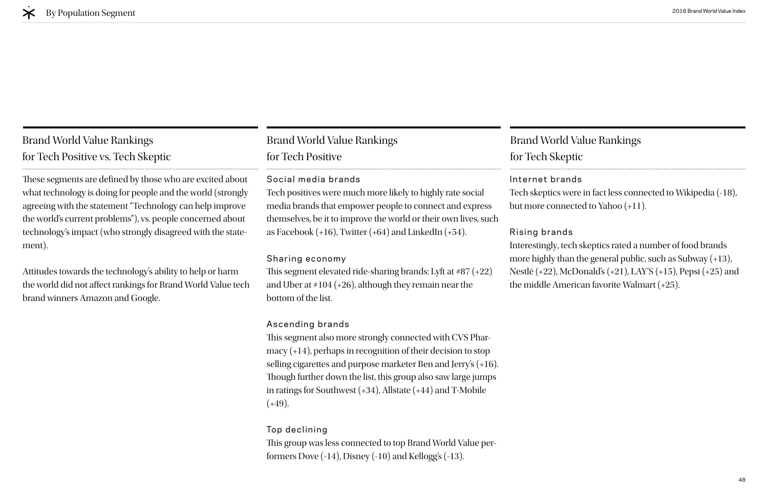### Brand World Value Rankings for Tech Positive

### Social media brands

media brands that empower people to connect and express Tech positives were much more likely to highly rate social themselves, be it to improve the world or their own lives, such as Facebook  $(+16)$ , Twitter  $(+64)$  and LinkedIn  $(+54)$ .

This segment elevated ride-sharing brands: Lyft at  $#87 (+22)$ and Uber at #104 (+26), although they remain near the bottom of the list.

### Sharing economy

This group was less connected to top Brand World Value performers Dove (-14), Disney (-10) and Kellogg's (-13).

### Ascending brands

This segment also more strongly connected with CVS Pharmacy (+14), perhaps in recognition of their decision to stop selling cigarettes and purpose marketer Ben and Jerry's (+16). Though further down the list, this group also saw large jumps in ratings for Southwest (+34), Allstate (+44) and T-Mobile  $(+49)$ .

### Top declining

These segments are defined by those who are excited about what technology is doing for people and the world (strongly agreeing with the statement "Technology can help improve the world's current problems"), vs. people concerned about technology's impact (who strongly disagreed with the statement).

### Brand World Value Rankings for Tech Skeptic

Internet brands Tech skeptics were in fact less connected to Wikipedia (-18), but more connected to Yahoo (+11).

Rising brands Interestingly, tech skeptics rated a number of food brands more highly than the general public, such as Subway (+13), Nestlé (+22), McDonald's (+21), LAY'S (+15), Pepsi (+25) and the middle American favorite Walmart (+25).

### Brand World Value Rankings for Tech Positive vs. Tech Skeptic

Attitudes towards the technology's ability to help or harm the world did not afect rankings for Brand World Value tech brand winners Amazon and Google.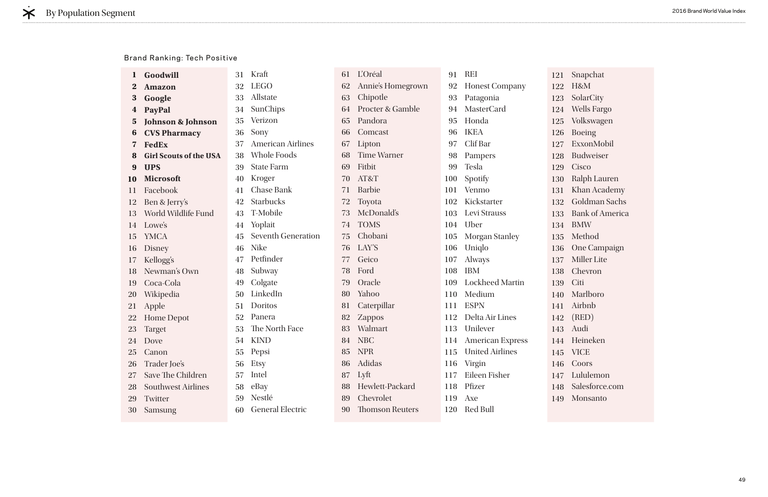| $\bf{l}$                | Goodwill                      | 31 | Kraft                     | 61 |
|-------------------------|-------------------------------|----|---------------------------|----|
| $\bf{2}$                | <b>Amazon</b>                 | 32 | <b>LEGO</b>               | 62 |
| 3                       | Google                        | 33 | Allstate                  | 63 |
| $\boldsymbol{4}$        | <b>PayPal</b>                 | 34 | SunChips                  | 64 |
| $\overline{\mathbf{5}}$ | <b>Johnson &amp; Johnson</b>  | 35 | Verizon                   | 65 |
| 6                       | <b>CVS Pharmacy</b>           | 36 | Sony                      | 66 |
| $\overline{\mathbf{z}}$ | <b>FedEx</b>                  | 37 | <b>American Airlines</b>  | 67 |
| 8                       | <b>Girl Scouts of the USA</b> |    | 38 Whole Foods            | 68 |
| 9                       | <b>UPS</b>                    | 39 | <b>State Farm</b>         | 69 |
| 10                      | <b>Microsoft</b>              | 40 | Kroger                    | 70 |
| 11                      | Facebook                      | 41 | <b>Chase Bank</b>         | 71 |
| 12                      | Ben & Jerry's                 |    | 42 Starbucks              | 72 |
| 13                      | World Wildlife Fund           | 43 | T-Mobile                  | 73 |
| 14                      | Lowe's                        | 44 | Yoplait                   | 74 |
| 15                      | <b>YMCA</b>                   | 45 | <b>Seventh Generation</b> | 75 |
| 16                      | <b>Disney</b>                 | 46 | <b>Nike</b>               | 76 |
| 17                      | Kellogg's                     | 47 | Petfinder                 | 77 |
| 18                      | Newman's Own                  | 48 | Subway                    | 78 |
| 19                      | Coca-Cola                     | 49 | Colgate                   | 79 |
| 20                      | Wikipedia                     | 50 | LinkedIn                  | 80 |
| 21                      | Apple                         | 51 | Doritos                   | 81 |
| 22                      | <b>Home Depot</b>             |    | 52 Panera                 | 82 |
| 23                      | <b>Target</b>                 | 53 | The North Face            | 83 |
| 24                      | Dove                          | 54 | <b>KIND</b>               | 84 |
| 25                      | Canon                         | 55 | Pepsi                     | 85 |
| 26                      | Trader Joe's                  | 56 | Etsy                      | 86 |
| 27                      | Save The Children             | 57 | Intel                     | 87 |
| 28                      | <b>Southwest Airlines</b>     | 58 | eBay                      | 88 |
| 29                      | Twitter                       | 59 | Nestlé                    | 89 |
| 30                      | Samsung                       | 60 | <b>General Electric</b>   | 90 |
|                         |                               |    |                           |    |

| L'Oréal                     | 91  | <b>REI</b>            |
|-----------------------------|-----|-----------------------|
| Annie's Homegrown           |     | 92 Honest Company     |
| Chipotle                    |     | 93 Patagonia          |
| <b>Procter &amp; Gamble</b> |     | 94 MasterCard         |
| Pandora                     |     | 95 Honda              |
| Comcast                     |     | 96 IKEA               |
| Lipton                      |     | 97 Clif Bar           |
| <b>Time Warner</b>          |     | 98 Pampers            |
| Fitbit                      |     | 99 Tesla              |
| AT&T                        |     | 100 Spotify           |
| <b>Barbie</b>               |     | 101 Venmo             |
| Toyota                      |     | 102 Kickstarter       |
| McDonald's                  |     | 103 Levi Strauss      |
| <b>TOMS</b>                 |     | 104 Uber              |
| Chobani                     | 105 | <b>Morgan Stanley</b> |
| LAY'S                       |     | 106 Uniqlo            |
| Geico                       | 107 | <b>Always</b>         |
| Ford                        |     | 108 IBM               |
| Oracle                      |     | 109 Lockheed Martin   |
| Yahoo                       |     | 110 Medium            |
| Caterpillar                 |     | 111 ESPN              |
| Zappos                      |     | 112 Delta Air Lines   |
| Walmart                     |     | 113 Unilever          |
| <b>NBC</b>                  |     | 114 American Express  |
| <b>NPR</b>                  |     | 115 United Airlines   |
| Adidas                      | 116 | Virgin                |
| Lyft                        | 117 | Eileen Fisher         |
| Hewlett-Packard             |     | 118 Pfizer            |
| Chevrolet                   | 119 | Axe                   |
| <b>Thomson Reuters</b>      |     | 120 Red Bull          |

121 Snapchat 122 H&M 123 SolarCity 124 Wells Fargo 125 Volkswagen 126 Boeing 127 ExxonMobil 128 Budweiser 129 Cisco 130 Ralph Lauren 131 Khan Academy 132 Goldman Sachs 133 Bank of America 134 BMW 135 Method 136 One Campaign 137 Miller Lite 138 Chevron 139 Citi 140 Marlboro 141 Airbnb 142 (RED) 143 Audi 144 Heineken 145 VICE 146 Coors 147 Lululemon 148 Salesforce.com 149 Monsanto

#### Brand Ranking: Tech Positive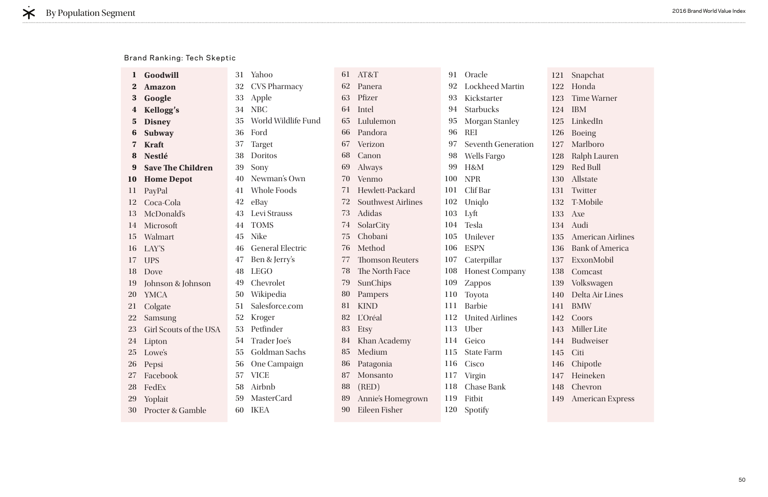| 1                       | Goodwill                 | 31 | Yahoo                   | 61 | AT&T                      | 91  | Oracle                    |
|-------------------------|--------------------------|----|-------------------------|----|---------------------------|-----|---------------------------|
| $\bf{2}$                | <b>Amazon</b>            | 32 | <b>CVS Pharmacy</b>     | 62 | Panera                    | 92  | <b>Lockheed Martin</b>    |
| 3                       | Google                   | 33 | Apple                   | 63 | Pfizer                    | 93  | Kickstarter               |
| 4                       | <b>Kellogg's</b>         | 34 | <b>NBC</b>              | 64 | Intel                     | 94  | <b>Starbucks</b>          |
| $\overline{\mathbf{5}}$ | <b>Disney</b>            | 35 | World Wildlife Fund     | 65 | Lululemon                 | 95  | <b>Morgan Stanley</b>     |
| 6                       | <b>Subway</b>            | 36 | Ford                    | 66 | Pandora                   | 96  | <b>REI</b>                |
| $\mathbf{V}$            | <b>Kraft</b>             | 37 | <b>Target</b>           | 67 | Verizon                   | 97  | <b>Seventh Generation</b> |
| 8                       | <b>Nestlé</b>            | 38 | Doritos                 | 68 | Canon                     | 98  | <b>Wells Fargo</b>        |
| 9                       | <b>Save The Children</b> | 39 | Sony                    | 69 | <b>Always</b>             | 99  | H&M                       |
| 10                      | <b>Home Depot</b>        | 40 | Newman's Own            | 70 | Venmo                     | 100 | <b>NPR</b>                |
| 11                      | PayPal                   | 41 | Whole Foods             | 71 | Hewlett-Packard           | 101 | Clif Bar                  |
| 12                      | Coca-Cola                | 42 | eBay                    | 72 | <b>Southwest Airlines</b> | 102 | Uniqlo                    |
| 13                      | McDonald's               | 43 | Levi Strauss            | 73 | <b>Adidas</b>             | 103 | Lyft                      |
| 14                      | Microsoft                | 44 | <b>TOMS</b>             | 74 | SolarCity                 | 104 | Tesla                     |
| 15                      | Walmart                  | 45 | <b>Nike</b>             | 75 | Chobani                   | 105 | Unilever                  |
| 16                      | LAY'S                    | 46 | <b>General Electric</b> | 76 | Method                    | 106 | <b>ESPN</b>               |
| 17                      | <b>UPS</b>               | 47 | Ben & Jerry's           | 77 | <b>Thomson Reuters</b>    | 107 | Caterpillar               |
| 18                      | Dove                     | 48 | <b>LEGO</b>             | 78 | The North Face            | 108 | <b>Honest Company</b>     |
| 19                      | Johnson & Johnson        | 49 | Chevrolet               | 79 | SunChips                  | 109 | <b>Zappos</b>             |
| <b>20</b>               | <b>YMCA</b>              | 50 | Wikipedia               | 80 | Pampers                   | 110 | Toyota                    |
| 21                      | Colgate                  | 51 | Salesforce.com          | 81 | <b>KIND</b>               | 111 | <b>Barbie</b>             |
| <b>22</b>               | Samsung                  | 52 | Kroger                  | 82 | L'Oréal                   | 112 | <b>United Airlines</b>    |
| 23                      | Girl Scouts of the USA   | 53 | Petfinder               | 83 | Etsy                      | 113 | Uber                      |
| 24                      | Lipton                   | 54 | Trader Joe's            | 84 | Khan Academy              | 114 | Geico                     |
|                         | 25 Lowe's                |    | 55 Goldman Sachs        |    | 85 Medium                 |     | 115 State Farm            |
| 26                      | Pepsi                    | 56 | One Campaign            | 86 | Patagonia                 | 116 | Cisco                     |
| 27                      | Facebook                 | 57 | <b>VICE</b>             | 87 | Monsanto                  | 117 | Virgin                    |
| 28                      | FedEx                    | 58 | Airbnb                  | 88 | (RED)                     | 118 | <b>Chase Bank</b>         |
| 29                      | Yoplait                  | 59 | <b>MasterCard</b>       | 89 | Annie's Homegrown         | 119 | Fitbit                    |
| 30                      | Procter & Gamble         | 60 | <b>IKEA</b>             | 90 | Eileen Fisher             | 120 | Spotify                   |

121 Snapchat 122 Honda 123 Time Warner 124 IBM 125 LinkedIn 126 Boeing 127 Marlboro 128 Ralph Lauren 129 Red Bull 130 Allstate 131 Twitter 132 T-Mobile 133 Axe 134 Audi 135 American Airlines 136 Bank of America 137 ExxonMobil 138 Comcast 139 Volkswagen 140 Delta Air Lines 141 BMW 142 Coors 143 Miller Lite 144 Budweiser 145 Citi 146 Chipotle 147 Heineken 148 Chevron 149 American Express

#### Brand Ranking: Tech Skeptic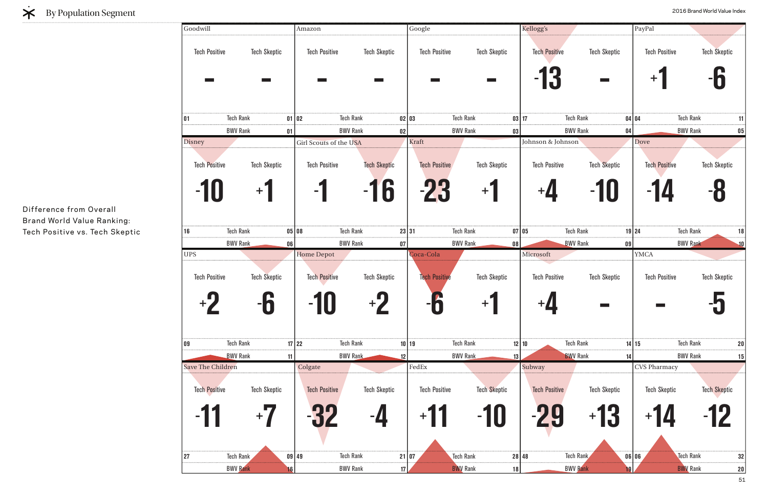| Goodwill                                   |                                        | Amazon                                                         |                                       | Google                                       |                              | Kellogg's                                 |                                                   | PayPal                                           |                            |
|--------------------------------------------|----------------------------------------|----------------------------------------------------------------|---------------------------------------|----------------------------------------------|------------------------------|-------------------------------------------|---------------------------------------------------|--------------------------------------------------|----------------------------|
| <b>Tech Positive</b>                       | <b>Tech Skeptic</b><br><b>Contract</b> | <b>Tech Positive</b>                                           | <b>Tech Skeptic</b><br>$\sim 10^{-1}$ | <b>Tech Positive</b>                         | <b>Tech Skeptic</b>          | <b>Tech Positive</b>                      | <b>Tech Skeptic</b><br>$\mathcal{L}(\mathcal{A})$ | <b>Tech Positive</b><br>$\pm$                    | Tech Škeptic<br><b>-b</b>  |
| 01                                         | <b>Tech Rank</b>                       | $01$ 02                                                        | <b>Tech Rank</b>                      | 02 03                                        | <b>Tech Rank</b>             | 03 17                                     | <b>Tech Rank</b>                                  | 04 04                                            | <b>Tech Rank</b><br>11     |
| <b>Disney</b>                              | <b>BWV Rank</b><br>01                  |                                                                | <b>BWV Rank</b><br>$02\,$             | Kraft                                        | <b>BWV Rank</b><br> 03       | Johnson & Johnson                         | <b>BWV Rank</b>                                   | 04<br>Dove                                       | <b>BWV Rank</b><br>$05\,$  |
| <b>Tech Positive</b>                       | <b>Tech Skeptic</b>                    | Girl Scouts of the USA<br><b>Tech Positive</b>                 | <b>Tech Skeptic</b>                   | <b>Tech Positive</b>                         | <b>Tech Skeptic</b>          | <b>Tech Positive</b>                      | <b>Tech Skeptic</b>                               | <b>Tech Positive</b>                             | <b>Tech Skeptic</b>        |
|                                            | $+$                                    |                                                                | $-16$                                 | -23                                          | $+$                          | $+$ U                                     | -10                                               | -14                                              |                            |
| 16                                         | <b>Tech Rank</b>                       | $05$ 08                                                        | <b>Tech Rank</b>                      | 23 31                                        | <b>Tech Rank</b>             | 07 05                                     | <b>Tech Rank</b>                                  | $19$   24                                        | <b>Tech Rank</b><br>18     |
|                                            | <b>BWV Rank</b><br>06                  |                                                                | <b>BWV Rank</b><br>$07\,$             |                                              | <b>BWV Rank</b><br> 08       |                                           | <b>BWV Rank</b>                                   | 09                                               | <b>BWV Rank</b><br>10      |
| <b>UPS</b><br><b>Tech Positive</b><br>$+2$ | <b>Tech Skeptic</b><br>C<br>90         | <b>Home Depot</b><br><b>Tech Positive</b><br><b>10</b><br>- IU | <b>Tech Skeptic</b><br>$+2$           | Coca-Cola<br><b>Tech Positive</b><br>A<br>70 | <b>Tech Skeptic</b><br>$+1$  | Microsoft<br><b>Tech Positive</b><br>$+4$ | <b>Tech Skeptic</b><br>$\sim 100$                 | <b>YMCA</b><br><b>Tech Positive</b><br>$\sim 10$ | <b>Tech Skeptic</b><br>-5  |
| 09                                         | <b>Tech Rank</b>                       | $17$ 22                                                        | <b>Tech Rank</b>                      | $10$   19                                    | <b>Tech Rank</b>             | 12 10                                     | <b>Tech Rank</b>                                  | 14 15                                            | <b>Tech Rank</b><br>$20\,$ |
|                                            | <b>BWV Rank</b><br>11                  |                                                                | <b>BWV Rank</b><br>12                 |                                              | <b>BWV Rank</b><br>13        |                                           | <b>BWV Rank</b>                                   | 14                                               | <b>BWV Rank</b><br>15      |
| Save The Children<br><b>Tech Positive</b>  | <b>Tech Skeptic</b><br>$+$             | Colgate<br><b>Tech Positive</b>                                | <b>Tech Skeptic</b>                   | $\rm{FedEx}$<br><b>Tech Positive</b>         | <b>Tech Skeptic</b><br>$-10$ | Subway<br><b>Tech Positive</b>            | <b>Tech Skeptic</b><br>$+1$                       | <b>CVS Pharmacy</b><br><b>Tech Skeptic</b>       | <b>Tech Skeptic</b>        |
| 27                                         | <b>Tech Rank</b>                       | $09$ 49                                                        | <b>Tech Rank</b>                      | 21 07                                        | <b>Tech Rank</b>             | 28 48                                     | Tech Rank                                         | 06 06                                            | <b>Tech Rank</b><br>32     |
|                                            |                                        |                                                                |                                       |                                              |                              |                                           |                                                   |                                                  |                            |

### $\dot{\mathbf{X}}$  By Population Segment

Difference from Overall Brand World Value Ranking: Tech Positive vs. Tech Skeptic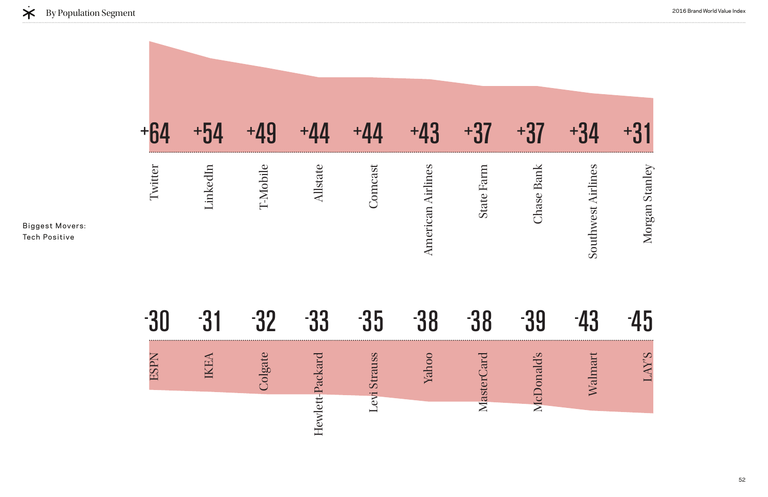| +64         | $+54$           | +49      | $+44$           | $+44$               | $+43$                    | $+37$          | $+37$      | $+34$              | +31            |
|-------------|-----------------|----------|-----------------|---------------------|--------------------------|----------------|------------|--------------------|----------------|
| Twitter     | LinkedIn        | T-Mobile | <b>Allstate</b> | Comcast             | <b>American Airlines</b> | State Farm     | Chase Bank | Southwest Airlines | Morgan Stanley |
| -30         | -31             | $-32$    | $-33$           | $-35$               | $-38$                    | -38            | -39        | $-43$              | 45             |
| <b>ESPN</b> | <b>AHY</b><br>Ě | Colgate  | Hewlett-Packard | <b>Levi Strauss</b> | hoo<br>$\rm \Sigma$      | Card<br>Master | McDonald's | Walmart            | <b>S.XV</b>    |
|             |                 |          |                 |                     |                          |                |            |                    |                |



Biggest Movers: Tech Positive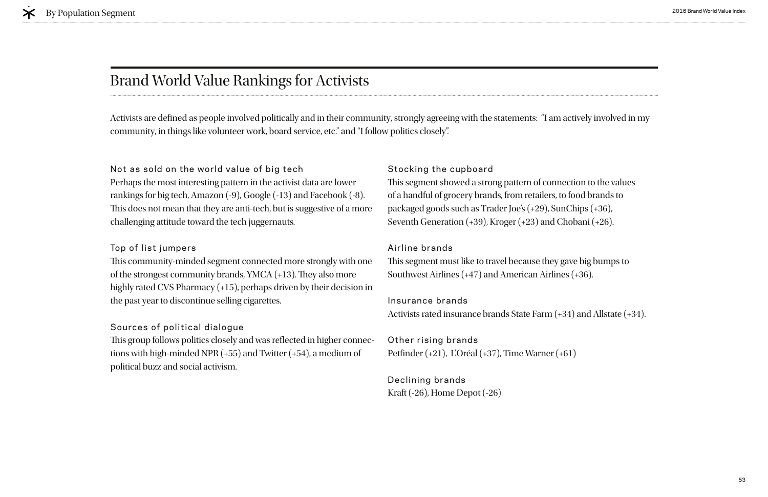### Brand World Value Rankings for Activists

#### Not as sold on the world value of big tech

Perhaps the most interesting pattern in the activist data are lower rankings for big tech, Amazon (-9), Google (-13) and Facebook (-8). This does not mean that they are anti-tech, but is suggestive of a more challenging attitude toward the tech juggernauts.

This community-minded segment connected more strongly with one of the strongest community brands, YMCA (+13). They also more highly rated CVS Pharmacy (+15), perhaps driven by their decision in the past year to discontinue selling cigarettes.

#### Top of list jumpers

This group follows politics closely and was reflected in higher connections with high-minded NPR (+55) and Twitter (+54), a medium of political buzz and social activism.

This segment showed a strong pattern of connection to the values of a handful of grocery brands, from retailers, to food brands to packaged goods such as Trader Joe's (+29), SunChips (+36), Seventh Generation (+39), Kroger (+23) and Chobani (+26).

This segment must like to travel because they gave big bumps to Southwest Airlines (+47) and American Airlines (+36).

#### Sources of political dialogue

### Stocking the cupboard

#### Airline brands

Insurance brands Activists rated insurance brands State Farm (+34) and Allstate (+34).

### Other rising brands Petfnder (+21), L'Oréal (+37), Time Warner (+61)

### Declining brands Kraft (-26), Home Depot (-26)

Activists are defned as people involved politically and in their community, strongly agreeing with the statements: "I am actively involved in my community, in things like volunteer work, board service, etc." and "I follow politics closely".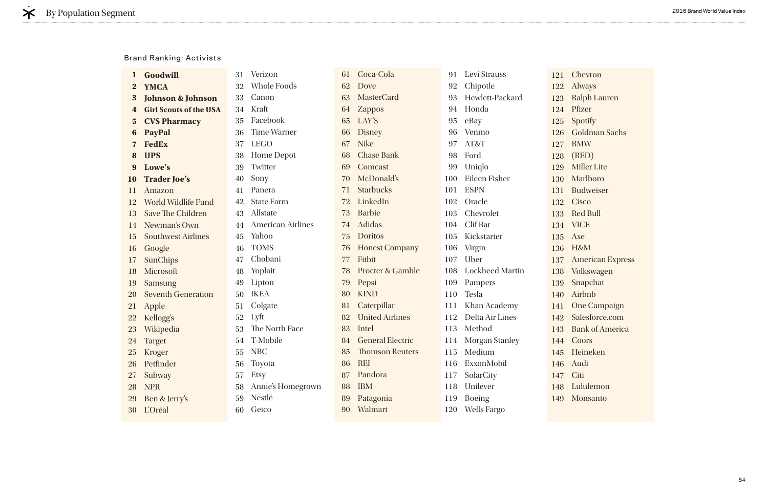|                         | Goodwill                      | 31 | Verizon                  | 61 | Coca-Cola                   | 91  | Levi Strauss           |  |
|-------------------------|-------------------------------|----|--------------------------|----|-----------------------------|-----|------------------------|--|
| $\bf{2}$                | <b>YMCA</b>                   | 32 | <b>Whole Foods</b>       | 62 | Dove                        | 92  | Chipotle               |  |
| 3                       | <b>Johnson &amp; Johnson</b>  | 33 | Canon                    | 63 | <b>MasterCard</b>           | 93  | Hewlett-Packard        |  |
| 4                       | <b>Girl Scouts of the USA</b> | 34 | Kraft                    |    | <b>Zappos</b>               | 94  | Honda                  |  |
| $\overline{\mathbf{5}}$ | <b>CVS Pharmacy</b>           | 35 | Facebook                 | 65 | LAY'S                       | 95  | eBay                   |  |
| 6                       | <b>PayPal</b>                 | 36 | <b>Time Warner</b>       | 66 | <b>Disney</b>               | 96  | Venmo                  |  |
|                         | <b>FedEx</b>                  | 37 | <b>LEGO</b>              | 67 | <b>Nike</b>                 | 97  | AT&T                   |  |
| 8                       | <b>UPS</b>                    | 38 | Home Depot               | 68 | <b>Chase Bank</b>           | 98  | Ford                   |  |
| 9                       | Lowe's                        | 39 | Twitter                  | 69 | Comcast                     | 99  | Uniqlo                 |  |
| <b>10</b>               | <b>Trader Joe's</b>           | 40 | Sony                     | 70 | McDonald's                  | 100 | Eileen Fisher          |  |
| 11                      | Amazon                        | 41 | Panera                   | 71 | <b>Starbucks</b>            | 101 | <b>ESPN</b>            |  |
| 12                      | World Wildlife Fund           | 42 | <b>State Farm</b>        | 72 | LinkedIn                    | 102 | Oracle                 |  |
| 13                      | <b>Save The Children</b>      | 43 | Allstate                 | 73 | <b>Barbie</b>               | 103 | Chevrolet              |  |
| 14                      | Newman's Own                  | 44 | <b>American Airlines</b> | 74 | Adidas                      | 104 | Clif Bar               |  |
| 15                      | <b>Southwest Airlines</b>     | 45 | Yahoo                    | 75 | <b>Doritos</b>              | 105 | Kickstarter            |  |
| 16                      | Google                        | 46 | <b>TOMS</b>              | 76 | <b>Honest Company</b>       | 106 | Virgin                 |  |
| 17                      | <b>SunChips</b>               | 47 | Chobani                  | 77 | Fitbit                      | 107 | Uber                   |  |
| 18                      | Microsoft                     | 48 | Yoplait                  | 78 | <b>Procter &amp; Gamble</b> | 108 | <b>Lockheed Martin</b> |  |
| 19                      | <b>Samsung</b>                | 49 | Lipton                   | 79 | Pepsi                       | 109 | Pampers                |  |
| <b>20</b>               | <b>Seventh Generation</b>     | 50 | <b>IKEA</b>              | 80 | <b>KIND</b>                 | 110 | Tesla                  |  |
| 21                      | Apple                         | 51 | Colgate                  | 81 | Caterpillar                 | 111 | Khan Academy           |  |
| 22                      | Kellogg's                     | 52 | Lyft                     | 82 | <b>United Airlines</b>      | 112 | Delta Air Lines        |  |
| 23                      | Wikipedia                     | 53 | The North Face           | 83 | Intel                       | 113 | Method                 |  |
| 24                      | <b>Target</b>                 | 54 | T-Mobile                 | 84 | <b>General Electric</b>     | 114 | <b>Morgan Stanley</b>  |  |
|                         | 25 Kroger                     | 55 | NBC                      | 85 | <b>Thomson Reuters</b>      | 115 | Medium                 |  |
| 26                      | Petfinder                     | 56 | Toyota                   | 86 | <b>REI</b>                  | 116 | ExxonMobil             |  |
| 27                      | Subway                        | 57 | Etsy                     | 87 | Pandora                     | 117 | SolarCity              |  |
| 28                      | <b>NPR</b>                    | 58 | Annie's Homegrown        | 88 | <b>IBM</b>                  | 118 | Unilever               |  |
| 29                      | Ben & Jerry's                 | 59 | Nestlé                   | 89 | Patagonia                   | 119 | <b>Boeing</b>          |  |
| 30                      | <b>L'Oréal</b>                | 60 | Geico                    | 90 | Walmart                     | 120 | <b>Wells Fargo</b>     |  |

121 Chevron 122 Always 123 Ralph Lauren 124 Pfizer 125 Spotify 126 Goldman Sachs 127 BMW 128 (RED) 129 Miller Lite 130 Marlboro 131 Budweiser 132 Cisco 133 Red Bull 134 VICE 135 Axe 136 H&M 137 American Express 138 Volkswagen 139 Snapchat 140 Airbnb 141 One Campaign 142 Salesforce.com 143 Bank of America 144 Coors 145 Heineken 146 Audi 147 Citi 148 Lululemon 149 Monsanto

#### Brand Ranking: Activists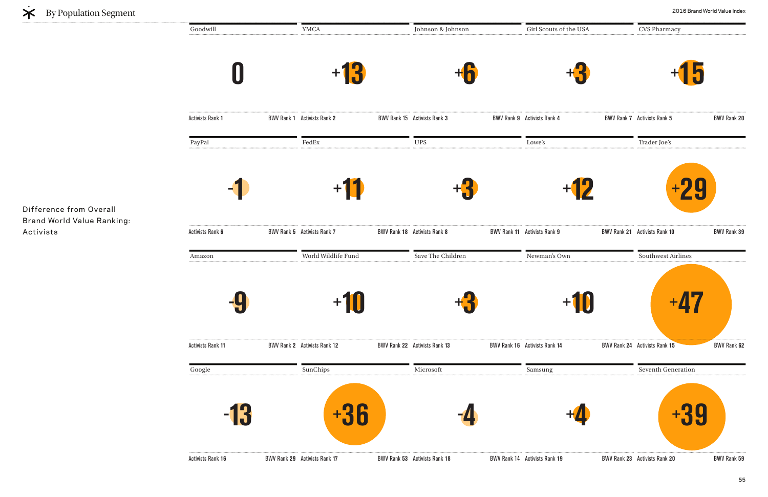**0 Activists Rank 1** Johnson & Johnson **+6**  Activists Rank **3** BWV Rank **9** YMCA **+13 BWV Rank 1 Activists Rank 2** Girl Scouts of the USA **BWV Rank 9 Activists Rank 4** Amazon **- 9 Activists Rank 11** Save The Children **+3 BWV Rank 22 Activists Rank 13** World Wildlife Fund **+10**  Activists Rank 1**2** BWV Rank **22** Newman's Own **BWV Rank 16 Activists Rank 14** PayPal **- 1 Activists Rank 6** UPS **+3 BWV Rank 18** Activists Rank 8 FedEx **+11 BWV Rank 5 Activists Rank 7** Lowe's **BWV Rank 11 Activists Rank 9** Google **- 13 +36 - Activists Rank 16** Microsoft **BWV Rank 53 Activists Rank 18** SunChips **BWV Rank 29 Activists Rank 17** Samsung Activists Rank **19** BWV Rank **23** Goodwill



Difference from Overall Brand World Value Ranking: Activists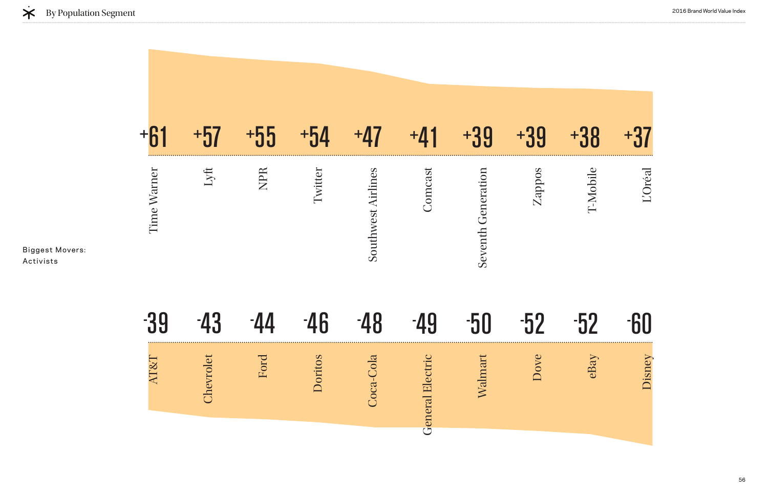|                 | $+57$     | $+55$ | $+54$   | $+47$                     | $+41$                      | $+39$              | $+39$  | $+38$    | $+37$     |
|-----------------|-----------|-------|---------|---------------------------|----------------------------|--------------------|--------|----------|-----------|
| Time Warner     | Lyft      | NPR   | Twitter | <b>Southwest Airlines</b> | Comcast                    | Seventh Generation | Zappos | T-Mobile | L'Oréal   |
| -39             | $-43$     | -44   | -46     | $-48$                     | -49                        | $-50$              | $-52$  | $-52$    | <b>HI</b> |
| <b>AT&amp;T</b> | Chevrolet | Ford  | oritos  | -Cola<br>Coca             | ectric<br><b>General E</b> | Walmart            | Dove   | eBay     | Jisney    |
|                 |           |       |         |                           |                            |                    |        |          |           |



Biggest Movers: Activists

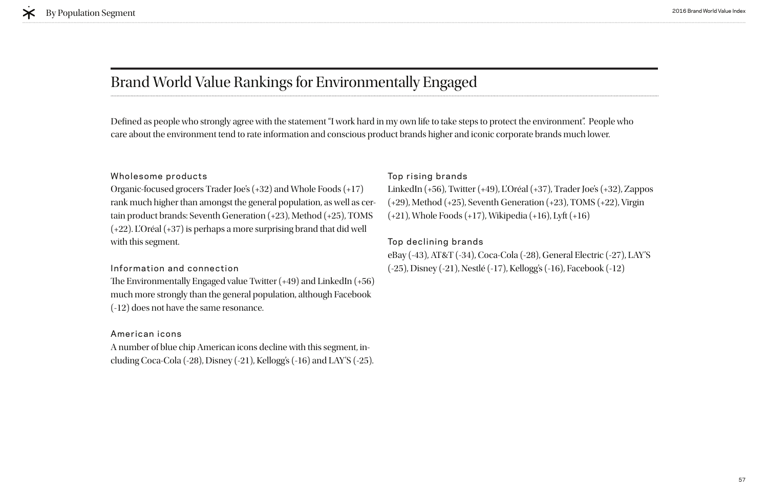# Brand World Value Rankings for Environmentally Engaged

#### Wholesome products

Organic-focused grocers Trader Joe's (+32) and Whole Foods (+17) rank much higher than amongst the general population, as well as certain product brands: Seventh Generation (+23), Method (+25), TOMS (+22). L'Oréal (+37) is perhaps a more surprising brand that did well with this segment.

The Environmentally Engaged value Twitter  $(+49)$  and LinkedIn  $(+56)$ much more strongly than the general population, although Facebook (-12) does not have the same resonance.

#### Information and connection

#### American icons

A number of blue chip American icons decline with this segment, including Coca-Cola (-28), Disney (-21), Kellogg's (-16) and LAY'S (-25).

Defned as people who strongly agree with the statement "I work hard in my own life to take steps to protect the environment". People who care about the environment tend to rate information and conscious product brands higher and iconic corporate brands much lower.

#### Top rising brands

LinkedIn (+56), Twitter (+49), L'Oréal (+37), Trader Joe's (+32), Zappos (+29), Method (+25), Seventh Generation (+23), TOMS (+22), Virgin (+21), Whole Foods (+17), Wikipedia (+16), Lyft (+16)

#### Top declining brands

eBay (-43), AT&T (-34), Coca-Cola (-28), General Electric (-27), LAY'S (-25), Disney (-21), Nestlé (-17), Kellogg's (-16), Facebook (-12)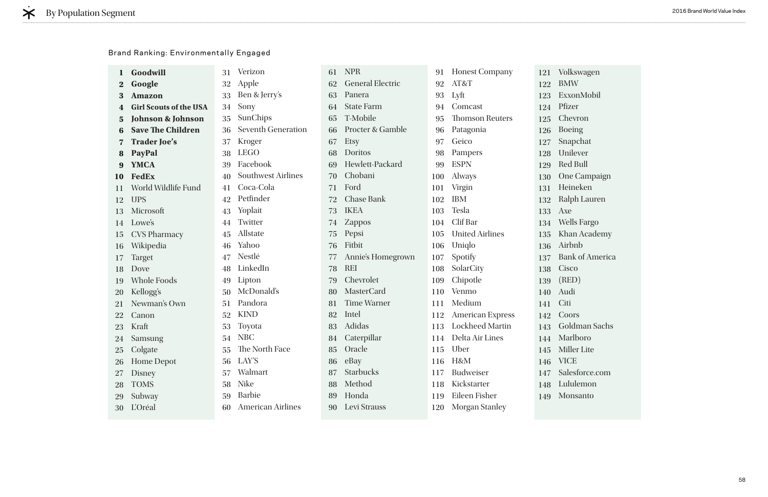| 1        | Goodwill                      | 31 | Verizon                   | 61 | <b>NPR</b>              | 91  | <b>Honest Company</b>   | 121    | Vo             |
|----------|-------------------------------|----|---------------------------|----|-------------------------|-----|-------------------------|--------|----------------|
| $\bf{2}$ | Google                        | 32 | Apple                     | 62 | <b>General Electric</b> | 92  | AT&T                    | 122    | <b>B</b>       |
| 3        | <b>Amazon</b>                 | 33 | Ben & Jerry's             | 63 | Panera                  | 93  | Lyft                    | 123    | Ex             |
|          | <b>Girl Scouts of the USA</b> | 34 | Sony                      | 64 | <b>State Farm</b>       | 94  | Comcast                 | 124    | Pfi            |
| 5        | <b>Johnson &amp; Johnson</b>  | 35 | SunChips                  | 65 | T-Mobile                | 95  | <b>Thomson Reuters</b>  | 125    | C <sub>1</sub> |
| 6        | <b>Save The Children</b>      | 36 | <b>Seventh Generation</b> | 66 | Procter & Gamble        | 96  | Patagonia               | 126    | Bo             |
|          | <b>Trader Joe's</b>           | 37 | Kroger                    | 67 | <b>Etsy</b>             | 97  | Geico                   | 127    | Sn             |
| 8        | PayPal                        | 38 | <b>LEGO</b>               | 68 | <b>Doritos</b>          | 98  | Pampers                 | 128    | Ur             |
|          | <b>YMCA</b>                   | 39 | Facebook                  | 69 | Hewlett-Packard         | 99  | <b>ESPN</b>             | 129    | Re             |
| 10       | <b>FedEx</b>                  | 40 | <b>Southwest Airlines</b> | 70 | Chobani                 | 100 | Always                  | 130    | Or             |
| 11       | World Wildlife Fund           | 41 | Coca-Cola                 | 71 | Ford                    | 101 | Virgin                  | 131    | $H\epsilon$    |
| 12       | <b>UPS</b>                    | 42 | Petfinder                 | 72 | <b>Chase Bank</b>       | 102 | <b>IBM</b>              | 132    | Ra             |
| 13       | Microsoft                     | 43 | Yoplait                   | 73 | <b>IKEA</b>             | 103 | <b>Tesla</b>            | 133    | Ax             |
| 14       | Lowe's                        | 44 | Twitter                   | 74 | <b>Zappos</b>           | 104 | Clif Bar                | 134    | <b>W</b>       |
| 15       | <b>CVS Pharmacy</b>           | 45 | Allstate                  | 75 | Pepsi                   | 105 | <b>United Airlines</b>  | 135    | K <sub>h</sub> |
| 16       | Wikipedia                     | 46 | Yahoo                     | 76 | Fitbit                  | 106 | Uniqlo                  | 136    | Ail            |
| 17       | Target                        | 47 | Nestlé                    | 77 | Annie's Homegrown       | 107 | Spotify                 | 137    | Ba             |
| 18       | Dove                          | 48 | LinkedIn                  | 78 | <b>REI</b>              | 108 | SolarCity               | 138    | Ci:            |
| 19       | <b>Whole Foods</b>            | 49 | Lipton                    | 79 | Chevrolet               | 109 | Chipotle                | 139    | (R)            |
| 20       | Kellogg's                     | 50 | McDonald's                | 80 | <b>MasterCard</b>       | 110 | Venmo                   | 140    | Au             |
| 21       | Newman's Own                  | 51 | Pandora                   | 81 | <b>Time Warner</b>      | 111 | Medium                  | 141    | Ci             |
| 22       | Canon                         | 52 | <b>KIND</b>               | 82 | Intel                   | 112 | <b>American Express</b> | 142    | C <sub>C</sub> |
| 23       | Kraft                         | 53 | Toyota                    | 83 | Adidas                  | 113 | <b>Lockheed Martin</b>  | 143    | Go             |
| 24       | Samsung                       | 54 | <b>NBC</b>                | 84 | Caterpillar             | 114 | Delta Air Lines         | 144    | M              |
| 25       | Colgate                       | 55 | The North Face            | 85 | Oracle                  | 115 | Uber                    | 145 Mi |                |
| 26       | <b>Home Depot</b>             | 56 | LAY'S                     | 86 | eBay                    | 116 | H&M                     | 146    | - VI           |
| 27       | <b>Disney</b>                 | 57 | Walmart                   | 87 | <b>Starbucks</b>        | 117 | <b>Budweiser</b>        | 147 Sa |                |
| 28       | <b>TOMS</b>                   | 58 | <b>Nike</b>               | 88 | Method                  | 118 | Kickstarter             | 148    | Lu             |
| 29       | Subway                        | 59 | <b>Barbie</b>             | 89 | Honda                   | 119 | Eileen Fisher           | 149 Mo |                |
| 30       | <b>L'Oréal</b>                | 60 | <b>American Airlines</b>  | 90 | Levi Strauss            | 120 | <b>Morgan Stanley</b>   |        |                |

olkswagen BMW ExxonMobil fizer hevron oeing napchat nilever ed Bull ne Campaign leineken alph Lauren Axe Wells Fargo han Academy irbnb ank of America isco (RED) udi iti oors oldman Sachs Marlboro Iiller Lite ICE alesforce.com Lululemon **Ionsanto** 

|  | <b>Brand Ranking: Environmentally Engaged</b> |  |
|--|-----------------------------------------------|--|
|--|-----------------------------------------------|--|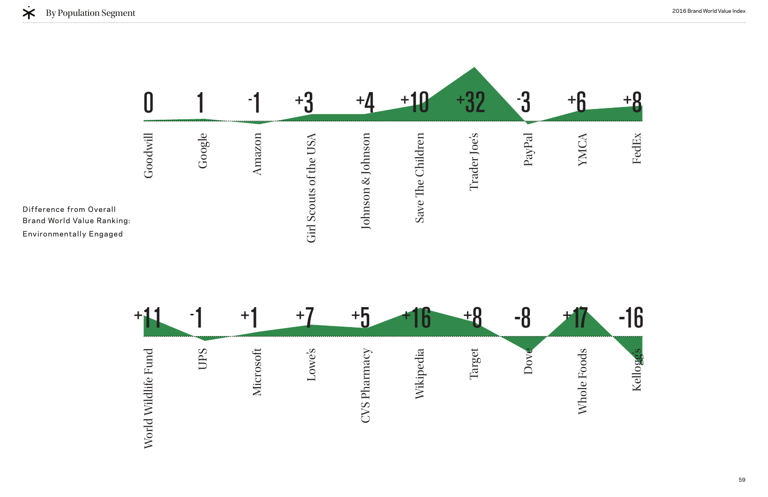



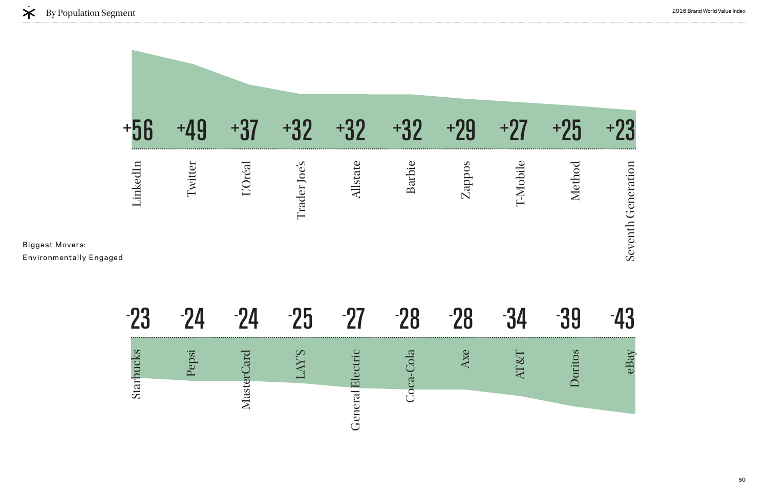Top Movement for the Environmental Library and Top Movement of the Environmental Library and Top Movement of the Environmental Library and Top Movement of the Environmental Library and Library and Library and Library and L



Seventh Generation

Seventh Generation

39 43 Doritos eBay

| a in | . — 1          | $\blacksquare$ | . — Т | . — П |  |  |
|------|----------------|----------------|-------|-------|--|--|
| itar | $\overline{a}$ | ರ<br>Œ<br>S    |       |       |  |  |

Biggest Movers:

Environmentally Engaged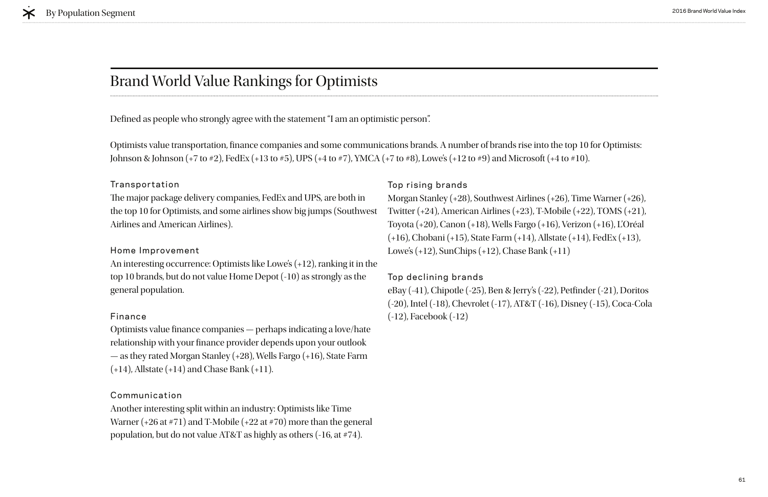## Brand World Value Rankings for Optimists

#### Transportation

The major package delivery companies, FedEx and UPS, are both in the top 10 for Optimists, and some airlines show big jumps (Southwest Airlines and American Airlines).

Optimists value fnance companies — perhaps indicating a love/hate relationship with your fnance provider depends upon your outlook — as they rated Morgan Stanley (+28), Wells Fargo (+16), State Farm  $(+14)$ , Allstate  $(+14)$  and Chase Bank  $(+11)$ .

#### Home Improvement

An interesting occurrence: Optimists like Lowe's (+12), ranking it in the top 10 brands, but do not value Home Depot (-10) as strongly as the general population.

#### Finance

#### Communication

Another interesting split within an industry: Optimists like Time Warner (+26 at #71) and T-Mobile (+22 at #70) more than the general population, but do not value AT&T as highly as others (-16, at #74).

#### Top rising brands

Morgan Stanley (+28), Southwest Airlines (+26), Time Warner (+26), Twitter (+24), American Airlines (+23), T-Mobile (+22), TOMS (+21), Toyota (+20), Canon (+18), Wells Fargo (+16), Verizon (+16), L'Oréal (+16), Chobani (+15), State Farm (+14), Allstate (+14), FedEx (+13), Lowe's (+12), SunChips (+12), Chase Bank (+11)

#### Top declining brands

eBay (-41), Chipotle (-25), Ben & Jerry's (-22), Petfnder (-21), Doritos (-20), Intel (-18), Chevrolet (-17), AT&T (-16), Disney (-15), Coca-Cola (-12), Facebook (-12)

Defned as people who strongly agree with the statement "I am an optimistic person".

Optimists value transportation, fnance companies and some communications brands. A number of brands rise into the top 10 for Optimists: Johnson & Johnson (+7 to #2), FedEx (+13 to #5), UPS (+4 to #7), YMCA (+7 to #8), Lowe's (+12 to #9) and Microsoft (+4 to #10).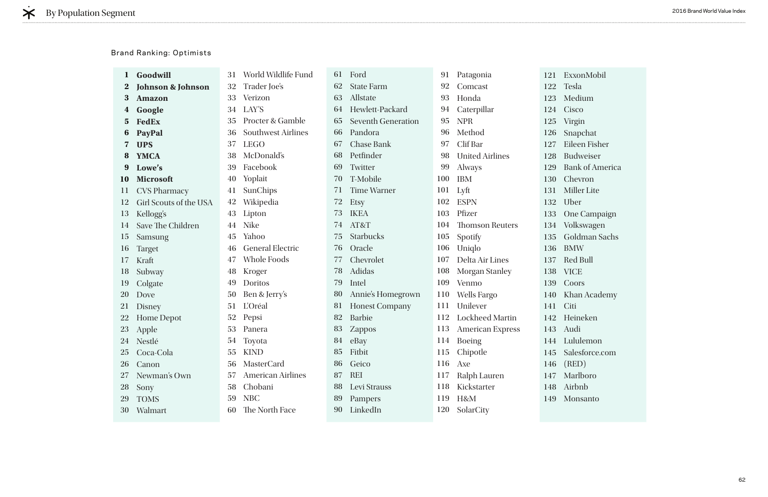| $\mathbf{I}$ | Goodwill                     | 31 | World Wildlife Fund         | 61 | Ford                      | 91  | Patagonia               | 121 E     |                |
|--------------|------------------------------|----|-----------------------------|----|---------------------------|-----|-------------------------|-----------|----------------|
| $\bf{2}$     | <b>Johnson &amp; Johnson</b> | 32 | Trader Joe's                | 62 | <b>State Farm</b>         | 92  | Comcast                 | 122 T     |                |
| $\bf{3}$     | <b>Amazon</b>                | 33 | Verizon                     | 63 | Allstate                  | 93  | Honda                   | $123$ M   |                |
| 4            | Google                       | 34 | LAY'S                       | 64 | Hewlett-Packard           | 94  | Caterpillar             | 124 C     |                |
| $5^{\circ}$  | <b>FedEx</b>                 | 35 | <b>Procter &amp; Gamble</b> | 65 | <b>Seventh Generation</b> | 95  | <b>NPR</b>              | 125       | $\mathbf{V}$   |
| 6            | <b>PayPal</b>                | 36 | <b>Southwest Airlines</b>   | 66 | Pandora                   | 96  | Method                  | 126 S     |                |
|              | <b>UPS</b>                   | 37 | <b>LEGO</b>                 | 67 | <b>Chase Bank</b>         | 97  | Clif Bar                | 127       | E              |
| 8            | <b>YMCA</b>                  | 38 | McDonald's                  | 68 | Petfinder                 | 98  | <b>United Airlines</b>  | 128       | $\overline{B}$ |
| 9            | Lowe's                       | 39 | Facebook                    | 69 | Twitter                   | 99  | Always                  | 129       | B              |
| 10           | <b>Microsoft</b>             | 40 | Yoplait                     | 70 | T-Mobile                  | 100 | <b>IBM</b>              | 130       | $\mathcal{C}$  |
| 11           | <b>CVS Pharmacy</b>          | 41 | SunChips                    | 71 | <b>Time Warner</b>        | 101 | Lyft                    | 131       | $\mathbf{N}$   |
| 12           | Girl Scouts of the USA       | 42 | Wikipedia                   | 72 | Etsy                      | 102 | <b>ESPN</b>             | 132       | $\cup$         |
| 13           | Kellogg's                    | 43 | Lipton                      | 73 | <b>IKEA</b>               | 103 | Pfizer                  | 133       | $\overline{0}$ |
| 14           | Save The Children            | 44 | <b>Nike</b>                 | 74 | AT&T                      | 104 | <b>Thomson Reuters</b>  | 134 V     |                |
| 15           | Samsung                      | 45 | Yahoo                       | 75 | <b>Starbucks</b>          | 105 | Spotify                 | 135 G     |                |
| 16           | <b>Target</b>                | 46 | <b>General Electric</b>     | 76 | Oracle                    | 106 | Uniqlo                  | 136       | B              |
| 17           | Kraft                        | 47 | <b>Whole Foods</b>          | 77 | Chevrolet                 | 107 | Delta Air Lines         | 137 R     |                |
| 18           | Subway                       | 48 | Kroger                      | 78 | <b>Adidas</b>             | 108 | <b>Morgan Stanley</b>   | 138       | $\mathbf{V}$   |
| 19           | Colgate                      | 49 | Doritos                     | 79 | Intel                     | 109 | Venmo                   | 139       | $\mathcal{C}$  |
| 20           | Dove                         | 50 | Ben & Jerry's               | 80 | Annie's Homegrown         | 110 | <b>Wells Fargo</b>      | 140       | $\mathbf{K}$   |
| 21           | Disney                       | 51 | L'Oréal                     | 81 | <b>Honest Company</b>     | 111 | Unilever                | 141       | $\mathcal{C}$  |
| 22           | <b>Home Depot</b>            | 52 | Pepsi                       | 82 | <b>Barbie</b>             | 112 | <b>Lockheed Martin</b>  | 142 H     |                |
| 23           | Apple                        | 53 | Panera                      | 83 | <b>Zappos</b>             | 113 | <b>American Express</b> | 143       | $\mathbf{A}$   |
|              | 24 Nestlé                    | 54 | Toyota                      | 84 | eBay                      | 114 | <b>Boeing</b>           | 144 L     |                |
|              | 25 Coca-Cola                 | 55 | <b>KIND</b>                 | 85 | Fitbit                    |     | 115 Chipotle            | 145 S     |                |
| 26           | Canon                        | 56 | MasterCard                  | 86 | Geico                     | 116 | Axe                     | $146$ (1) |                |
| 27           | Newman's Own                 | 57 | <b>American Airlines</b>    | 87 | <b>REI</b>                | 117 | Ralph Lauren            | 147 N     |                |
| 28           | Sony                         | 58 | Chobani                     | 88 | Levi Strauss              | 118 | Kickstarter             | 148 A     |                |
| 29           | <b>TOMS</b>                  | 59 | <b>NBC</b>                  | 89 | Pampers                   | 119 | H&M                     | 149 N     |                |
| 30           | Walmart                      | 60 | The North Face              | 90 | LinkedIn                  | 120 | SolarCity               |           |                |
|              |                              |    |                             |    |                           |     |                         |           |                |

ExxonMobil Tesla Medium Cisco Virgin Snapchat Eileen Fisher Budweiser Bank of America **Chevron** Miller Lite Uber One Campaign Volkswagen Goldman Sachs BMW Red Bull VICE **Coors** Khan Academy Citi Heineken Audi Lululemon Salesforce.com (RED) Marlboro Airbnb Monsanto

#### Brand Ranking: Optimists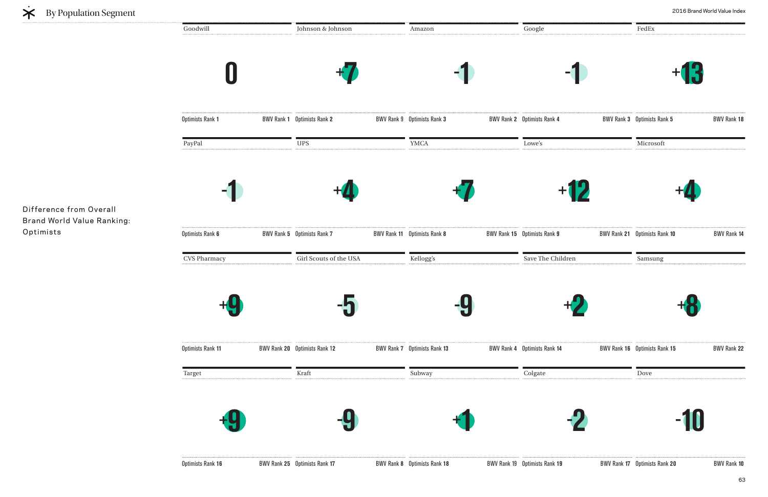**0 0ptimists Rank 1** Amazon **- 1**  Optimists Rank **3** BWV Rank **2** Johnson & Johnson **+7**  BWV Rank 1 Optimists Rank 2 Google Optimists Rank **4** BWV Rank **3** CVS Pharmacy **+9 Optimists Rank 11** Kellogg's **- 9 BWV Rank 7** Optimists Rank 13 Girl Scouts of the USA **- 5**  BWV Rank 20 Optimists Rank 12 Save The Children BWV Rank 4 Optimists Rank 14 PayPal **- 1 Optimists Rank 6** YMCA **+7**  BWV Rank 11 Optimists Rank 8 UPS **+4**  BWV Rank 5 Optimists Rank 7 Lowe's BWV Rank 15 Optimists Rank 9 Target **+9 - 9 +1 - Subway** Kraft **Colgate** Goodwill



Difference from Overall Brand World Value Ranking: Optimists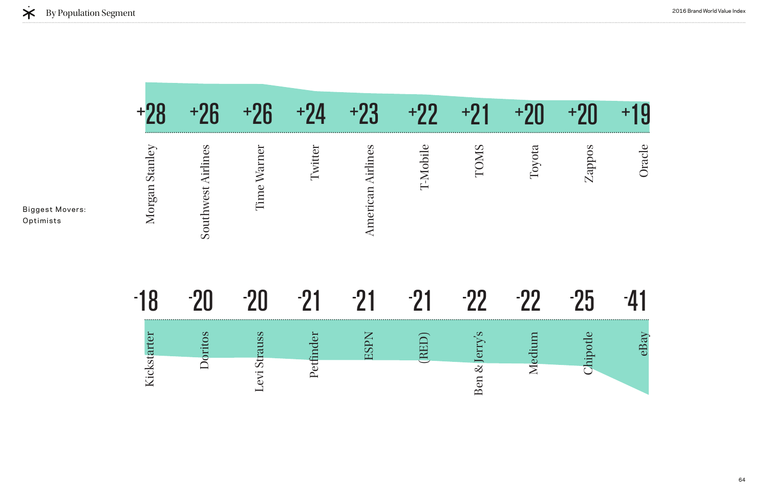|                                     | $+28$          | $+26$              | $+26$        | $+24$     | $+23$                    | $+22$    | $+91$         | $+20$  | $+20$    | $+19$  |
|-------------------------------------|----------------|--------------------|--------------|-----------|--------------------------|----------|---------------|--------|----------|--------|
| <b>Biggest Movers:</b><br>Optimists | Morgan Stanley | Southwest Airlines | Time Warner  | Twitter   | <b>American Airlines</b> | T-Mobile | TOMS          | Toyota | Zappos   | Oracle |
|                                     | $-18$          | $-20$              | $-20$        | $-21$     | $-21$                    | $-21$    | $-22$         | $-22$  | $-25$    | -41    |
|                                     |                | Doritos            |              | Petfinder | <b>ESPN</b>              | (RED)    |               | Medium | Chipotle | eBay   |
|                                     | Kickstarter    |                    | Levi Strauss |           |                          |          | Ben & Jerry's |        |          |        |



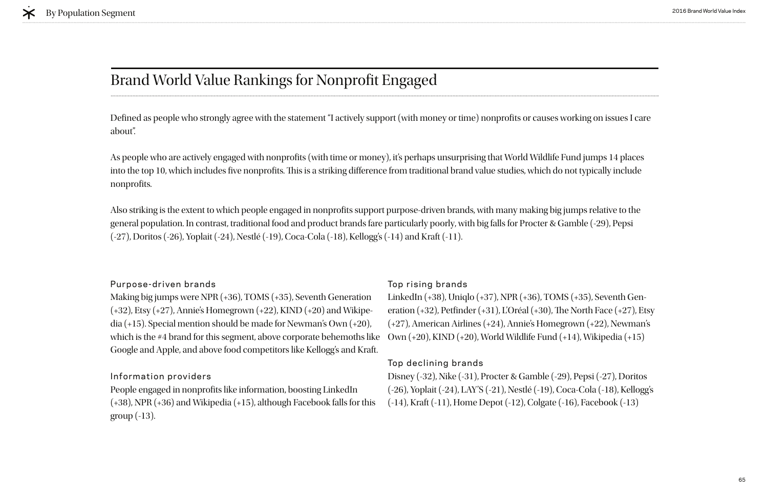# Brand World Value Rankings for Nonprofit Engaged

#### Purpose-driven brands

Making big jumps were NPR (+36), TOMS (+35), Seventh Generation (+32), Etsy (+27), Annie's Homegrown (+22), KIND (+20) and Wikipedia (+15). Special mention should be made for Newman's Own (+20), which is the #4 brand for this segment, above corporate behemoths like Google and Apple, and above food competitors like Kellogg's and Kraft.

#### Information providers

People engaged in nonprofts like information, boosting LinkedIn (+38), NPR (+36) and Wikipedia (+15), although Facebook falls for this group (-13).

#### Top rising brands

Defined as people who strongly agree with the statement "I actively support (with money or time) nonprofits or causes working on issues I care about".

As people who are actively engaged with nonprofits (with time or money), it's perhaps unsurprising that World Wildlife Fund jumps 14 places into the top 10, which includes five nonprofits. This is a striking difference from traditional brand value studies, which do not typically include nonprofits.

> LinkedIn (+38), Uniqlo (+37), NPR (+36), TOMS (+35), Seventh Generation  $(+32)$ , Petfinder  $(+31)$ , L'Oréal  $(+30)$ , The North Face  $(+27)$ , Etsy (+27), American Airlines (+24), Annie's Homegrown (+22), Newman's Own (+20), KIND (+20), World Wildlife Fund (+14), Wikipedia (+15)

#### Top declining brands

Also striking is the extent to which people engaged in nonprofits support purpose-driven brands, with many making big jumps relative to the general population. In contrast, traditional food and product brands fare particularly poorly, with big falls for Procter & Gamble (-29), Pepsi (-27), Doritos (-26), Yoplait (-24), Nestlé (-19), Coca-Cola (-18), Kellogg's (-14) and Kraft (-11).

> Disney (-32), Nike (-31), Procter & Gamble (-29), Pepsi (-27), Doritos (-26), Yoplait (-24), LAY'S (-21), Nestlé (-19), Coca-Cola (-18), Kellogg's (-14), Kraft (-11), Home Depot (-12), Colgate (-16), Facebook (-13)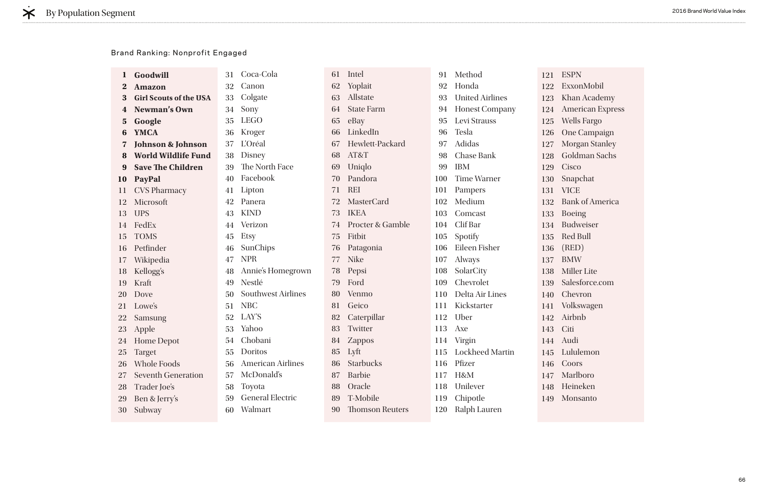ESPN ExxonMobil han Academy American Express Wells Fargo One Campaign Morgan Stanley ioldman Sachs `isco napchat **ICE** ank of America oeing udweiser ed Bull (RED) BMW Miller Lite alesforce.com hevron **Volkswagen** Airbnb iti Audi Lululemon coors Marlboro Heineken **Ionsanto** 

| Goodwill                      | 31 | Coca-Cola                 | 61 | Intel                  | 91      | Method                 | 121             | E                           |
|-------------------------------|----|---------------------------|----|------------------------|---------|------------------------|-----------------|-----------------------------|
| <b>Amazon</b>                 | 32 | Canon                     | 62 | Yoplait                | 92      | Honda                  | 122             | E                           |
| <b>Girl Scouts of the USA</b> | 33 | Colgate                   | 63 | Allstate               | 93      | <b>United Airlines</b> | 123             | $\mathbf{K}$                |
| Newman's Own                  | 34 | Sony                      | 64 | <b>State Farm</b>      | 94      | <b>Honest Company</b>  | 124             | A                           |
| Google                        | 35 | <b>LEGO</b>               | 65 | eBay                   | 95      | Levi Strauss           | 125             | $\mathcal{N}_{\mathcal{N}}$ |
| <b>YMCA</b>                   | 36 | Kroger                    | 66 | LinkedIn               | 96      | <b>Tesla</b>           | 126             | $\overline{O}$              |
| <b>Johnson &amp; Johnson</b>  | 37 | L'Oréal                   | 67 | Hewlett-Packard        | 97      | Adidas                 | 127             | $\mathbf{M}$                |
| <b>World Wildlife Fund</b>    | 38 | <b>Disney</b>             | 68 | AT&T                   | 98      | <b>Chase Bank</b>      | 128             | G                           |
| <b>Save The Children</b>      | 39 | The North Face            | 69 | Uniqlo                 | 99      | <b>IBM</b>             | 129             | $\mathcal{C}$               |
| PayPal                        | 40 | Facebook                  | 70 | Pandora                | 100     | <b>Time Warner</b>     | 130 St          |                             |
| <b>CVS Pharmacy</b>           | 41 | Lipton                    | 71 | <b>REI</b>             | 101     | Pampers                | 131             | V.                          |
| Microsoft                     | 42 | Panera                    | 72 | <b>MasterCard</b>      | 102     | Medium                 | 132 B           |                             |
| <b>UPS</b>                    | 43 | <b>KIND</b>               | 73 | <b>IKEA</b>            | 103     | Comcast                | 133             | B                           |
| FedEx                         | 44 | Verizon                   | 74 | Procter & Gamble       | 104     | Clif Bar               | 134 Bt          |                             |
| <b>TOMS</b>                   | 45 | <b>Etsy</b>               | 75 | Fitbit                 | 105     | Spotify                | 135             | R                           |
| Petfinder                     | 46 | SunChips                  | 76 | Patagonia              | 106     | Eileen Fisher          | 136             | $\left($ [                  |
| Wikipedia                     | 47 | <b>NPR</b>                | 77 | <b>Nike</b>            | 107     | <b>Always</b>          | 137             | B.                          |
| Kellogg's                     | 48 | Annie's Homegrown         | 78 | Pepsi                  | 108     | SolarCity              | 138             | M                           |
| Kraft                         | 49 | Nestlé                    | 79 | Ford                   | 109     | Chevrolet              | 139             | S:                          |
| Dove                          | 50 | <b>Southwest Airlines</b> | 80 | Venmo                  | 110     | Delta Air Lines        | 140             | $\mathcal{C}$               |
| Lowe's                        | 51 | <b>NBC</b>                | 81 | Geico                  | 111     | Kickstarter            | 141             | $-V$                        |
| Samsung                       | 52 | LAY'S                     | 82 | Caterpillar            | 112     | Uber                   | $142 \text{ A}$ |                             |
| Apple                         | 53 | Yahoo                     | 83 | Twitter                | 113     | Axe                    | 143 C           |                             |
| <b>Home Depot</b>             | 54 | Chobani                   | 84 | Zappos                 | 114     | Virgin                 | $144 \text{ A}$ |                             |
| <b>Target</b>                 | 55 | Doritos                   |    |                        | 115     | Lockheed Martin        | 145 Lu          |                             |
| <b>Whole Foods</b>            | 56 | <b>American Airlines</b>  | 86 | Starbucks              | 116     | Pfizer                 | 146 C           |                             |
| <b>Seventh Generation</b>     | 57 | McDonald's                | 87 | <b>Barbie</b>          | 117     | H&M                    | 147 M           |                             |
| Trader Joe's                  | 58 | Toyota                    | 88 | Oracle                 | 118     | Unilever               | 148 H           |                             |
| Ben & Jerry's                 | 59 | <b>General Electric</b>   | 89 | T-Mobile               | 119     | Chipotle               | 149 M           |                             |
| Subway                        | 60 | Walmart                   | 90 | <b>Thomson Reuters</b> | 120     | Ralph Lauren           |                 |                             |
|                               |    |                           |    |                        | 85 Lyft |                        |                 |                             |

#### Brand Ranking: Nonprofit Engaged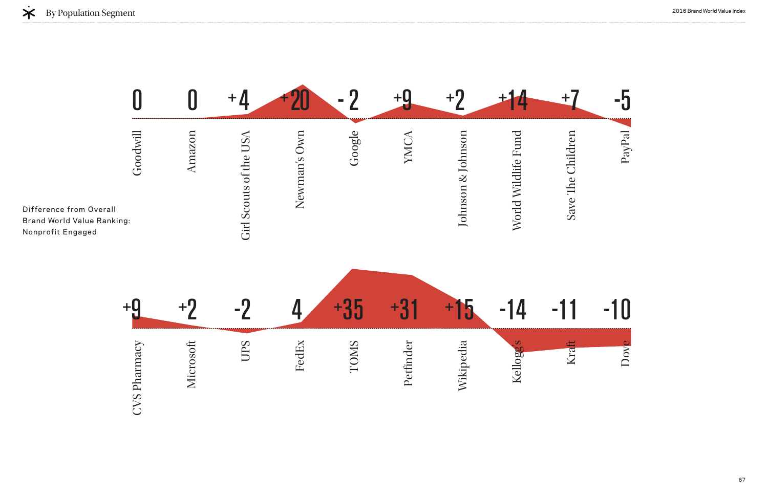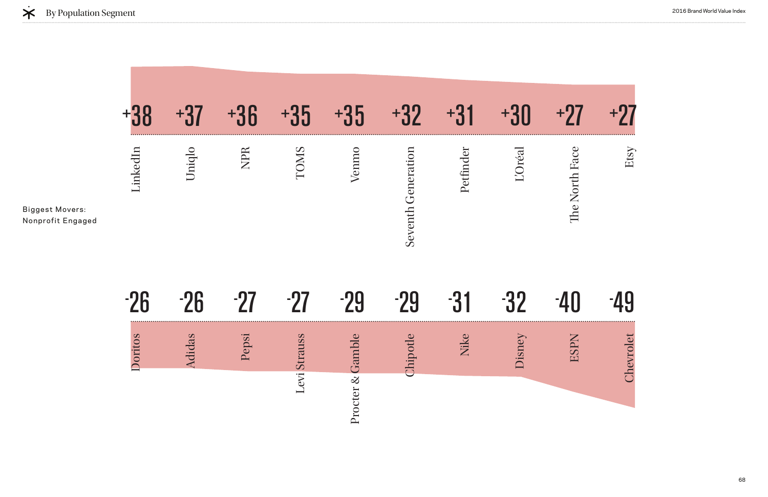

|         | $\pm$  |            | И           | $\mathbf{h}$ |                    |          |        |                            |      |
|---------|--------|------------|-------------|--------------|--------------------|----------|--------|----------------------------|------|
| inkedIn | Uniqlo | <b>NPR</b> | <b>COMS</b> | Venmo        | Seventh Generation | Petfinde | 'Oréal | $\bullet$<br>The North Fac | Etsy |
|         | жB     |            |             |              |                    |          |        |                            |      |
|         |        |            |             |              |                    |          |        |                            |      |



| $\infty$<br>10<br>ori | lidas | S <sub>S</sub> | $\infty$ |  | isn |  |
|-----------------------|-------|----------------|----------|--|-----|--|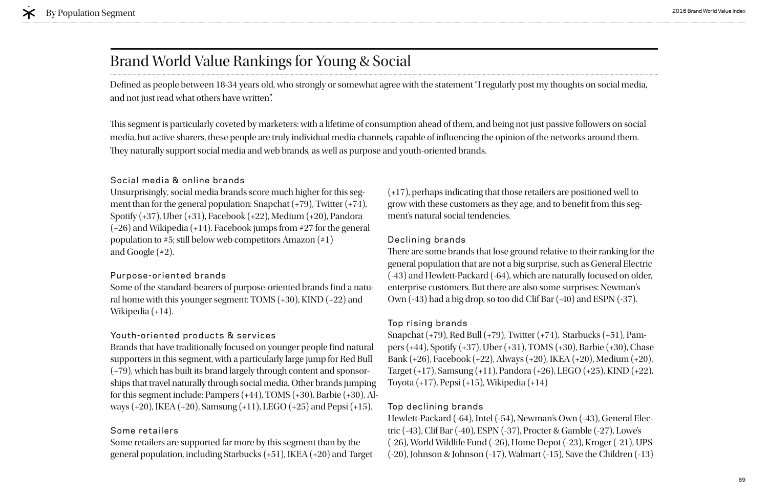# Brand World Value Rankings for Young & Social

#### Social media & online brands

Unsurprisingly, social media brands score much higher for this segment than for the general population: Snapchat (+79), Twitter (+74), Spotify (+37), Uber (+31), Facebook (+22), Medium (+20), Pandora (+26) and Wikipedia (+14). Facebook jumps from #27 for the general population to #5; still below web competitors Amazon (#1) and Google (#2).

Some of the standard-bearers of purpose-oriented brands find a natural home with this younger segment: TOMS (+30), KIND (+22) and Wikipedia (+14).

#### Youth-oriented products & services

#### Purpose-oriented brands

Brands that have traditionally focused on younger people fnd natural supporters in this segment, with a particularly large jump for Red Bull (+79), which has built its brand largely through content and sponsorships that travel naturally through social media. Other brands jumping for this segment include: Pampers (+44), TOMS (+30), Barbie (+30), Always (+20), IKEA (+20), Samsung (+11), LEGO (+25) and Pepsi (+15).

There are some brands that lose ground relative to their ranking for the general population that are not a big surprise, such as General Electric (-43) and Hewlett-Packard (-64), which are naturally focused on older, enterprise customers. But there are also some surprises: Newman's Own (-43) had a big drop, so too did Clif Bar (-40) and ESPN (-37).

#### Some retailers

Some retailers are supported far more by this segment than by the general population, including Starbucks (+51), IKEA (+20) and Target

(+17), perhaps indicating that those retailers are positioned well to grow with these customers as they age, and to beneft from this segment's natural social tendencies.

#### Declining brands

#### Top rising brands

Snapchat (+79), Red Bull (+79), Twitter (+74), Starbucks (+51), Pampers (+44), Spotify (+37), Uber (+31), TOMS (+30), Barbie (+30), Chase Bank (+26), Facebook (+22), Always (+20), IKEA (+20), Medium (+20), Target (+17), Samsung (+11), Pandora (+26), LEGO (+25), KIND (+22), Toyota (+17), Pepsi (+15), Wikipedia (+14)

#### Top declining brands

Hewlett-Packard (-64), Intel (-54), Newman's Own (-43), General Electric (-43), Clif Bar (-40), ESPN (-37), Procter & Gamble (-27), Lowe's (-26), World Wildlife Fund (-26), Home Depot (-23), Kroger (-21), UPS (-20), Johnson & Johnson (-17), Walmart (-15), Save the Children (-13)

Defned as people between 18-34 years old, who strongly or somewhat agree with the statement "I regularly post my thoughts on social media, and not just read what others have written".

This segment is particularly coveted by marketers: with a lifetime of consumption ahead of them, and being not just passive followers on social media, but active sharers, these people are truly individual media channels, capable of infuencing the opinion of the networks around them. They naturally support social media and web brands, as well as purpose and youth-oriented brands.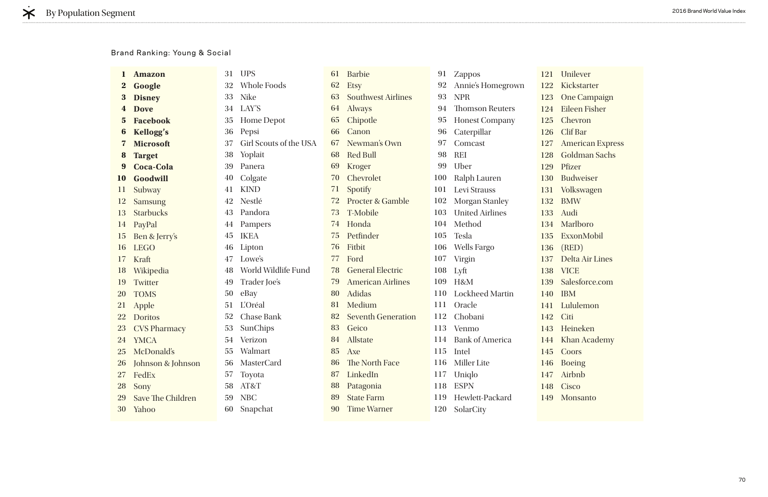|               | <b>Amazon</b>            | 31 | <b>UPS</b>             | 61 | <b>Barbie</b>               | 91  | <b>Zappos</b>          | 121 U  |                             |
|---------------|--------------------------|----|------------------------|----|-----------------------------|-----|------------------------|--------|-----------------------------|
| $\bf{2}$      | Google                   | 32 | Whole Foods            | 62 | <b>Etsy</b>                 | 92  | Annie's Homegrown      | 122    | Ki                          |
| 3             | <b>Disney</b>            | 33 | <b>Nike</b>            | 63 | <b>Southwest Airlines</b>   | 93  | <b>NPR</b>             | 123    | $\mathbf{O}$                |
|               | <b>Dove</b>              | 34 | LAY'S                  | 64 | <b>Always</b>               | 94  | <b>Thomson Reuters</b> | 124 Ei |                             |
| $5^{\circ}$   | <b>Facebook</b>          | 35 | <b>Home Depot</b>      | 65 | Chipotle                    | 95  | <b>Honest Company</b>  | 125    | Cl                          |
| 6             | <b>Kellogg's</b>         | 36 | Pepsi                  | 66 | Canon                       | 96  | Caterpillar            | 126    | C <sub>l</sub>              |
| 7             | <b>Microsoft</b>         | 37 | Girl Scouts of the USA | 67 | Newman's Own                | 97  | Comcast                | 127    | A <sub>1</sub>              |
| 8             | <b>Target</b>            | 38 | Yoplait                | 68 | <b>Red Bull</b>             | 98  | <b>REI</b>             | 128 G  |                             |
| 9             | <b>Coca-Cola</b>         | 39 | Panera                 | 69 | <b>Kroger</b>               | 99  | Uber                   | 129    | Pf                          |
| <b>10</b>     | Goodwill                 | 40 | Colgate                | 70 | Chevrolet                   | 100 | Ralph Lauren           | 130    | B <sub>l</sub>              |
| 11            | Subway                   | 41 | <b>KIND</b>            | 71 | Spotify                     | 101 | Levi Strauss           | 131    | V                           |
| <sup>12</sup> | <b>Samsung</b>           | 42 | Nestlé                 | 72 | <b>Procter &amp; Gamble</b> | 102 | <b>Morgan Stanley</b>  | 132    | B                           |
| 13            | <b>Starbucks</b>         | 43 | Pandora                | 73 | <b>T-Mobile</b>             | 103 | <b>United Airlines</b> | 133    | A                           |
| 14            | PayPal                   | 44 | Pampers                | 74 | Honda                       | 104 | Method                 | 134    | M                           |
| 15            | Ben & Jerry's            | 45 | <b>IKEA</b>            | 75 | Petfinder                   | 105 | <b>Tesla</b>           | 135    | E <sub>2</sub>              |
| 16            | <b>LEGO</b>              | 46 | Lipton                 | 76 | Fitbit                      | 106 | <b>Wells Fargo</b>     | 136    | $\left( \mathrm{F} \right)$ |
| 17            | Kraft                    | 47 | Lowe's                 | 77 | Ford                        | 107 | Virgin                 | 137    | D                           |
| 18            | Wikipedia                | 48 | World Wildlife Fund    | 78 | <b>General Electric</b>     | 108 | Lyft                   | 138    | V                           |
| 19            | Twitter                  | 49 | Trader Joe's           | 79 | <b>American Airlines</b>    | 109 | H&M                    | 139    | $S_{\epsilon}$              |
| <b>20</b>     | <b>TOMS</b>              | 50 | eBay                   | 80 | <b>Adidas</b>               | 110 | <b>Lockheed Martin</b> | 140    | IB                          |
| <b>21</b>     | Apple                    | 51 | L'Oréal                | 81 | Medium                      | 111 | Oracle                 | 141    | $\mathbf{L}$                |
| <b>22</b>     | <b>Doritos</b>           | 52 | <b>Chase Bank</b>      | 82 | <b>Seventh Generation</b>   | 112 | Chobani                | 142    | Ci                          |
| <b>23</b>     | <b>CVS Pharmacy</b>      | 53 | SunChips               | 83 | Geico                       | 113 | Venmo                  | 143    | H                           |
| 24            | <b>YMCA</b>              | 54 | Verizon                | 84 | Allstate                    | 114 | <b>Bank of America</b> | 144    | K                           |
| <b>25</b>     | McDonald's               | 55 | Walmart                | 85 | Axe                         |     | 115 Intel              | 145 C  |                             |
| <b>26</b>     | Johnson & Johnson        | 56 | <b>MasterCard</b>      | 86 | The North Face              | 116 | <b>Miller</b> Lite     | 146 Bo |                             |
| <b>27</b>     | FedEx                    | 57 | Toyota                 | 87 | LinkedIn                    | 117 | Uniqlo                 | 147 Ai |                             |
| <b>28</b>     | Sony                     | 58 | AT&T                   | 88 | Patagonia                   | 118 | <b>ESPN</b>            | 148 Ci |                             |
| 29            | <b>Save The Children</b> | 59 | <b>NBC</b>             | 89 | <b>State Farm</b>           | 119 | Hewlett-Packard        | 149 M  |                             |
| 30            | Yahoo                    | 60 | Snapchat               | 90 | <b>Time Warner</b>          | 120 | SolarCity              |        |                             |
|               |                          |    |                        |    |                             |     |                        |        |                             |

Inilever ickstarter One Campaign Eileen Fisher hevron Iif Bar American Express ioldman Sachs fizer udweiser **Volkswagen** BMW udi **farlboro** ExxonMobil (RED) Delta Air Lines **ICE** alesforce.com  $BM$ ululemon iti leineken han Academy **Coors** oeing irbnb isco **Ionsanto** 

#### Brand Ranking: Young & Social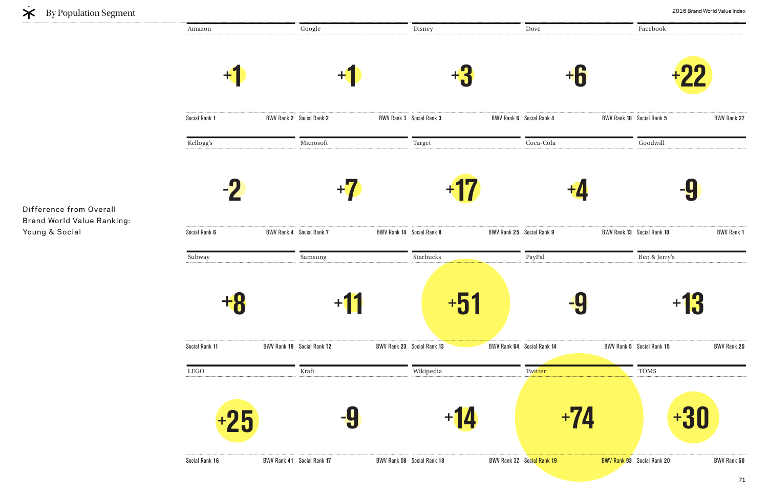**+1 Social Rank 1** Disney **+3**  BWV Rank 3 Social Rank 3 BWV Rank 6 Social Rank 4 Google **+1**  BWV Rank 2 Social Rank 2 Dove Subway **+8**  Social Rank 11 **BWV Rank 19** Social Rank 12 Starbucks **+51**  Social Rank **13** BWV Rank **64** Social Rank 1**2** BWV Rank **23** Samsung **+11**  PayPal Social Rank **14** BWV Rank **5** Kellogg's **- 2**  Social Rank 6 BWV Rank 4 Social Rank 7 Target **+17**  Social Rank **8** BWV Rank **25** Social Rank **9** BWV Rank **13** Microsoft **+7 BWV Rank 14 Social Rank 8** Coca-Cola LEGO **+25 - 9 +14 +74 +30** Wikipedia Kraft **Twitter** Amazon



Difference from Overall Brand World Value Ranking: Young & Social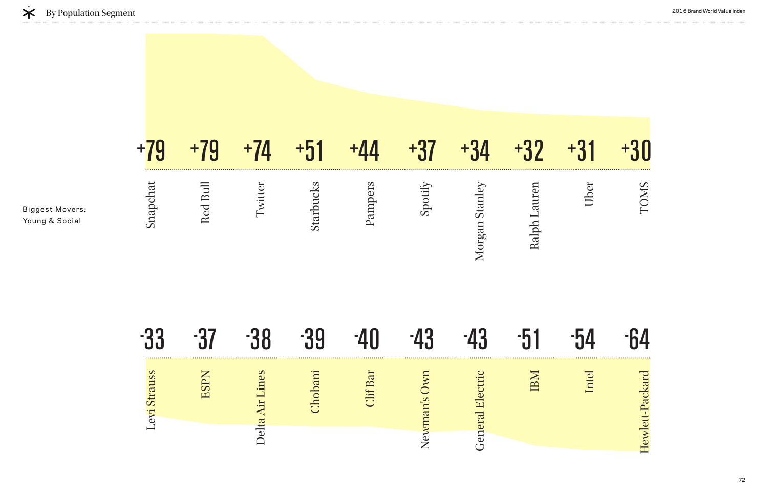|                                          | $+79$             | $+79$       | $+74$     | $+51$     | $+44$           | $+37$        | $+34$          | $+32$        | $+31$ | $+30$           |
|------------------------------------------|-------------------|-------------|-----------|-----------|-----------------|--------------|----------------|--------------|-------|-----------------|
| <b>Biggest Movers:</b><br>Young & Social | Snapchat          | Red Bull    | Twitter   | Starbucks | Pampers         | Spotify      | Morgan Stanley | Ralph Lauren | Uber  | TOMS            |
|                                          | -33               | $-37$       | -38       | -39       | $-40$           | $-43$        | $-43$          | $-51$        | $-54$ | -64             |
|                                          | trauss<br>Levi Si | <b>ESPN</b> | Lines     | Chobani   | <b>Clif Bar</b> | Newman's Own | lectric        | IBM          | Intel | Hewlett-Packard |
|                                          |                   |             | Delta Air |           |                 |              | General E      |              |       |                 |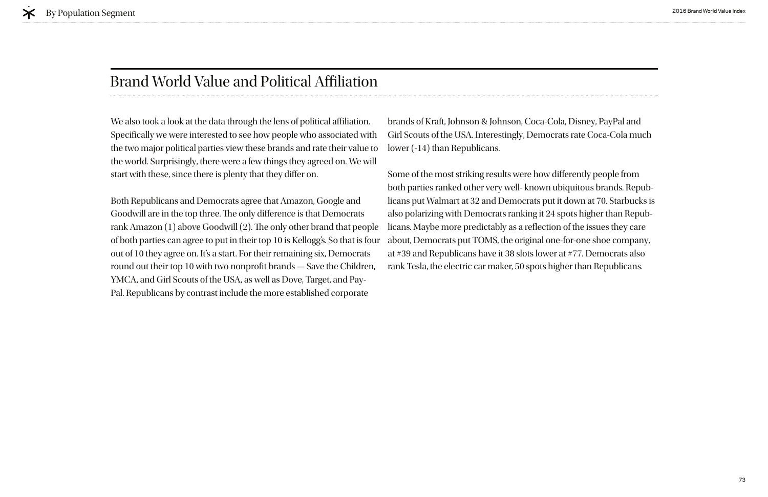## Brand World Value and Political Afliation

We also took a look at the data through the lens of political affiliation. Specifcally we were interested to see how people who associated with the two major political parties view these brands and rate their value to the world. Surprisingly, there were a few things they agreed on. We will start with these, since there is plenty that they difer on.

Both Republicans and Democrats agree that Amazon, Google and Goodwill are in the top three. The only difference is that Democrats rank Amazon (1) above Goodwill (2). The only other brand that people of both parties can agree to put in their top 10 is Kellogg's. So that is four out of 10 they agree on. It's a start. For their remaining six, Democrats round out their top 10 with two nonprofit brands - Save the Children, YMCA, and Girl Scouts of the USA, as well as Dove, Target, and Pay-Pal. Republicans by contrast include the more established corporate

brands of Kraft, Johnson & Johnson, Coca-Cola, Disney, PayPal and Girl Scouts of the USA. Interestingly, Democrats rate Coca-Cola much lower (-14) than Republicans.

Some of the most striking results were how diferently people from both parties ranked other very well- known ubiquitous brands. Republicans put Walmart at 32 and Democrats put it down at 70. Starbucks is also polarizing with Democrats ranking it 24 spots higher than Republicans. Maybe more predictably as a refection of the issues they care about, Democrats put TOMS, the original one-for-one shoe company, at #39 and Republicans have it 38 slots lower at #77. Democrats also rank Tesla, the electric car maker, 50 spots higher than Republicans.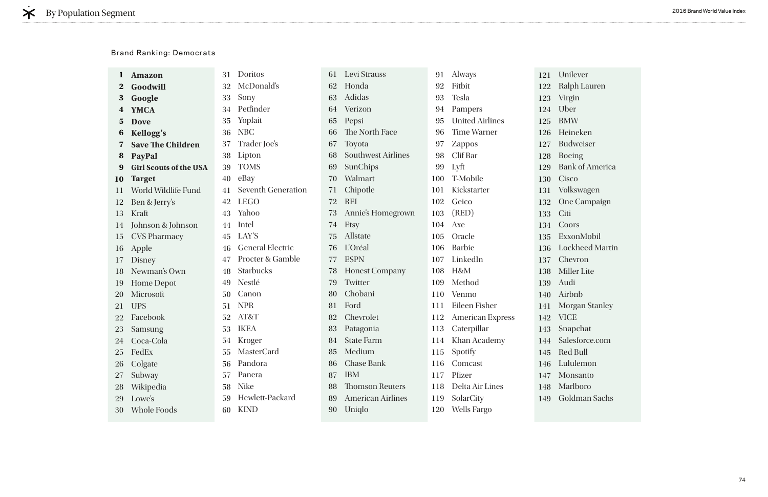| <b>Amazon</b>                 | 31 | Doritos                   | 61 | Levi Strauss              | 91  | <b>Always</b>          | 121            | Unilever          |
|-------------------------------|----|---------------------------|----|---------------------------|-----|------------------------|----------------|-------------------|
| Goodwill                      | 32 | McDonald's                | 62 | Honda                     | 92  | Fitbit                 | 122            | Ralph La          |
| Google                        | 33 | Sony                      | 63 | Adidas                    | 93  | <b>Tesla</b>           | 123            | Virgin            |
| <b>YMCA</b>                   | 34 | Petfinder                 | 64 | Verizon                   | 94  | Pampers                | 124            | Uber              |
| <b>Dove</b>                   | 35 | Yoplait                   | 65 | Pepsi                     | 95  | <b>United Airlines</b> | 125            | <b>BMW</b>        |
| Kellogg's                     | 36 | <b>NBC</b>                | 66 | The North Face            | 96  | <b>Time Warner</b>     | 126            | Heineker          |
| <b>Save The Children</b>      | 37 | Trader Joe's              | 67 | Toyota                    | 97  | <b>Zappos</b>          | 127            | Budweise          |
| PayPal                        | 38 | Lipton                    | 68 | <b>Southwest Airlines</b> | 98  | Clif Bar               | 128            | <b>Boeing</b>     |
| <b>Girl Scouts of the USA</b> | 39 | <b>TOMS</b>               | 69 | SunChips                  | 99  | Lyft                   | 129            | <b>Bank of A</b>  |
| <b>Target</b>                 | 40 | eBay                      | 70 | Walmart                   | 100 | T-Mobile               | 130            | Cisco             |
| World Wildlife Fund           | 41 | <b>Seventh Generation</b> | 71 | Chipotle                  | 101 | Kickstarter            | 131            | Volkswag          |
| Ben & Jerry's                 | 42 | <b>LEGO</b>               | 72 | <b>REI</b>                | 102 | Geico                  | 132            | One Cam           |
| Kraft                         | 43 | Yahoo                     | 73 | Annie's Homegrown         | 103 | (RED)                  | 133            | Citi              |
| Johnson & Johnson             | 44 | Intel                     | 74 | <b>Etsy</b>               | 104 | Axe                    | 134            | Coors             |
| <b>CVS Pharmacy</b>           | 45 | LAY'S                     | 75 | Allstate                  | 105 | Oracle                 | 135            | ExxonMo           |
| Apple                         | 46 | <b>General Electric</b>   | 76 | L'Oréal                   | 106 | <b>Barbie</b>          | 136            | Lockheed          |
| Disney                        | 47 | Procter & Gamble          | 77 | <b>ESPN</b>               | 107 | LinkedIn               | 137            | Chevron           |
| Newman's Own                  | 48 | Starbucks                 | 78 | <b>Honest Company</b>     | 108 | H&M                    | 138            | <b>Miller Lit</b> |
| <b>Home Depot</b>             | 49 | Nestlé                    | 79 | Twitter                   | 109 | Method                 | 139            | Audi              |
| Microsoft                     | 50 | Canon                     | 80 | Chobani                   | 110 | Venmo                  | 140            | Airbnb            |
| <b>UPS</b>                    | 51 | <b>NPR</b>                | 81 | Ford                      | 111 | Eileen Fisher          | 141            | Morgan S          |
| Facebook                      | 52 | AT&T                      | 82 | Chevrolet                 | 112 | American Express       | 142            | <b>VICE</b>       |
| Samsung                       | 53 | <b>IKEA</b>               | 83 | Patagonia                 | 113 | Caterpillar            | 143            | Snapchat          |
| Coca-Cola                     | 54 | Kroger                    | 84 | <b>State Farm</b>         | 114 | Khan Academy           | 144            | Salesforc         |
| FedEx                         | 55 | MasterCard                | 85 | Medium                    | 115 |                        |                | 145 Red Bull      |
| Colgate                       | 56 | Pandora                   | 86 | <b>Chase Bank</b>         | 116 | Comcast                | 146            | Lululemo          |
| Subway                        | 57 | Panera                    | 87 | <b>IBM</b>                | 117 | Pfizer                 | 147            | Monsant           |
| Wikipedia                     | 58 | <b>Nike</b>               | 88 | <b>Thomson Reuters</b>    | 118 | Delta Air Lines        | 148            | Marlboro          |
| Lowe's                        | 59 | Hewlett-Packard           | 89 | <b>American Airlines</b>  | 119 | SolarCity              | 149            | Goldman           |
| <b>Whole Foods</b>            | 60 | <b>KIND</b>               | 90 | Uniqlo                    | 120 | <b>Wells Fargo</b>     |                |                   |
|                               |    |                           |    |                           |     |                        | <b>Spotify</b> |                   |

ph Lauren gin er  $\bar{I}$ ineken dweiser eing nk of America  $\overline{c}$ o kswagen e Campaign ors ExxonMobil ckheed Martin evron ller Lite di bnb rgan Stanley  $\overline{\mathbb{C}}$ E apchat esforce.com d Bull lulemon Monsanto rlboro ldman Sachs

### Brand Ranking: Democrats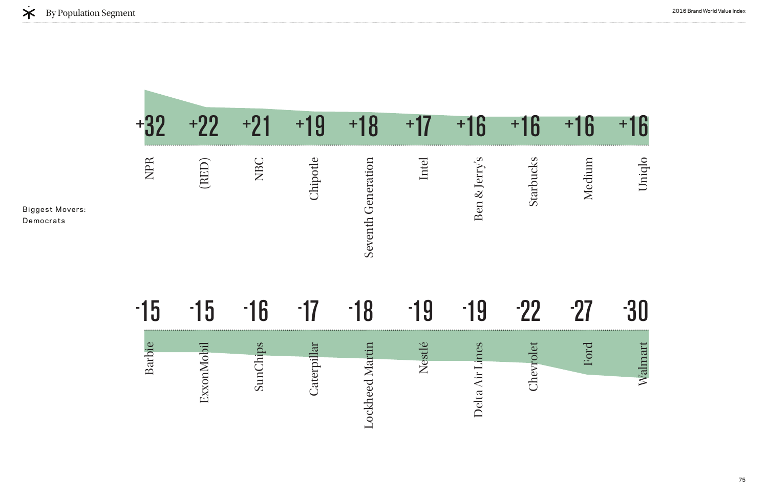|                              |        | $+22$      | $+21$    | 19<br>$+1$ | $+18$              | +17          | $+16$         | $+16$     | $+16$  | +16    |
|------------------------------|--------|------------|----------|------------|--------------------|--------------|---------------|-----------|--------|--------|
| Biggest Movers:<br>Democrats | NPR    | (RED)      | NBC      | Chipotle   | Seventh Generation | Intel        | Ben & Jerry's | Starbucks | Medium | Uniqlo |
|                              | $-15$  | $-15$      | $-16$    | $-1/$      | 8<br>$-1$          | $-19$        | $-19$         | $-22$     | -97    |        |
|                              |        |            |          | pillar     | artin              | estlé        | ines          | rolet     | Ford   | Imart  |
|                              | Barbie | ExxonMobil | SunChips | Cater      | Lockheed M         | $\mathbf{Z}$ | Delta Air     | Chev      |        | Wal    |

# 22 - 27 -  $-27 - 30$ Ford Walmart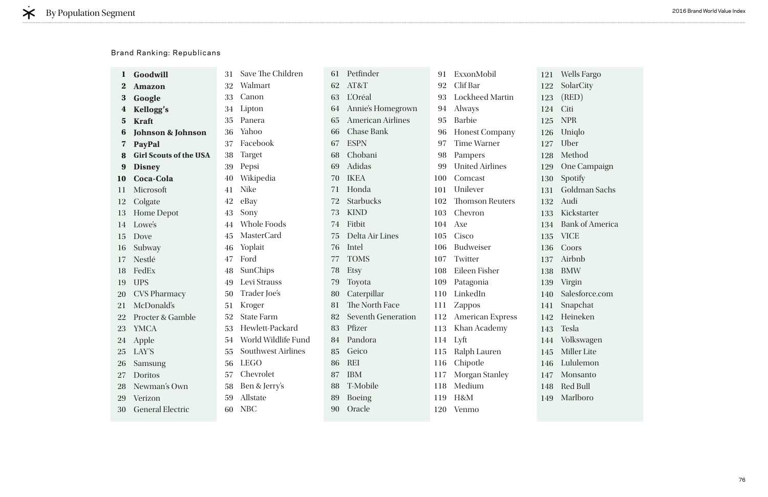|             | Goodwill                      | 31 | Save The Children         | 61 | Petfinder                 | 91  | ExxonMobil              | 121 | Wel            |
|-------------|-------------------------------|----|---------------------------|----|---------------------------|-----|-------------------------|-----|----------------|
| $\bf{z}$    | <b>Amazon</b>                 | 32 | Walmart                   | 62 | AT&T                      | 92  | Clif Bar                | 122 | Sola           |
| $\bf{3}$    | Google                        | 33 | Canon                     | 63 | <b>L'Oréal</b>            | 93  | <b>Lockheed Martin</b>  | 123 | (RE)           |
| $\bf{4}$    | <b>Kellogg's</b>              | 34 | Lipton                    | 64 | Annie's Homegrown         | 94  | <b>Always</b>           | 124 | Citi           |
| $5^{\circ}$ | <b>Kraft</b>                  | 35 | Panera                    | 65 | <b>American Airlines</b>  | 95  | <b>Barbie</b>           | 125 | <b>NP</b>      |
| 6           | <b>Johnson &amp; Johnson</b>  | 36 | Yahoo                     | 66 | <b>Chase Bank</b>         | 96  | <b>Honest Company</b>   | 126 | Uni            |
| 7           | PayPal                        | 37 | Facebook                  | 67 | <b>ESPN</b>               | 97  | <b>Time Warner</b>      | 127 | U <sub>b</sub> |
|             | <b>Girl Scouts of the USA</b> | 38 | <b>Target</b>             | 68 | Chobani                   | 98  | Pampers                 | 128 | Me             |
| 9           | <b>Disney</b>                 | 39 | Pepsi                     | 69 | Adidas                    | 99  | <b>United Airlines</b>  | 129 | One            |
| <b>10</b>   | <b>Coca-Cola</b>              | 40 | Wikipedia                 | 70 | <b>IKEA</b>               | 100 | Comcast                 | 130 | <b>Spc</b>     |
| 11          | Microsoft                     | 41 | <b>Nike</b>               | 71 | Honda                     | 101 | Unilever                | 131 | Gol            |
| 12          | Colgate                       | 42 | eBay                      | 72 | <b>Starbucks</b>          | 102 | <b>Thomson Reuters</b>  | 132 | Auc            |
| 13          | <b>Home Depot</b>             | 43 | Sony                      | 73 | <b>KIND</b>               | 103 | Chevron                 | 133 | Kic.           |
| 14          | Lowe's                        | 44 | <b>Whole Foods</b>        | 74 | Fitbit                    | 104 | Axe                     | 134 | <b>Bar</b>     |
| 15          | Dove                          | 45 | <b>MasterCard</b>         | 75 | Delta Air Lines           | 105 | Cisco                   | 135 | <b>VIC</b>     |
| 16          | Subway                        | 46 | Yoplait                   | 76 | Intel                     | 106 | <b>Budweiser</b>        | 136 | Co(            |
| 17          | Nestlé                        | 47 | Ford                      | 77 | <b>TOMS</b>               | 107 | Twitter                 | 137 | Airl           |
| 18          | FedEx                         | 48 | SunChips                  | 78 | <b>Etsy</b>               | 108 | Eileen Fisher           | 138 | <b>BM</b>      |
| 19          | <b>UPS</b>                    | 49 | Levi Strauss              | 79 | Toyota                    | 109 | Patagonia               | 139 | Virg           |
| 20          | <b>CVS Pharmacy</b>           | 50 | Trader Joe's              | 80 | Caterpillar               | 110 | LinkedIn                | 140 | Sale           |
| 21          | McDonald's                    | 51 | Kroger                    | 81 | The North Face            | 111 | <b>Zappos</b>           | 141 | Sna            |
|             | <b>Procter &amp; Gamble</b>   | 52 | <b>State Farm</b>         | 82 | <b>Seventh Generation</b> | 112 | <b>American Express</b> | 142 | Hei            |
| 23          | <b>YMCA</b>                   | 53 | Hewlett-Packard           | 83 | Pfizer                    | 113 | Khan Academy            | 143 | <b>Tes</b>     |
|             | 24 Apple                      | 54 | World Wildlife Fund       | 84 | Pandora                   | 114 | Lyft                    | 144 | Voll           |
| 25          | LAY'S                         | 55 | <b>Southwest Airlines</b> | 85 | Geico                     |     | 115 Ralph Lauren        | 145 | Mil            |
| 26          | <b>Samsung</b>                | 56 | <b>LEGO</b>               | 86 | <b>REI</b>                |     | 116 Chipotle            | 146 | Lul            |
| 27          | Doritos                       | 57 | Chevrolet                 | 87 | <b>IBM</b>                |     | 117 Morgan Stanley      | 147 | M <sub>0</sub> |
| 28          | Newman's Own                  | 58 | Ben & Jerry's             | 88 | T-Mobile                  |     | 118 Medium              | 148 | Rec            |
| 29          | Verizon                       | 59 | Allstate                  | 89 | <b>Boeing</b>             |     | 119 H&M                 | 149 | Ma             |
| 30          | <b>General Electric</b>       | 60 | <b>NBC</b>                | 90 | Oracle                    |     | 120 Venmo               |     |                |
|             |                               |    |                           |    |                           |     |                         |     |                |

Wells Fargo olarCity (RED) NPR niqlo ber **Iethod** ne Campaign potify Goldman Sachs udi ickstarter ank of America ICE oors irbnb  $MW$ irgin alesforce.com napchat leineken esla olkswagen Miller Lite Lululemon **Ionsanto** ed Bull Marlboro

### Brand Ranking: Republicans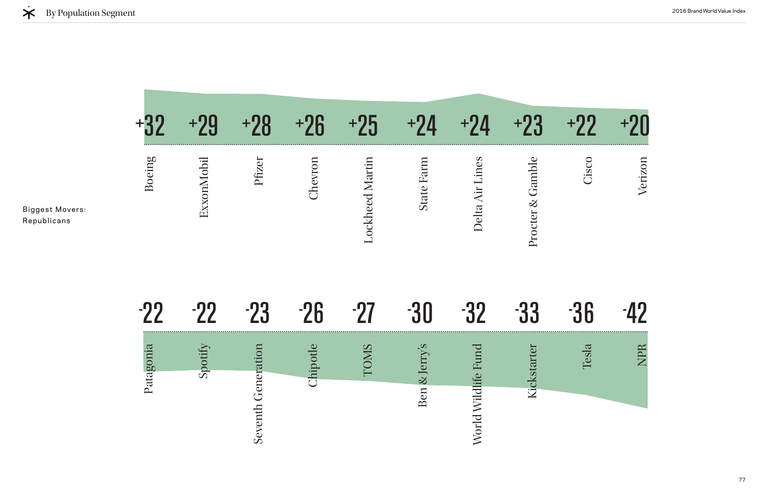

|                                       |           | $+90$      | <u>)β</u><br>$+9$ | $+26$   | $+25$                  | +V                | $\overline{\mathbf{A}}$ | $+23$            | 77    |         |
|---------------------------------------|-----------|------------|-------------------|---------|------------------------|-------------------|-------------------------|------------------|-------|---------|
| <b>Biggest Movers:</b><br>Republicans | Boeing    | ExxonMobil | Pfizer            | Chevron | <b>Lockheed Martin</b> | <b>State Farm</b> | Delta Air Lines         | Procter & Gamble | Cisco | Verizon |
|                                       | $-22$     | -99        | $-23$             | $-26$   | -97                    |                   | -29                     | 33               | -36   | 47      |
|                                       | Patagonia | Spotif     | noins             | potle   | <b>CNO</b><br>$\Box$   | erry's            | Fund                    | Kickstarter      | Tesla | NPR     |
|                                       |           |            | Seventh Gener     | Chi     |                        | Ben & J           | World Wildlife          |                  |       |         |

# 33 - 36 - 42 Tesla NPR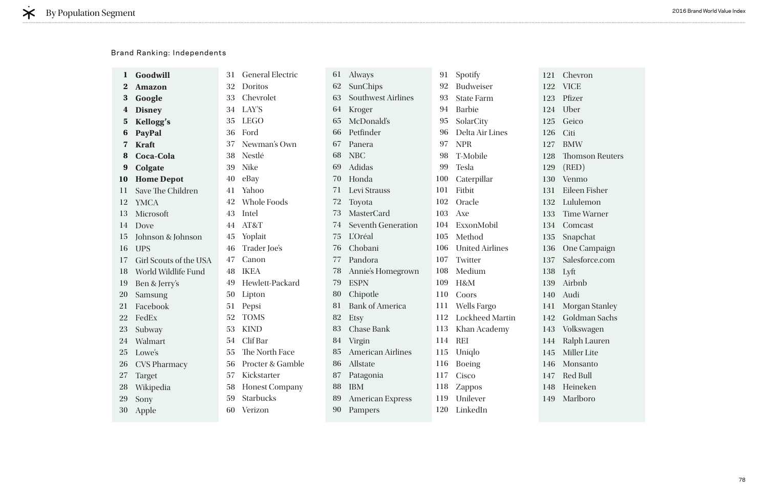|                         | Goodwill               | 31 | <b>General Electric</b> | 61 | <b>Always</b>             | 91         | Spotify                | 121 C   |                |
|-------------------------|------------------------|----|-------------------------|----|---------------------------|------------|------------------------|---------|----------------|
| $\bf{2}$                | <b>Amazon</b>          | 32 | Doritos                 | 62 | SunChips                  | 92         | <b>Budweiser</b>       | 122 V   |                |
| 3                       | Google                 | 33 | Chevrolet               | 63 | <b>Southwest Airlines</b> | 93         | <b>State Farm</b>      | 123 P   |                |
| $\bf{4}$                | <b>Disney</b>          | 34 | LAY'S                   | 64 | Kroger                    | 94         | <b>Barbie</b>          | 124 U   |                |
| $\overline{\mathbf{5}}$ | Kellogg's              | 35 | <b>LEGO</b>             | 65 | McDonald's                | 95         | SolarCity              | 125     | G              |
| b                       | PayPal                 | 36 | Ford                    | 66 | Petfinder                 | 96         | Delta Air Lines        | 126     | $\mathcal{C}$  |
| 7                       | <b>Kraft</b>           | 37 | Newman's Own            | 67 | Panera                    | 97         | <b>NPR</b>             | 127     | B              |
| 8                       | <b>Coca-Cola</b>       | 38 | Nestlé                  | 68 | <b>NBC</b>                | 98         | T-Mobile               | 128     | $\mathbf{T}$   |
| 9                       | Colgate                | 39 | <b>Nike</b>             | 69 | Adidas                    | 99         | Tesla                  | 129     | $\left($ ]     |
| <b>10</b>               | <b>Home Depot</b>      | 40 | eBay                    | 70 | Honda                     | 100        | Caterpillar            | 130     | $\mathbf{V}$   |
| 11                      | Save The Children      | 41 | Yahoo                   | 71 | Levi Strauss              | 101        | Fitbit                 | 131     | E              |
| 12                      | <b>YMCA</b>            | 42 | <b>Whole Foods</b>      | 72 | Toyota                    | 102        | Oracle                 | 132     | $\mathbf{L}$   |
| 13                      | Microsoft              | 43 | Intel                   | 73 | <b>MasterCard</b>         | 103        | Axe                    | 133     | $\top$         |
| 14                      | Dove                   | 44 | AT&T                    | 74 | <b>Seventh Generation</b> | 104        | ExxonMobil             | 134     | $\mathcal{C}$  |
| 15                      | Johnson & Johnson      | 45 | Yoplait                 | 75 | L'Oréal                   | 105        | Method                 | 135     | S              |
| 16                      | <b>UPS</b>             | 46 | Trader Joe's            | 76 | Chobani                   | 106        | <b>United Airlines</b> | 136     | $\overline{O}$ |
| 17                      | Girl Scouts of the USA | 47 | Canon                   | 77 | Pandora                   | 107        | Twitter                | 137 S   |                |
| 18                      | World Wildlife Fund    | 48 | <b>IKEA</b>             | 78 | Annie's Homegrown         | 108        | Medium                 | 138     | $\mathbf{L}$   |
| 19                      | Ben & Jerry's          | 49 | Hewlett-Packard         | 79 | <b>ESPN</b>               | 109        | H&M                    | 139     | $\mathbf{A}$   |
| <b>20</b>               | Samsung                | 50 | Lipton                  | 80 | Chipotle                  | <b>110</b> | Coors                  | 140     | $\mathbf{A}$   |
| 21                      | Facebook               | 51 | Pepsi                   | 81 | <b>Bank of America</b>    | 111        | <b>Wells Fargo</b>     | $141$ M |                |
| 22                      | FedEx                  | 52 | <b>TOMS</b>             | 82 | <b>Etsy</b>               | 112        | <b>Lockheed Martin</b> | 142     | G              |
| 23                      | Subway                 | 53 | <b>KIND</b>             | 83 | <b>Chase Bank</b>         | 113        | Khan Academy           | 143 V   |                |
| 24                      | Walmart                | 54 | Clif Bar                | 84 | Virgin                    | 114        | <b>REI</b>             | 144 R   |                |
| 25                      | Lowe's                 | 55 | The North Face          | 85 | <b>American Airlines</b>  | 115        | Uniqlo                 | 145 N   |                |
| 26                      | <b>CVS Pharmacy</b>    | 56 | Procter & Gamble        | 86 | Allstate                  | 116        | <b>Boeing</b>          | 146 N   |                |
| 27                      | <b>Target</b>          | 57 | Kickstarter             | 87 | Patagonia                 | 117        | Cisco                  | 147 R   |                |
| 28                      | Wikipedia              | 58 | <b>Honest Company</b>   | 88 | <b>IBM</b>                | 118        | Zappos                 | 148 H   |                |
| 29                      | Sony                   | 59 | <b>Starbucks</b>        | 89 | <b>American Express</b>   | 119        | Unilever               | 149 N   |                |
| 30                      | Apple                  | 60 | Verizon                 | 90 | Pampers                   | 120        | LinkedIn               |         |                |
|                         |                        |    |                         |    |                           |            |                        |         |                |

**Chevron** VICE <sup>P</sup>fizer Jber Feico Citi BMW Thomson Reuters (RED) Venmo Eileen Fisher Lululemon **Time Warner Comcast** Snapchat One Campaign Salesforce.com Lyft Airbnb Audi Morgan Stanley Goldman Sachs Volkswagen Ralph Lauren Miller Lite Monsanto Red Bull Heineken Marlboro

### Brand Ranking: Independents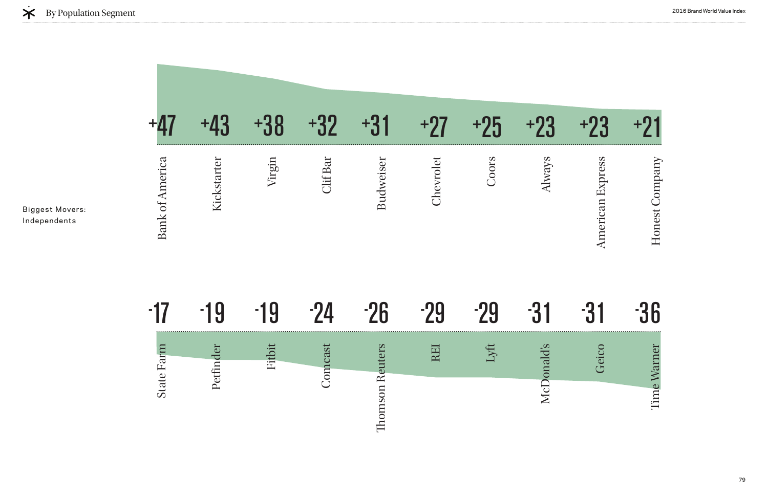



Biggest Movers: Independents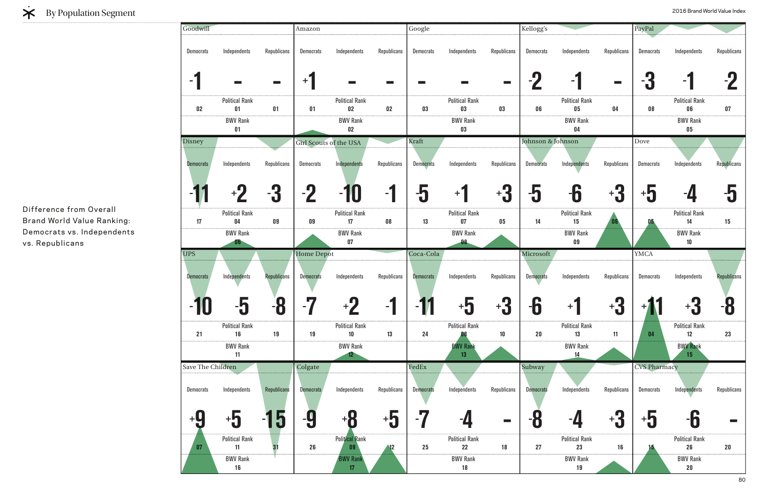| Goodwill          |                                    |                          | Amazon                        |                                    |                 | Google           |                                 |                 | Kellogg's         |                             |                        | PayPal                  |                             |                          |
|-------------------|------------------------------------|--------------------------|-------------------------------|------------------------------------|-----------------|------------------|---------------------------------|-----------------|-------------------|-----------------------------|------------------------|-------------------------|-----------------------------|--------------------------|
| <b>Democrats</b>  | Independents                       | Republicans              | <b>Democrats</b>              | Independents                       | Republicans     | <b>Democrats</b> | Independents                    | Republicans     | Democrats         | Independents                | Republicans            | <b>Democrats</b>        | Independents                | Republicans              |
| ۰.                | $\sim 10^{11}$                     | $\overline{\phantom{a}}$ | $+$ $\overline{ }$            | $\sim$                             | <b>Contract</b> | a sa T           |                                 | <b>Contract</b> | $-7$              | - 1                         | $\sim$ 10 $\mu$        | -9<br>U                 | - 1                         | $-2$                     |
| $02\,$            | <b>Political Rank</b><br>01        | 01                       | 01                            | <b>Political Rank</b><br>$02\,$    | $02\,$          | 03               | <b>Political Rank</b><br>03     | 03              | 06                | <b>Political Rank</b><br>05 | 04                     | 08                      | <b>Political Rank</b><br>06 | 07                       |
|                   | <b>BWV Rank</b><br>01              |                          |                               | <b>BWV Rank</b><br>$02\,$          |                 |                  | <b>BWV Rank</b><br>03           |                 |                   | <b>BWV Rank</b><br>04       |                        |                         | <b>BWV Rank</b><br>$05\,$   |                          |
| Disney            |                                    |                          | <b>Girl Scouts of the USA</b> |                                    |                 | Kraft            |                                 |                 | Johnson & Johnson |                             |                        | Dove                    |                             |                          |
| Democrats         | Independents                       | Republicans              | Democrats                     | Independents                       | Republicans     | <b>Democrats</b> | Independents                    | Republicans     | <b>Democrats</b>  | Independents                | Republicans            | <b>Democrats</b>        | Independents                | Republicans              |
|                   | $+2$                               | -3                       | $-2$                          | -10                                | $-1$            | -ე               | $+1$                            | $-3$            | $-5$              | -6                          | $\ddagger$ 3           | $\overline{\mathbf{5}}$ | $-1$                        | -5                       |
| 17                | <b>Political Rank</b><br>04        | 09                       | 09                            | <b>Political Rank</b><br>17        | ${\bf 08}$      | 13               | <b>Political Rank</b><br>$07\,$ | 05              | 14                | <b>Political Rank</b><br>15 | 06                     | 05                      | <b>Political Rank</b><br>14 | 15                       |
|                   | <b>BWV Rank</b><br>06 <sub>1</sub> |                          |                               | <b>BWV Rank</b><br>$07\,$          |                 |                  | <b>BWV Rank</b><br>08           |                 |                   | <b>BWV Rank</b><br>09       |                        |                         | <b>BWV Rank</b><br>10       |                          |
| <b>UPS</b>        |                                    |                          | <b>Home Depot</b>             |                                    |                 | Coca-Cola        |                                 |                 | Microsoft         |                             |                        | <b>YMCA</b>             |                             |                          |
|                   |                                    |                          |                               |                                    |                 |                  |                                 |                 |                   |                             |                        |                         |                             |                          |
| Democrats         | Independents                       | <b>Republicans</b>       | <b>Democrats</b>              | Independents                       | Republicans     | Democrats        | Independents                    | Republicans     | <b>Democrats</b>  | Independents                | Republicans            | <b>Democrats</b>        | Independents                |                          |
| 40<br>IU          | -9                                 | n<br>10                  | l e s                         | n<br>$+7$                          |                 | A Z.<br>- 1      | +ነ                              | n<br>†្ប        | n<br>-0           | $+1$                        | Λ<br>$^{\mathrm{+}}$ đ |                         | *5                          | <b>Republicans</b><br>-8 |
| 21                | <b>Political Rank</b><br>16        | 19                       | 19                            | <b>Political Rank</b><br>10        | 13              | 24               | <b>Political Rank</b>           | 10              | $20\,$            | <b>Political Rank</b><br>13 | 11                     | 04                      | <b>Political Rank</b><br>12 | 23                       |
|                   | <b>BWV Rank</b><br>11              |                          |                               | <b>BWV Rank</b><br>12 <sup>2</sup> |                 |                  | <b>BWV Rank</b><br>13           |                 |                   | <b>BWV Rank</b><br>14       |                        |                         | <b>BWV Rank</b><br>15       |                          |
| Save The Children |                                    |                          | Colgate                       |                                    |                 | FedEx            |                                 |                 | Subway            |                             |                        | <b>CVS Pharmacy</b>     |                             |                          |
| <b>Democrats</b>  | Independents                       | Republicans              | <b>Democrats</b>              | Independents                       | Republicans     | <b>Democrats</b> | Independents                    | Republicans     | <b>Democrats</b>  | Independents                | Republicans            | <b>Democrats</b>        | Independents                |                          |
| +0                | $\overline{\mathbf{5}}$            |                          | -9                            | +8                                 | +៦              | LT.<br>- 1       |                                 |                 | -8                |                             | $^+$ J                 | $+5$                    |                             | Republicans              |
| 07                | <b>Political Rank</b><br>11        | 31                       | 26                            | <b>Political Rank</b><br>09        | 12              | 25               | <b>Political Rank</b><br>22     | 18              | 27                | <b>Political Rank</b><br>23 | 16                     |                         | <b>Political Rank</b><br>26 | 20                       |



## EXPOPULAtion Segment 2016 Brand World Value Index

Difference from Overall Brand World Value Ranking: Democrats vs. Independents vs. Republicans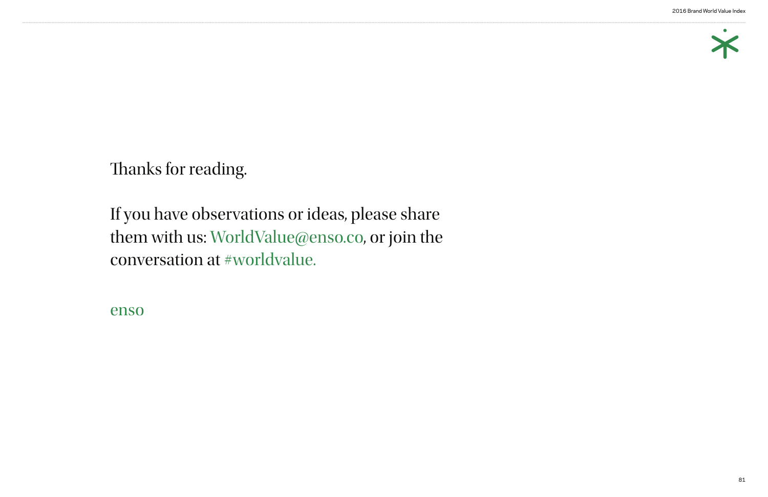#### 2016 Brand World Value Index



Thanks for reading.

If you have observations or ideas, please share them with us: WorldValue@enso.co, or join the conversation at #worldvalue.

enso